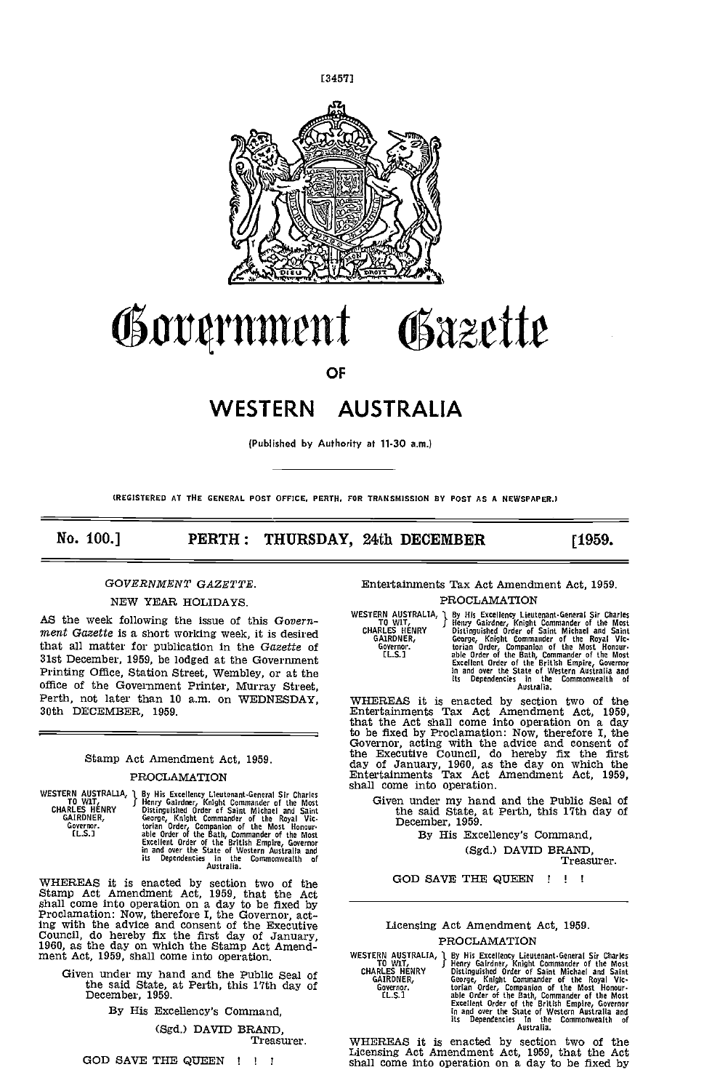

# rnt4rnlnent Osazette

OF

# WESTERN AUSTRALIA

(Published by Authority at 11-30 am.)

(REGISTERED AT THE GENERAL POST OFFICE. PERTH. FOR TRANSMISSION BY POST AS A NEWSPAPER.)

No. 100.] PERTH: THURSDAY, 24th DECEMBER [1959.

# GOVERNMENT GAZETTE.

# NEW YEAR HOLIDAYS.

AS the week following the issue of this Government Gazette is a short working week, it is desired that all matter for publication in the Gazette of 31st December, 1959, be lodged at the Government Printing Office, Station Street, Wembley, or at the office of the Government Printer, Murray Street, Perth, not later than 10 am. on WEDNESDAY, 30th DECEMBER, 1959.

# Stamp Act Amendment Act, 1959. PROCLAMATION

WESTERN AUSTRALIA, 1 By Hi<br>CHARLES HENRY Distin<br>CHARLES HENRY Distin<br>GAIRDNER, George<br>Governor. torian<br>IL.S.] able By His Excellency Lieutenant-General Sir Charles<br>
Henry Gairloner, Knight Commander of the Most<br>
Distinguished Order of Saint Michael and Saint-George, Knight Commander of the Royal Vic-<br>
torian Order, Companion of the Mos

WHEREAS it is enacted by section two of the Stamp Act Amendment Act, 1959, that the Act shall come into operation on a day to be fixed by Proclamation: Now, therefore I, the Governor, acting with the advice and consent of the Executive Council, do hereby fix the first day of January, 1960, as the day on which the Stamp Act Amend- ment Act, 1959, shall come into operation.

Given under my hand and the Public Seal of<br>the said State, at Perth, this 17th day of<br>December, 1959.

By His Excellency's Command,

(Sgd.) DAVID BRAND,

Treasurer,

GOD SAVE THE QUEEN ! ! !

### Entertainments Tax Act Amendment Act, 1959. PROCLAMATION

WESTERN AUSTRALIA, J By His Excellency Lieutenant-General Sir Charles To WIT, Henry Gairdner, Knight Commander of the Most GARLES HENRY Distinguished Order of Saint Michael and Saint GARLES HENRY Cecilence, George, Knight

WHEREAS it is enacted by section two of the<br>Entertainments Tax Act Amendment Act, 1959,<br>that the Act shall come into operation on a day to be fixed by Proclamation: Now, therefore I, the Governor, acting with the advice and consent of the Executive Council, do hereby fix the first day of January, 1960, as the day on which the Entertainments Tax Act Amendment Act, 1959, shall come into operation.

Given under my hand and the Public Seal of the said State, at Perth, this 17th day of December, 1959.

By His Excellency's Command, (Sgd.) DAVID BRAND, Treasurer.

GOD SAVE THE QUEEN !!!

# Licensing Act Amendment Act, 1959, PROCLAMATION

WESTERN AUSTRALIA, J By His Excellency Lieutenard Centeral Sir Charles To WIT,<br>
TO WIT, J Henry Galrdner, Knjght Commander of the Most<br>
CHARLES HENRY Distinguished Order of Saint Michael and Saint<br>
GARLES HENRY Corore, Kni

WHEREAS it is enacted by section two of the Licensing Act Amendment Act, 1959, that the Act shall come into operation on a day to be fixed by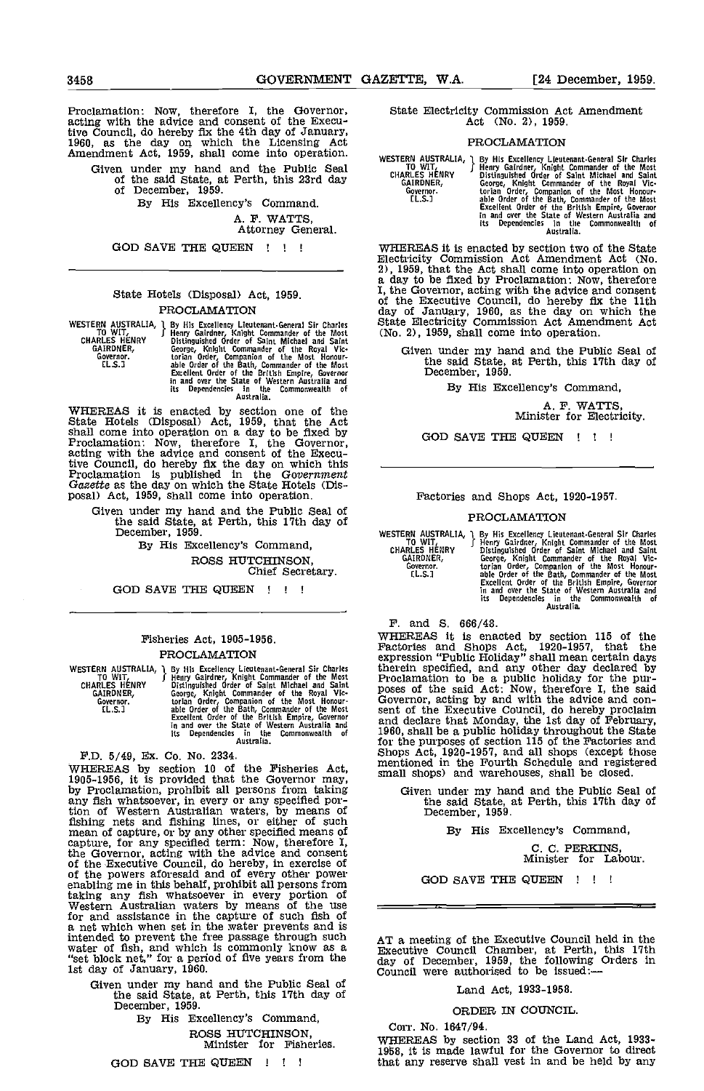Proclamation: Now, therefore I, the Governor, acting with the advice and consent of the Executive Council, do hereby fix the 4th day of January, 1960, as the day on which the Licensing Act Amendment Act, 1959, shall come into operation.

- Given under my hand and the Public Seal of the said State, at Perth, this 23rd day channel can call of December, 1959.
	- By His Excellency's Command.

A. F. WATTS,

Attorney General.

GOD SAVE THE QUEEN !!

# State Hotels (Disposal) Act, 1959. PROCLAMATION

| WESTERN AUSTRALIA, 1<br>to wit,<br><b>CHARLES HENRY</b><br>GAIRDNER,<br>Governor.<br>EL.S.J | By His Excellency Lieutenant-General Sir Charles<br>Henry Gairdner, Knight Commander of the Most<br>Distinguished Order of Saint Michael and Saint<br>George, Knight Commander of the Royal Vic-<br>torian Order, Companion of the Most Honour-<br>able Order of the Bath, Commander of the Most<br>Excellent Order of the British Empire, Governor | N.<br>Ω |
|---------------------------------------------------------------------------------------------|-----------------------------------------------------------------------------------------------------------------------------------------------------------------------------------------------------------------------------------------------------------------------------------------------------------------------------------------------------|---------|
|                                                                                             | in and over the State of Western Australia and<br>its Dependencies in the Commonwealth of<br>Australia.                                                                                                                                                                                                                                             |         |

WHEREAS it is enacted by section one of the<br>State Hotels (Disposal) Act, 1959, that the Act<br>shall come into operation on a day to be fixed by<br>Proclamation: Now, therefore I, the Governor,<br>acting with the advice and consent tive Council, do hereby fix the day on which this Proclamation is published in the Government Gazette as the day on which the State Hotels (Dis- posal) Act, 1959, shall come into operation.

Given under my hand and the Public Seal of the said State, at Perth, this 11th day of December, 1959.

> By His Excellency's Command, ROSS HUTCHINSON, Chief Secretary.

GOD SAVE THE QUEEN !!!

# Fisheries Act, 1905-1956.

**PROCLAMATION**<br>
WESTERN AUSTRALIA, 1 By His Excellency Lieuture<br>
TO WIT, Henry Gardner, Knight<br>
CHARLES HENRY Bistinguished Order of<br>
GAIRDNER, George, Knight Comman<br>
GAIRDNER, George, Knight Comman WESTERN AUSTRALIA, J By His Excellency Knight Lieutenant-General Sir Charles Ethern TD WIT, Henry Gairden, Charles Charles Charles Charles Charles Charles Charles Charles Charles Charles Charles Covernor. Cover to the cont

PD. 5/49, Ex. Co. No. 2334.

WHEREAS by section 10 of the Fisheries Act, 1905-1956, it is provided that the Governor may, by Proclamation, prohibit all persons from taking any fish whatsoever, in every or any specified por-<br>tion of Western Australian waters, by means of<br>fishing nets and fishing lines, or either of such Itsning nets and fishing lines, or either of such<br>mean of capture, or by any other specified means of<br>capture, for any specified term: Now, therefore I,<br>the Governor, acting with the advice and consent<br>of the Executive Cou for and assistance in the capture of such fish of a net which when set in the water prevents and is intended to prevent the free passage through such  $ATa$  is water of fish, and which is commonly know as a  $B_{\text{Xsec}}$ "set block net," for a period of five years from the 1st day of January, 1960.

Given under my hand and the Public Seal of the said State, at Perth, this 17th day of December, 1959. By His Excellency's Command,

ROSS HUTCHINSON, Minister for Fisheries.

GOD SAVE THE QUEEN ! ! !

State Electricity Commission Act Amendment Act (No. 2), 1959.

#### PROCLAMATION

P By His Excellency Lieutenant-General Sir Charles<br>
J Henry Gairlency Lieutenant-General Sir Charles<br>
Distinguished Order of Saint Michael and Saint-George, Knight<br>
Commander of the Royal Victorian<br>
Order, Companion of the WESTERN AUSTRALIA, 1 By HI<br>TO WIT, TO WIT, CHARLES HENRY Bistin<br>GAIRDNER, Georg<br>Governor. the total<br>Clus... the contract to the clus...

WHEREAS it is enacted by section two of the State Electricity Commission Act Amendment Act (No. 2), 1959, that the Act shall come into operation on a day to be fixed by Proclamation: Now, therefore a day to be mean of the advertisement. Now, the covering with the advice and consent<br>of the Executive Council, do hereby fix the 11th<br>day of January, 1960, as the day on which the<br>State Electricity Commission Act Amendment

Given under my hand and the Public Seal of the said State, at Perth, this 17th day of December, 1959.

By His Excellency's Command,

A. F. WATTS, Minister for Electricity.

GOD SAVE THE QUEEN ! ! !

#### Factories and Shops Act, 1920-1957.

#### PROCLAMATION

WESTERN AUSTRALIA, 1 By Hi<br>TO WIT, Thenry Bistin<br>CHARLES HENRY Distin<br>GAIRDNER, Georg<br>Governor. torian<br>IL.S.] able (

1 By His Excellency Lieutenant-General Sir Charles<br>
f Henry Gairdner, Knight Commander of the Most<br>
Distinguished Order of Saint Michael and Saint<br>
George, Knight Commander of the Royal Vic-<br>
torian Order, Companion of the

F. and 5. 666/48.

WHEREAS it is enacted by section 115 of the<br>Factories and Shops Act, 1920-1957, that the<br>expression "Public Holiday" shall mean certain days<br>therein specified, and any other day declared by<br>Proclamation to be a public holi and declare that Monday, the 1st day of February, 1960, shall be a public holiday throughout the State for the purposes of section 115 of the Factories and Shops Act, 1920-1957, and all shops (except those mentioned in the Fourth Schedule and registered small shops) and warehouses, shall be closed.

Given under my hand and the Public Seal of the said State, at Perth, this 17th day of December, 1959.

By His Excellency's Command,

C. C. PERKINS, Minister for Labour.

GOD SAVE THE QUEEN !!!

AT a meeting of the Executive Council held in the Executive Council Chamber, at Perth, this 17th day of December, 1959, the following Orders in Council were authorised to be Issued:

Land Act, 1933-1958.

ORDER IN COUNCIL.

Corr. No. 1647/94.<br>WHEREAS by section 33 of the Land Act, 1933-1953, it is made lawful for the Governor to direct that any reserve shall vest in and be held by any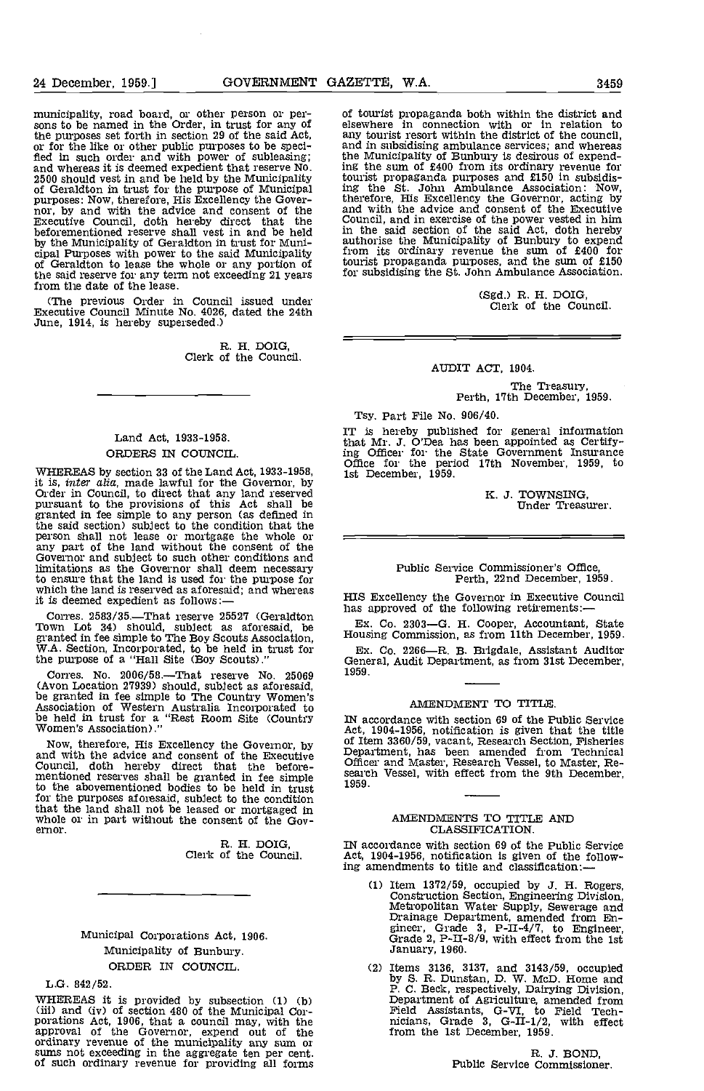24 December, 1959.]

municipality, road board, or other person or persons to be named in the Order, in trust for any of the purposes set forth in section 29 of the said Act, or for the like or other public purposes to be specified in such order and with power of subleasing;<br>and whereas it is deemed expedient that reserve No.<br>2500 should vest in and be held by the Municipality<br>of Geraldton in t beforementioned reserve shall vest in and be held by the Municipality of Geraldton in trust for Muni-<br>cipal Purposes with power to the said Municipality from<br>of Geraldton to lease the whole or any portion of touris the said reserve for any term not exceeding 21 years for from the date of the lease.

(The previous Order in Council issued under Executive Council Minute No. 4026, dated the 24th June, 1914, is hereby superseded.)

R. H. DOIG, Clerk of the Council.

# Land Act, 1933-1958. ORDERS IN COUNCIL.

WHEREAS by section 33 of the Land Act, 1933-1958,<br>it is, *inter alia*, made lawful for the Governor, by<br>Order in Council, to direct that any land reserved<br>pursuant to the provisions of this Act shall be<br>granted in fee sim the said section) subject to the condition that the person shall not lease or mortgage the whole or any part of the land without the consent of the Governor and subject to such other conditions and limitations as the Governor shall deem necessary to ensure that the land is used for the purpose for which the land is reserved as aforesaid; and whereas which the land is reserved as aforesaid; and whereas it is deemed expedient as follows:-

Corres. 2583/35.—That reserve 25527 (Geraldton<br>Town Lot 34) should, subject as aforesaid, be Ex.<br>granted in fee simple to The Boy Scouts Association, Housin<br>W.A. Section, Incorporated, to be held in trust for Ex.<br>the purp

Corres. No.  $2006/58$ .—That reserve No.  $25069$  1959. (Avon Location 27939) should, subject as aforesaid, be granted in fee simple to The Country Women's Association of Western Australia Incorporated to be held in trust for a "Rest Room Site (Country Mac Women's Association).

Now, therefore, His Excellency the Governor, by of Ite<br>and with the advice and consent of the Executive Cose Council, doth hereby direct that the before-<br>mentioned reserves shall be granted in fee simple search to the abovementioned bodies to be held in trust for the purposes aforesaid, subject to the condition that the land shall net be leased or mortgaged in whole or in part without the consent of the Gov-ernor.

EL H. DOIG, Clerk of the Council.

Municipal Corporations Act, 1906. Municipality of Bunbury. ORDER IN COUNCIL.

L.G. 842/52.

WHEREAS it is provided by subsection (1) (b)<br>(iii) and (iv) of section 480 of the Municipal Cor-<br>porations Act, 1906, that a council may, with the<br>approval of the Governor, expend out of the<br>ordinary revenue of the municip

of tourist propaganda both within the district and or course in connection with or in relation to<br>any tourist resort within the district of the council, and in subsidising ambulance services; and whereas the Municipality of Bunbury Is desirous of expend-ing the sum of £400 from its ordinary revenue for tourist propaganda purposes and £150 In subsidiz-ing the St. John Ambulance Association: Now, therefore, His Excellency the Governor, acting by and with the advice and consent of the Executive Council, and in exercise of the power vested in him in the said section of the said Act, doth hereby authorise the Municipality of Bunbury to expend from its ordinary revenue the sum of £400 for tourist propaganda purposes, and the sum of £150 for subsidising the St. John Ambulance Association.

(Sgd.) R. H. DOIG, Clerk of the Council.

AUDIT ACT, 1904.

# The Treasury,<br>Perth, 17th December, 1959.

Tsy. Part File No. 906/40.

IT is hereby published for general information that Mr. J. O'Dea has been appointed as Certify-ing Officer for the State Government Insurance Office for the period 17th November, 1959, to 1st December, 1959.

K. J. TOWNSING,<br>Under Treasurer.

# Public Service Commissioner's Office, Perth, 22nd December, 1959.

HIS Excellency the Governor in Executive Council has approved of the following retirements:

Ex. Co. 2303G. H. Cooper, Accountant, State Housing Commission, as from 11th December, 1959.

Ex. Co. 2266—R. B. Brigdale, Assistant Auditor General, Audit Department, as from 31st December, 1959.

# AMENDMENT TO TITLE.

IN accordance with section 69 of the Public Service Act, 1904-1956, notification is given that the title<br>of Item 3360/59, vacant, Research Section, Fisheries<br>Department, has been amended from Technical<br>Officer and Master, Research Vessel, to Master, Research Vessel, with ef 1959.

#### AMENDMENTS TO TITLE AND CLASSIFICATION.

IN accordance with section 69 of the Public Service Act, 1904-1956, notification Is given of the following amendments to title and classification:

- (1) Item 1372/59, occupied by J. H. Rogers,<br>Construction Section, Engineering Division,<br>Metropolitan Water Supply, Sewerage and<br>Drainage Department, amended from Engineer,<br>Grade 2, P-II-8/9, with effect from the 1st<br>Janua
- Items 3136, 3137, and 3143/59, occupied by S. R. Dunstan, D. W. MoD Home and P. C. Beck, respectively, Dairying Division, Department of Agriculture, amended from Field Assistants, G-W, to Field Tech- nicians, Grade 3, G-U-1/2, with effect from the 1st December, 1959.

R. J. BOND, Public Service Commissioner.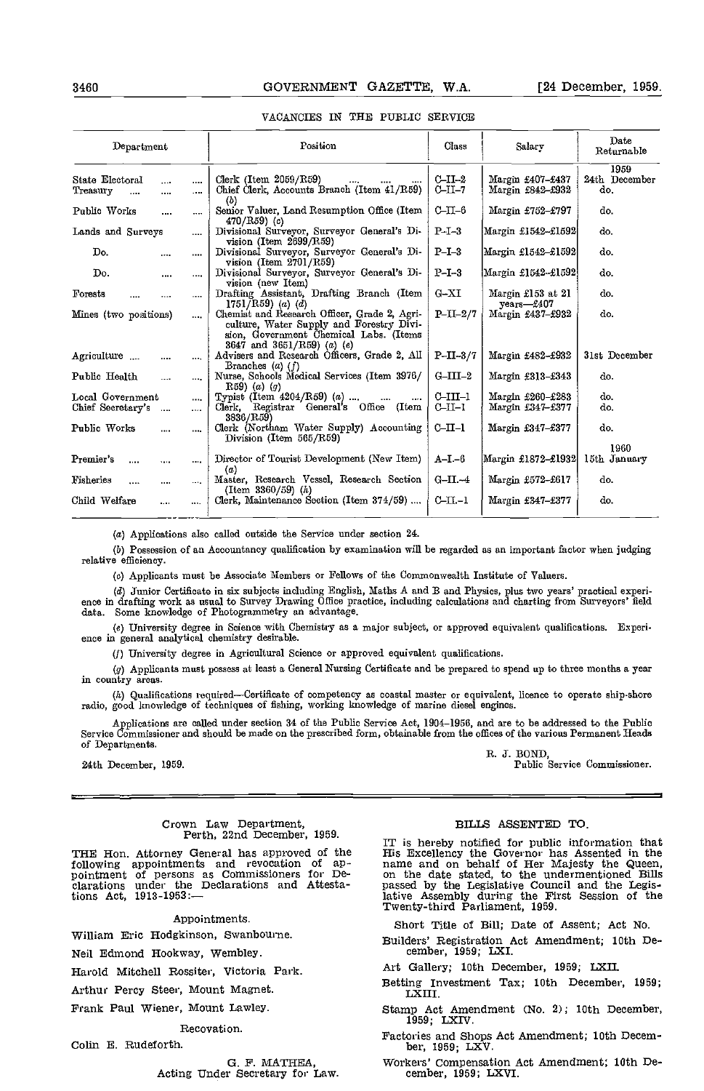| Department                              |            |              | Position                                                                                                                                                         | Class                 | Salarv                               | Date<br>Returnable           |
|-----------------------------------------|------------|--------------|------------------------------------------------------------------------------------------------------------------------------------------------------------------|-----------------------|--------------------------------------|------------------------------|
| State Electoral<br>Treasury<br>$\cdots$ | $\sim$<br> | $\cdots$<br> | Clerk (Item 2059/R59)<br>Chief Clerk, Accounts Branch (Item 41/R59)                                                                                              | $C-II-2$<br>$C$ -II-7 | Margin £407-£437<br>Margin £842-£932 | 1959<br>24th December<br>do. |
| Public Works                            |            |              | (b)<br>Senior Valuer, Land Resumption Office (Item<br>$470/R59$ (c)                                                                                              | $C-T-6$               | Margin £752-£797                     | do.                          |
| Lands and Surveys                       |            | $\cdots$     | Divisional Surveyor, Surveyor General's Di-<br>vision (Item $2699/R59$ )                                                                                         | $P-I-3$               | Margin £1542–£1592                   | do.                          |
| Do.                                     | $\cdots$   |              | Divisional Surveyor, Surveyor General's Di-<br>vision (Item $2701/R59$ )                                                                                         | $P-I-3$               | Margin £1542–£1592                   | do.                          |
| Do.                                     | $\cdots$   | ----         | Divisional Surveyor, Surveyor General's Di-<br>vision (new Item)                                                                                                 | $P-I-3$               | Margin £1542–£1592                   | do.                          |
| Forests                                 | $\cdots$   | $\cdots$     | Drafting Assistant, Drafting Branch (Item<br>$1751/R59$ (a) (d)                                                                                                  | $G-XI$                | Margin £153 at 21<br>$vears - 6407$  | do.                          |
| Mines (two positions)                   |            | $\cdots$     | Chemist and Research Officer, Grade 2, Agri-<br>culture, Water Supply and Forestry Divi-<br>sion, Government Chemical Labs. (Items<br>3647 and 3651/R59) (a) (e) | $P-II-2/7$            | Margin £437–£932                     | do.                          |
| Agriculture                             | $\cdots$   | $\cdots$     | Advisers and Research Officers, Grade 2, All<br>Branches $(a)$ $(f)$                                                                                             | $P-II-3/7$            | Margin £482-£932                     | 31st December                |
| Public Health                           |            | $\cdots$     | Nurse, Schools Medical Services (Item 3976/<br>R59) $(a)$ $(g)$                                                                                                  | $G-III-2$             | Margin £313-£343                     | do.                          |
| Local Government                        |            | $\cdots$     | Typist (Item $4204/R59$ ) (a)<br>$\cdots$                                                                                                                        | $C-III-1$             | Margin £260-£283                     | do.                          |
| Chief Secretary's                       | $\cdots$   | $\cdots$     | Clerk, Registrar General's Office (Item<br>3836/R59)                                                                                                             | $CLL-1$               | Margin £347-£377                     | do.                          |
| Public Works                            |            |              | Clerk (Northam Water Supply) Accounting<br>Division (Item 565/R59)                                                                                               | $CLII-1$              | Margin £347–£377                     | do.                          |
| Premier's<br>                           | $\cdots$   | $\cdots$     | Director of Tourist Development (New Item)<br>(a)                                                                                                                | $A-I-6$               | Margin £1872–£1932                   | 1960<br>15th January         |
| Fisheries<br>$\cdots$                   |            | $\cdots$     | Master, Research Vessel, Research Section<br>(Item 3360/59) $(h)$                                                                                                | $G-II-4$              | Margin £572-£617                     | do.                          |
| Child Welfare                           | $\cdots$   | $\cdots$     | Clerk, Maintenance Section (Item 374/59)                                                                                                                         | $C-H-1$               | Margin £347–£377                     | do.                          |

#### VACANCIES IN THE PUBLIC SERVICE

(a) Applications also called outside the Service under section 24.

(b) Possession of an Accountancy qualification by examination will be regarded as an important factor when judging relative efficiency.

(a) Applicants must be Associate Members or Fellows of the Commonwealth Institute of Valuers.

Junior Cortificate in six subjects including English, Maths A and B and Physics, plus two years' practical experieace in drafting work as usual to Survey Drawing Office practice, including calculations and charting from Surveyors' field data. Some knowledge of Photogrammetry an advantage.

University degree in Science witb Chemistry as a major subject, or approved equivalent qualifications. Experience in general analytical chemistry desirable.

(1) University degree in Agricultural Science or approved equivalent qualifications.

(g) Applicants must possess at least a General Nursing Certificate and be prepared to spend up to tbree months a year in country areas.

 $(h)$  Qualifications required—Certificate of competency as coastal master or equivalent, licence to operate ship-shore radio, good knowledge of techniques of fishing, working knowledge of marine diesel engines.

Applications are called under section 34 of the Public Service Act, 1904–1956, and are to be addressed to the Public Service Commissioner and should be made on the prescribed form, obtainable from the offices of the variou of Departments.

24th December, 1959.

R. 3. BOND,

Poblio Service Commissioner.

# Crown Law Department, Perth, 22nd December, 1959.

THE Hon. Attorney General has approved of the Fis following appointments and revocation of ap-<br>pointment of persons as Commissioners for De- on the<br>clarations under the Declarations and Attesta- passe tions Act, 1913-1953:

#### Appointments.

William Eric Hodgkinson, Swanbourne.

Neil Edmond Hookway, Wembley.

Harold Mitchell Rossiter, Victoria Park.

Arthur Percy Steer, Mount Magnet.

Frank Paul Wiener, Mount Lawley.

#### Recovation.

Colin E. Rudeforth.

G. F. MATHEA,<br>Acting Under Secretary for Law.

#### BILLS ASSENTED TO.

IT is hereby notified for public information that<br>His Excellency the Governor has Assented in the<br>name and on behalf of Her Majesty the Queen, lative and on the date stated, to the undermentioned Bills<br>passed by the Legislative Council and the Legis-<br>lative Assembly during the First Session of the<br>Twenty-third Parliament, 1959.

Short Title of Bill; Date of Assent; Act No.

Builders' Registration Act Amendment; 10th De- cember, 1959; LXI.

Art Gallery; 10th December, 1959; LXII.

Betting Investment Tax; 10th December, 1959; LX III.

Stamp Act Amendment (No. 2); 10th December, 1959; LXIV

Factories and Shops Act Amendment; 10th Decem- ber, 1959; LXV.

Workers' Compensation Act Amendment; 10th De- cember, 1959; LXVI.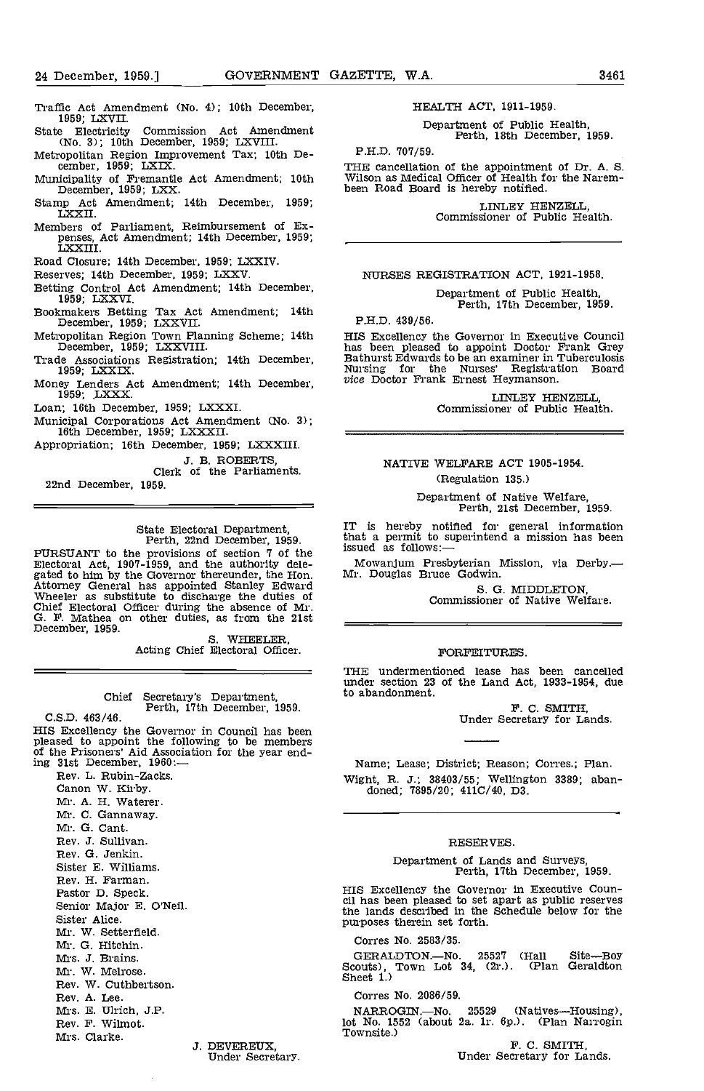- Traffic Act Amendment (No. 4); 10th December, 1959; LXVII.
- State Electricity Commission Act Amendment (No. 3); 10th December, 1959; LXVIII.
- Metropolitan Region Improvement Tax; 10th De-<br>cember, 1959; LXIX.<br>THE cancellation of the appointment of Dr. A. S.
- Municipality of Fremantle Act Amendment; 10th December, 1959; LXX.
- Stamp Act Amendment; 14th December, 1959; LXXII
- Members of Parliament, Reimbursement of Expenses, Act Amendment; 14th December, 1959;<br>LXXIII.
- Road Closure: 14th December, 1959; LXXIV
- Reserves; 14th December, 1959; LXXV.
- Betting Control Act Amendment; 14th December, 1959; LXXVI.
- Bookmakers Betting Tax Act Amendment; 14th December, 1959; LXXVII.
- Metropolitan Region Town Planning Scheme; 14th December, 1959; LXXVIII.
- Associations Registration; 14th December, 1959; LXXIX
- Money Lenders Act Amendment; 14th December, 1959; LXXX
- Loan; 16th December, 1959; LXXXI
- Municipal Corporations Act Amendment (No. 3); 16th December, 1959; LXXXII.
- Appropriation; 16th December, 1959; LXXXIII

J. B. ROBERTS, Clerk of the Parliaments.

22nd December, 1959.

State Electoral Department,<br>Perth, 22nd December, 1959.<br>FURSUANT to the provisions of section 7 of the<br>Electoral Act, 1907-1959, and the authority delegated to him by the Governor thereunder, the Hon. Mr. Douglas Bruce Godwin.<br>
Attorney General has appointed Stanley Edward S. G.<br>
Wheeler as substitute to discharge the duties of Chief Electoral Officer during the absence

Chief Secretary's Department, Perth, 17th December, 1959. C.S.D. 463/46.

HIS Excellency the Governor in Council has been pleased to appoint the following to be members of the Prisoners' Aid Association for the year ending 31st December, 1960:

Rev. L. Rubin-Zacks. Canon W. Kirby. Mr. A. H. Waterer. Mr. C. Oannaway. Mr. G. Cant. Rev. J. Sullivan. Rev. G. Jenkin. Sister E. Williams. Rev. H. Farman. Pastor D. Speck. Senior Major B. O'Neil. Sister Alice. Mr. W. Setterfield. Mr. G. Hitchin. Mrs. J. Brains. Mr. W. Melrose. Rev. W. Cuthbertson. Rev. A. Lee. Mrs. E. Ulrich, J.P. Rev. F. Wilmot. Mrs. Clarke.

J. DEVEREUX, Under Secretary.

HEALTH ACT, 1911-1959.

Department of Public Health, Perth, 18th December, 1959.

P.H.D. 707/59.

Wilson as Medical Officer of Health for the Narembeen Road Board is hereby notified.

LINLEY HENZELL, Commissioner of Public Health.

NURSES REGISTRATION ACT, 1921-1958.

# Department of Public Health, Perth, 17th December, 1959.

P.H.D. 439/56.

HIS Excellency the Governor in Executive Council has been pleased to appoint Doctor Frank Grey Bathurst Edwards to be an examiner in Tuberculosis Nursing for the Nurses' Registration Board vice Doctor Frank Ernest Heymanson.

LINLEY HENZELL, Commissioner of Public Health.

# NATIVE WELFARE ACT 1905-1954. (Regulation 135.)

Department of Native Welfare, Perth, 21st December, 1959.

IT is hereby notified for general information that a permit to superintend a mission has been issued as follows:-

Mowanjum Presbyterian Mission, via Derby.

S. 0. MIDDLETON, Commissioner of Native Welfare.

### FORFEITURES.

THE undermentioned lease has been cancelled under section 23 of the Land Act, 1933-1954, due to abandonment.

P. C. SMITH, Under Secretary for Lands.

Name; Lease; District; Reason; Corres.; Plan. Wight, R. 3.; 38403/55; Wellington 3389; aban- doned; 7895/20; 4110/40, D3.

#### RESERVES.

Department of Lands and Surveys, Perth, 17th December, 1959.

HIS Excellency the Governor in Executive Coun- cil has been pleased to set apart as public reserves the lands described in the Schedule below for the purposes therein set forth.

Corres No. 2583/35.

GERALDTON.—No. 25527 (Hall Site—Boy Scouts), Town Lot 34, (2r.). (Plan Geraldton Sheet 1.)

#### Corres No. 2086/59.

NARROGIN.—No. 25529 (Natives—Housing), lot No. 1552 (about 2a. 1r. 6p.). (Plan Narrogin Townsite.)

Under Secretary for Lands.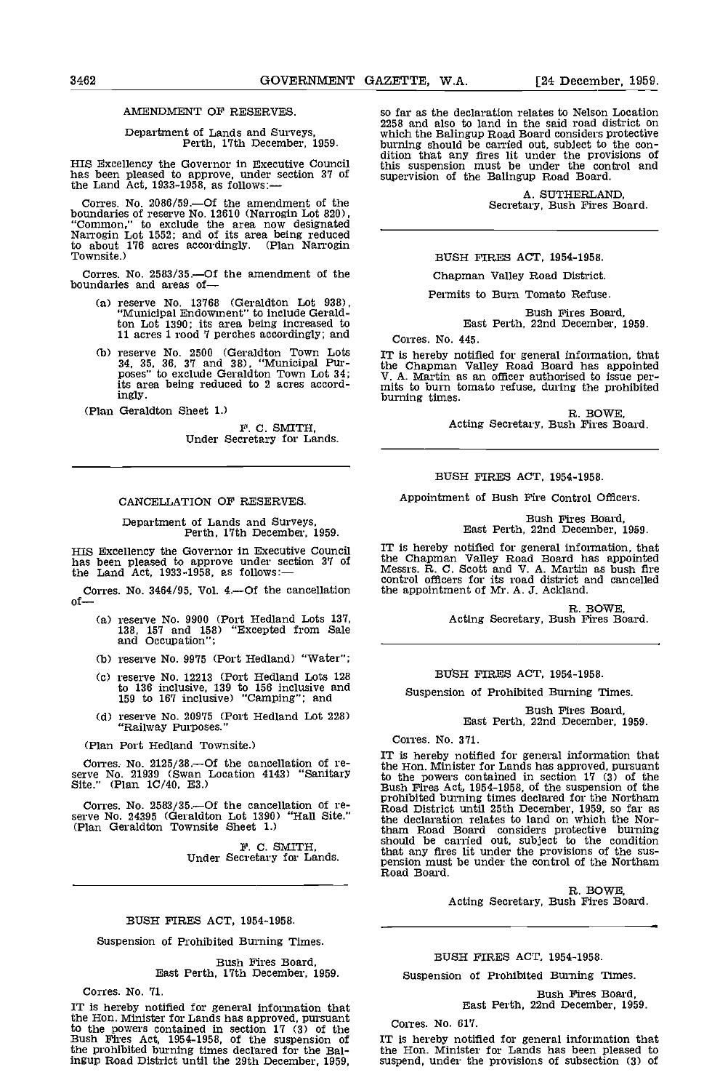#### AMENDMENT OF RESERVES.

# Department of Lands and Surveys, Perth, 17th December, 1959.

HIS Excellency the Governor in Executive Council in the sole of the been pleased to approve, under section 37 of sum the Land Act, 1933-1958, as follows:

Corres. No. 2086/59.—Of the amendment of the boundaries of reserve No. 12610 (Narrogin Lot 820), "Common," to exclude the area now designated Narrogin Lot 1552; and of its area being reduced to about 176 acres accordingly. (Plan Narrogin Townsite.)

Corres. No. 2583/35.—Of the amendment of the boundaries and areas of—

- reserve No. 13768 (Geraldton Lot 938), "Municipal Endowment" to include Geraldton Lot 1390; its area being increased to 11 acres 1 rood 7 perches accordingly; and
- reserve No. 2500 (Geraldton Town Lots 34, 35, 36, 37 and 38), "Municipal Pur- poses" to exclude Geraldton Town Lot 34; its area being reduced to 2 acres accordingly.

(Plan Geraldton Sheet 1,)

F. C. SMITH,<br>Under Secretary for Lands.

#### CANCELLATION OF RESERVES.

# Department of Lands and Surveys, perth, 17th December, 1959.

HIS Excellency the Governor in Executive Council has been pleased to approve under section 37 of the Land Act,  $1933-1958$ , as follows:-

Corres. No. 3464/95, Vol. 4.—Of the cancellation of—

- (a) reserve No. 9900 (Port Hedland Lots 137, 138, 157 and 158) "Excepted from Sale  $138, 157$  and  $158$ )<br>and Occupation";
- (h) reserve No. 9975 (Port Hedland) "Water";
- reserve No. 12213 (Port Hedland Lots 128 to 136 inclusive, 139 to 156 Inclusive and 159 to 167 inclusive) "Camping"; and
- reserve No. 20975 (Port Hedland Lot 228) "Railway Purposes."

(Plan Port Hedland Townsite.)

Corres. No. 2125/38.-- Of the cancellation of reserve No. 21939 (Swan Location 4143) "Sanitary stole in Site."<br>Site." (Plan 1C/40, E3.) Bush

Corres. No. 2583/35.-- Of the cancellation of reserve No. 24395 (Geraldton Lot 1390) "Hall Site." the CPIan Geraldton Townsite Sheet 1.) that

F. C. SMITH,<br>Under Secretary for Lands.

# BUSH FIRES ACT, 1954-1958.

Suspension of Prohibited Burning Times.

Bush Fires Board, East Perth, 17th December, 1959.

Corres. No. 71.

IT is hereby notified for general information that the Hon. Minister for Lands has approved, pursuant the Hon. Minister for Lands has approved, pursuant to the powers contained in section 17 (3) of the Contained Bush Fires Act, 1954-1958, of the suspension of IT is the prohibited burning times decInred for the Bal-Ingup Road District until the 29th December, 1959,

so far as the declaration relates to Nelson Location 2258 and also to land in the said road district on<br>which the Balingup Road Board considers protective burning should be carried out, subject to the condition that any fires lit under the provisions of this suspension must be under the control and supervision of the Balingup Road Board.

A. SUTHERLAND, Secretary, Bush Fires Board.

#### BUSH FIRES ACT, 1954-1958.

Chapman Valley Road District.

Permits to Bum Tomato Refuse.

Bush Fires Board, East Perth, 22nd December, 1959.

#### Corres. No. 445.

IT is hereby notified for general Information, that the Chapman Valley Road Board has appointed V. A. Martin as an officer authorised to issue per- mits to burn tomato refuse, during the prohibited burning times.

R. BOWE, Acting Secretary, Bush Fires Board.

### BUSH FIRES ACT, 1954-1958.

Appointment of Bush Fire Control Officers.

Bush Fires Board, East Perth, 22nd December, 1959.

IT is hereby notified for general information, that the Chapman Valley Road Board has appointed Messrs. R C. Scott and V. A. Martin as bush fire control officers for its road district and cancelled the appointment of Mr. A. J. Ackland.

R. BOWE, Acting Secretary, Bush Fires Board.

#### BUSH FIRES ACT, 1954-1958.

Suspension of Prohibited Burning Times.

Bush Fires Board, East Perth, 22nd December, 1959.

Corres. No. 371.

IT is hereby notified for general Information that the Hon. Minister for Lands has approved, pursuant to the powers contained in section 17 (3) of the Bush Fires Act, 1954-1958, of the suspension of the prohibited burning times declared for the Northam Road District until 25th December, 1959, so far as the declaration relates to land on which the Nor-tham Road Board considers protective burning should be carried out, subject to the condition that any fires lit under the provisions of the sus- pension must be under the control of the Northam pension must be under the control of the Northam<br>Road Board.

R. BOWE,<br>Acting Secretary, Bush Fires Board.

#### BUSH FIRES ACT. 1954-1958.

Suspension of Prohibited Burning Times.

# Bush Fires Board, East Perth, 22nd December, 1959.

Corres. No. 617.

IT Is hereby notified for general information that the Hon. Minister for Lands has been pleased to suspend, under the provisions of subsection (3) of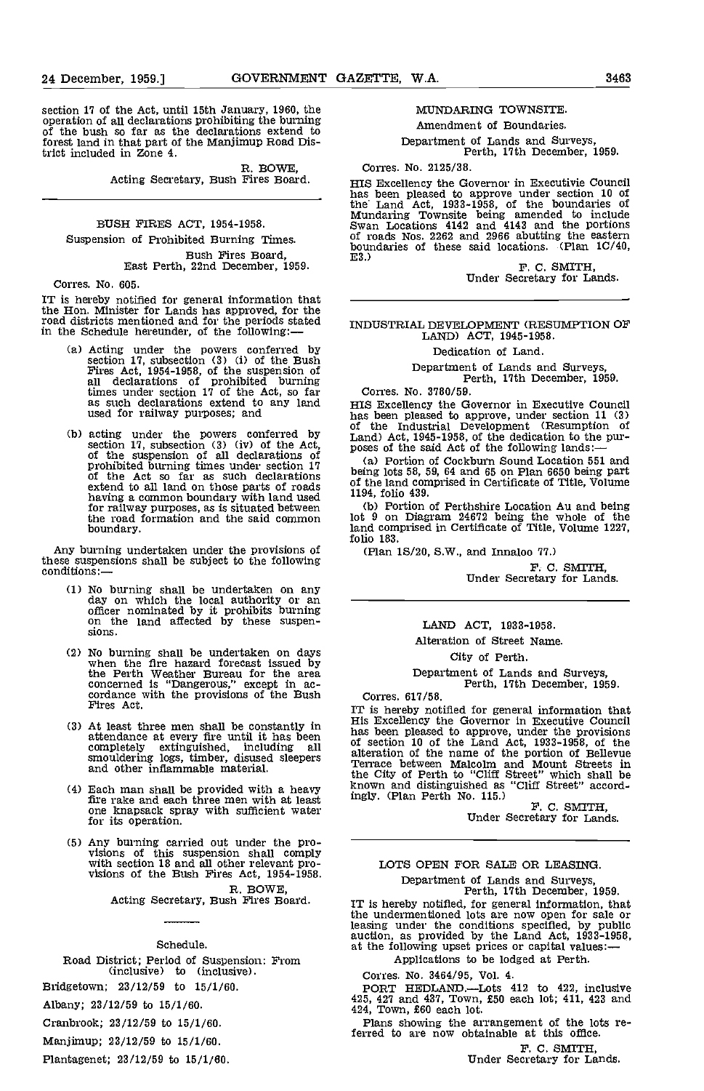section 17 of the Act, until 15th January, 1960, the operation of all declarations prohibiting the burning of the bush so far as the declarations extend to forest land in that part of the Manjimup Road District included in Zone 4.

R. BOWE,<br>Acting Secretary, Bush Fires Board.

# BUSH FIRES ACT, 1954-1958. Suspension of Prohibited Burning Times.

Bush Fires Board. East Perth, 22nd December, 1959.

Corres. No. 605.

IT is hereby notified for general information that the Hon. Minister for Lands has approved, for the road districts mentioned and for the periods stated in the Schedule hereunder, of the following:

- Acting under the powers conferred by section 17, subsection (3) (i) of the Bush<br>Fires Act, 1954-1958, of the suspension of<br>all declarations of prohibited burning times under section 17 of the Act, so far Correlas such declarations extend to any land  $_{\rm HIS \ E2}$ as such declarations extend to any land<br>used for railway purposes; and
- section 17, subsection (3) (iv) of the Act,  $\frac{1}{2}$  poses of the said Act of the following lands:—<br>of the suspension of all declarations of prohibited burning times under section 17 (a) Portion of Cockburn Sound Locatio extend to all land on those parts of roads of the having a common boundary with land used 1194, for railway purposes, as is situated between (b) the road formation and the said common lot 9 boundary.

Any burning undertaken under the provisions of (P);<br>these suspensions shall be subject to the following<br>conditions:—

- No burning shall be undertaken on any day on which the local authority or an officer nominated by it prohibits burning on the land affected by these suspensions.
- No burning shall be undertaken on days when the fire hazard forecast issued by the Perth Weather Bureau for the area concerned is "Dangerous," except in ac-<br>cordance with the provisions of the Bush Corr<br>Fires Act. Trues Act.
- At least three men shall be constantly in  $\frac{HIS}{PPS}$  has attendance at every fire until it has been completely extinguished, including all smouldering logs, timber, disused sleepers alternational control and other inflammable material.
- Each man shall be provided with a heavy fire rake and each three men with at least one knapsack spray with sufficient water for its operation.
- Any burning carried out under the pro- visions of this suspension shall comply with section 18 and all other relevant pro- visions of the Bush Fires Act, 1954-1958.

R. BOWE,<br>Acting Secretary, Bush Fires Board.

### Schedule.

Road District; Period of Suspension: From (inclusive) to (inclusive).

Bridgetown; 23/12/59 to 15/1/60.

Albany; 23/12/59 to 15/1/60.

Cranbrook; 23/12/59 to 15/1/60.

Manjimup; 23/12/59 to 15/1/60.

Plantagenet; 23/12/59 to 15/1/60.

#### MUNDARING TOWNSITE.

Amendment of Boundaries.

Department of Lands and Surveys, Perth, 17th December, 1959.

Corres. No. 2125/38.

HIS Excellency the Governor in Executivie Council has been pleased to approve under section 10 of the Land Act, 1933-1958, of the boundaries of<br>Mundaring Townsite being amended to include<br>Swan Locations 4142 and 4143 and the portions<br>of roads Nos. 2262 and 2966 abutting the eastern<br>boundaries of these said locations. (

ES.) F. C. SMITH, Under Secretary for Lands.

# INDUSTRIAL DEVELOPMENT (RESUMPTION OF LAND) ACT, 1945-1958.

Dedication of Land.

Department of Lands and Surveys, Perth, 17th December, 1959.

(b) acting under the powers conferred by  $\frac{1}{2}$  and Act, 1945-1958, of the dedication to the pur-<br>section 17, subsection (3) (iv) of the Act, poses of the said Act of the following lands:— Corres. No. 3780/59.<br>HIS Excellency the Governor in Executive Council has been pleased to approve, under section 11 (3)<br>of the Industrial Development (Resumption of

> Portion of Cockburn Sound Location 551 and being lots 58, 59, 64 and 65 on Plan 6650 being part of the land comprised in Certificate of Title, Volume 1194, folio 439.

> (b) Portion of Perthshire Location Au and being<br>lot 9 on Diagram 24672 being the whole of the land comprised in Certificate of Title, Volume 1227, folio 183.

(Plan 1S/20, S.W., and Innaloo 77.)

F. C. SMITH,<br>Under Secretary for Lands.

# LAND ACT, 1933-1958.

Alteration of Street Name.

City of Perth.

Department of Lands and Surveys, Perth, 17th December, 1959.

Corres. 617/58.<br>IT is hereby notified for general information that IT is hereby notified for general information that<br>His Excellency the Governor in Executive Council<br>has been pleased to approve, under the provisions<br>of section 10 of the Land Act, 1933-1958, of the<br>alteration of the name the City of Perth to "Cliff Street" which shall be known and distinguished as "Cliff Street" accord-

ingly. (Plan Perth No. 115.)<br>F. C. SMITH,<br>Under Secretary for Lands.

# LOTS OPEN FOR SALE OR LEASING Department of Lands and Surveys, Perth, 17th December, 1959.

IT Is hereby notified, for general Information, that the undermentloned lots are now open for sale or leasing under the conditions specified, by public auction, as provided by the Land Act, 1933-1958, at the following upset prices or capital values:

Applications to be lodged at Perth.

Corres. No. 3464/95, Vol. 4.

PORT HEDLAND.Lots 412 to 422, inclusive 425, 427 and 437, Town, £50 each lot; 411, 423 and 424, Town, £60 each lot.

Plans showing the arrangement of the lots referred to are now obtainable at this office.

F. C. SMITH,<br>Under Secretary for Lands.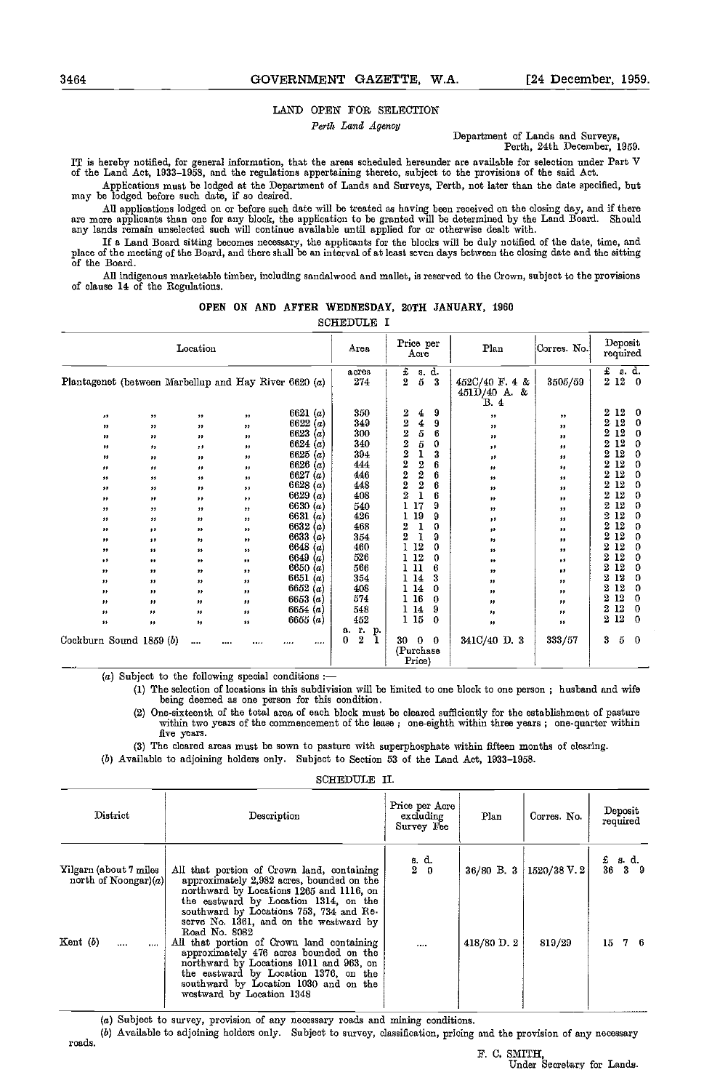### LAND OPEN FOR SELECTION

Perth Land Agency<br>
Department of Lands and Surveys,

Perth, 24th December, 1959.

IT is hereby notified, for general information, that the areas scheduled hereunder are available for selection under Part V<br>of the Land Act, 1933–1958, and the regulations appertaining thereto, subject to the provisions of

Applications must be lodged at the Department of Lands and Surveys, Perth, not later than the date specified, but may be lodged before such date, if so dosired.

All applications lodged on or before such date will be treated as having been received on the closing day, and if there<br>are more applicants than one for any block, the application to be granted will be determined by the La

If a Land Board sitting becomes necessary, the applicants for the blocks will be duly notified of the date, time, and<br>place of the meeting of the Board, and there shall be an interval of at least seven days between the clo of the Board.

All indigenous marketable timber, including sandalwood and mallet, is reserved to the Crown, subject to the provisions of clause 14 of the Regulations.

|  |  |  |  | OPEN ON AND AFTER WEDNESDAY, 20TH JANUARY, 1960 |  |  |  |
|--|--|--|--|-------------------------------------------------|--|--|--|
|--|--|--|--|-------------------------------------------------|--|--|--|

SCHEDULE I

|                         | Location               |                        |                  |                                                           |                               | Price per<br>Acre                                 | Plan                                       | Corres No.       | Deposit<br>required                     |
|-------------------------|------------------------|------------------------|------------------|-----------------------------------------------------------|-------------------------------|---------------------------------------------------|--------------------------------------------|------------------|-----------------------------------------|
|                         |                        |                        |                  | Plantagenet (between Marbellup and Hay River 6620 $(a)$ ) | acres<br>274                  | s. d.<br>$\frac{1}{2}$<br>$\bf{5}$<br>3           | $452C/40$ F. 4 &<br>$451D/40$ A. &<br>B. 4 | 3505/59          | £<br>s. d.<br>$2\,12$<br>$\overline{0}$ |
| 33                      | ,,                     | $^{\ast \ast}$         | $\bullet\bullet$ | 6621 $(a)$                                                | 350                           | 2<br>9<br>4                                       | ,,                                         | "                | 12<br>2<br>0                            |
| $\pmb{\ast}$            | ${}^{**}$              | $^{\ast \ast}$         | $\bullet\bullet$ | 6622 $(a)$                                                | 349                           | $\overline{2}$<br>4<br>9                          | ,,                                         | "                | $\mathbf{2}$<br>12<br>0                 |
| ,,                      | ,,                     | $^{\tiny\textsf{ss}}$  | $\bullet\bullet$ | 6623 $(a)$                                                | 300                           | $\overline{2}$<br>5<br>6                          | ${}^{\ast\ast}$                            | ,,               | 2<br>12<br>0                            |
| ,,                      | ,,                     | ,,                     | $\bullet\bullet$ | 6624 $(a)$                                                | 340                           | 2<br>5<br>0                                       | $\bullet\bullet$                           | ,,               | 12<br>2<br>0                            |
| $\bullet\bullet$        | $\pmb{\ast}$           | $^{\ast\ast}$          | $\bullet\bullet$ | 6625 $(a)$                                                | 394                           | $\overline{2}$<br>ı<br>3                          | ,,                                         | $\bullet\bullet$ | 12<br>2<br>0                            |
| ,,                      | ,,                     | ,,                     | ,,               | 6626 $(a)$                                                | 444                           | 2<br>$\overline{2}$<br>6                          | $\pmb{\ast}$                               | ,,               | 12<br>2<br>0                            |
| $\pmb{\vphantom{1}}$    | $\pmb{\vphantom{1}}$   | ,,                     | $\bullet\bullet$ | 6627<br>(a)                                               | 446                           | 2<br>$\boldsymbol{2}$<br>6                        | $\pmb{\vphantom{1}}$                       | ,,               | 12<br>2<br>0                            |
| ,,                      | ,,                     | ,,                     | $, \,$           | 6628 $(a)$                                                | 448                           | $\overline{\mathbf{2}}$<br>2<br>6                 | $\pmb{\vphantom{1}}$                       | ,,               | 12<br>2<br>0                            |
| ,,                      | ,,                     | $, \, \,$              | $\bullet\bullet$ | 6629 $(a)$                                                | 408                           | $\overline{2}$<br>$\mathbf{I}$<br>6               | $\pmb{\vphantom{1}}$                       | ,,               | 2<br>12<br>0                            |
| ,,                      | ,,                     | $^{\tiny\textsf{33}}$  | $\pmb{\cdot}$    | 6630 $(a)$                                                | 540                           | 17<br>9                                           | ${}^{**}$                                  | ,,               | 2<br>12<br>0                            |
| $\pmb{\cdot}$           | ,,                     | $\pmb{\vphantom{1}}$   | $\pmb{\cdot}$    | 6631 $(a)$                                                | 426                           | 19<br>9                                           | $\pmb{\cdot}$                              | ,,               | 2<br>12<br>0                            |
| $^{\ast\ast}$           | ,,                     | ,,                     | $\pmb{\ast}$     | 6632 (a)                                                  | 468                           | 2<br>ı<br>0                                       | ,,                                         | ,,               | 12<br>2<br>0                            |
| $\bullet\bullet$        | $, \,$                 | $\bullet\bullet$       | $\bullet\bullet$ | 6633 $(a)$                                                | 354                           | $\overline{2}$<br>9                               | $^{\ast\ast}$                              | ,,               | 2<br>12<br>0                            |
| $^{\ast\ast}$           | $^{\ast\ast}$          | ${}^{**}$              | $\pmb{\ast}$     | 6648 $(a)$                                                | 460                           | 12<br>1<br>0                                      | $\pmb{\ast}\pmb{\ast}$                     | $\bullet\bullet$ | 2<br>12<br>0                            |
| ,,                      | $\bullet\bullet$       | ${}^{**}$              | $\pmb{\ast}$     | 6649 $(a)$                                                | 526                           | 1 12<br>0                                         | $\pmb{\ast}\pmb{\ast}$                     | ,,               | 2<br>12<br>0                            |
| $\pmb{\ast}\pmb{\ast}$  | $\pmb{\ast}\pmb{\ast}$ | ${}^{^{\prime\prime}}$ | $\pmb{\cdots}$   | 6650 $(a)$                                                | 566                           | 1 11<br>6                                         | $\pmb{\ast}$                               | ,,               | 2<br>12<br>0                            |
| ,,                      | ,,                     | ,,                     | ,,               | 6651 $(a)$                                                | 354                           | 114<br>3                                          | $\pmb{\vphantom{1}}$                       | ,,               | 2<br>12<br>0                            |
| ,,                      | ,,                     | ${}^{^{\prime\prime}}$ | ${}^{^{\prime}}$ | 6652 $(a)$                                                | 408                           | 114<br>0                                          | $\pmb{\vphantom{1}}$                       | ,,               | 2<br>12<br>0                            |
| ,,                      | "                      | ,,                     | ${}^{**}$        | 6653 $(a)$                                                | 574                           | 16<br>ı<br>0                                      | $\pmb{\vphantom{1}}$                       | ,,               | 2<br>12<br>0                            |
| ,,                      | $\pmb{\vphantom{1}}$   | ${}^{**}$              | ${}^{**}$        | 6654 $(a)$                                                | 548                           | 9<br>114                                          | $\pmb{\cdot}$                              | ,,               | 12<br>2<br>0                            |
| $\bullet\bullet$        | ,,                     | ,,                     | $\pmb{\ast}$     | 6655 $(a)$                                                | 452                           | 115<br>0                                          | $\pmb{\vphantom{1}}$                       | "                | 12<br>2<br>0                            |
| Cockburn Sound 1859 (b) |                        |                        | <br>             | <br>                                                      | г.<br>p.<br>a.<br>2<br>0<br>1 | 30<br>$\Omega$<br>$\bf{0}$<br>(Purchase<br>Price) | 341C/40 D. 3                               | 333/57           | 5<br>3<br>0                             |

 $(a)$  Subject to the following special conditions :-

(1) The selection of locations in this subdivision will be limited to one block to one person; husband and wife being deemed as one person for this condition.

(2) One-sixteenth of the total area of each block must be cleared sufficiently for the establishment of pasture within two years of the commencement of the lease; one-eighth within three years; one-quarter within five years.

(3) The cleared areas must be sown to pasture with superphosphate within fifteen months of clearing.

(b) Available to adjoining holders only. Subject to Section 53 of the Land Act, 1933-1958.

SCHEDULE IL

| District                                         | Description                                                                                                                                                                                                                                                                        | Price per Acre<br>excluding<br>Survey Fee              | Plan           | Corres. No. | Deposit<br>required                                                                |
|--------------------------------------------------|------------------------------------------------------------------------------------------------------------------------------------------------------------------------------------------------------------------------------------------------------------------------------------|--------------------------------------------------------|----------------|-------------|------------------------------------------------------------------------------------|
| Yilgarn (about 7 miles<br>north of Noongar $(a)$ | All that portion of Crown land, containing<br>approximately 2,982 acres, bounded on the<br>northward by Locations 1265 and 1116, on<br>the eastward by Location 1314, on the<br>southward by Locations 753, 734 and Re-<br>serve No. 1361, and on the westward by<br>Road No. 8082 | $\begin{smallmatrix} 8 & d \\ 2 & 0 \end{smallmatrix}$ | $36/80$ B, $3$ | 1520/38 V.2 | $\begin{array}{cc} \texttt{£} & \texttt{s} & \texttt{d} \\ 36 & 3 & 9 \end{array}$ |
| $Kent$ (b)<br>$\cdots$                           | All that portion of Crown land containing<br>approximately 476 acres bounded on the<br>northward by Locations 1011 and 963, on<br>the eastward by Location 1376, on the<br>southward by Location 1030 and on the<br>westward by Location 1348                                      | $\cdots$                                               | 418/80 D. 2    | 819/29      | 76<br>15                                                                           |

(a) Subject to survey, provision of any necessary roads and mining conditions.

(5) Available to adjoining holders only. Subject to survey, classification, pricing and the provision of any necessary

roads.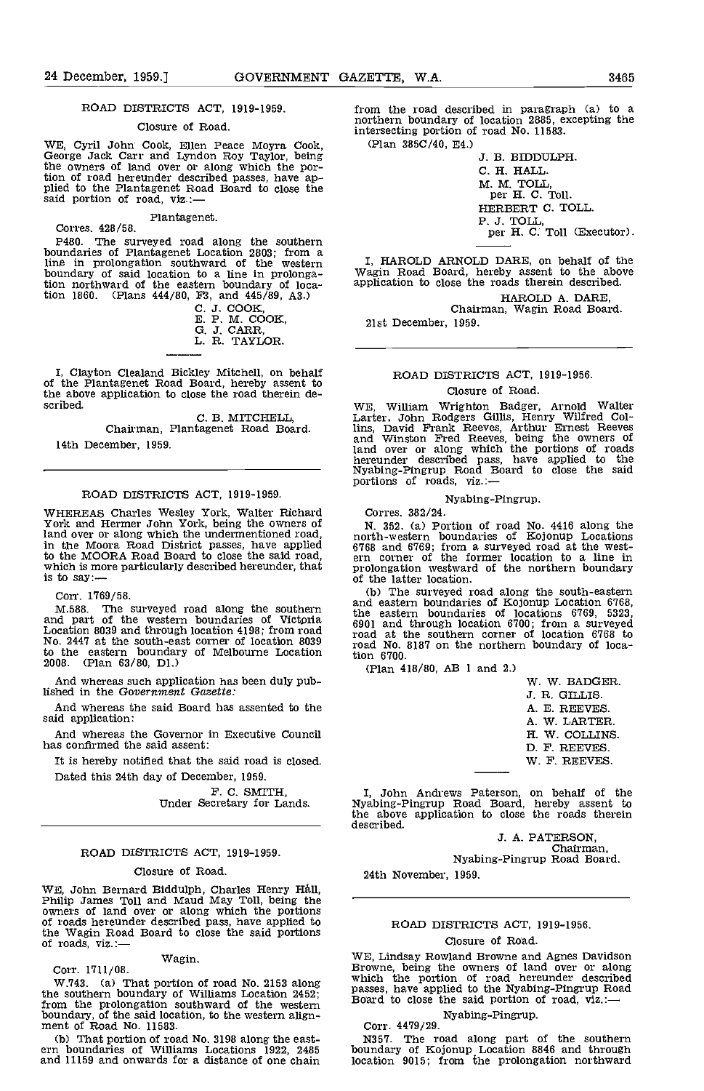#### ROAD DISTRICTS ACT, 1919-1959.

### Closure of Road.

WE, Cyril John Cook, Ellen Peace Moyra Cook, George Jack Carr and Lyndon Roy Taylor, being the owners of land over or along which the portion of road hereunder described passes, have ap-<br>plied to the Plantagenet Road Board to close the<br>said portion of road, viz.:—

Plantagenet. Corres. 428/58.

P480. The surveyed road along the southern boundaries of Plantagenet Location 2803; from a line in prolongation southward of the western boundary of said location to a line in prolongation northward of the eastern boundary of location 1860. (Plans 444/80, F3, and 445/89, A3.)

C. J. COOK,<br>E. P. M. COOK, E. P. M. G. J. CARR, **E. S. A. C. A. S. A. S.**<br>L. R. TAYLOR.

I, Clayton Clealand Bickley Mitchell, on behalf of the Plantagenet Road Board, hereby assent to the above application to close the road therein de- scribed.

C. B. MITCHELL,<br>Chairman, Plantagenet Road Board. 14th December, 1959.

#### ROAD DISTRICTS ACT, 1919-1959.

WHEREAS Charles Wesley York, Walter Richard<br>York and Hermer John York, being the owners of<br>land over or along which the undermentioned road, land over or along which the undermentioned road, in the Moora Road District passes, have applied 6768 a to the MOORA Road Board to close the said road,<br>which is more particularly described hereunder, that is to say:—

Corr. 1769/58.

M.588. The surveyed road along the southern and part of the western boundaries of Victoria Location 8039 and through location 4198; from road No. 2447 at the south-east corner of location 8039<br>to the eastern boundary of Melbourne Location<br>2008. (Plan 63/80, D1.) 2008. (Plan 63/80, DI.)

And whereas such application has been duly published in the Government Gazette:

And whereas the said Board has assented to the said application:

And whereas the Governor in Executive Council has confirmed the said assent:

It is hereby notified that the said road is closed. Dated this 24th day of December, 1959.

F. C. SMITH,<br>Under Secretary for Lands.

#### ROAD DISTRICTS ACT, 1919-1959.

#### Closure of Road.

WE, John Bernard Biddulph, Charles Henry Hall, Philip James Toll and Maud May Toll, being the owners of land over or along which the portions of roads hereunder described pass, have applied to the Wagin Road Board to close the said portions of roads, viz.:-

Wagin.<br>Corr. 1711/08.

W.743. (a) That portion of road No. 2153 along which the southern boundary of Williams Location 2452; passes<br>from the prolongation southward of the western Board boundary, of the said location, to the western align- ment of Road No. 11583.

(b) That portion of road No. 3198 along the east- ern boundaries of Williams Locations 1922, 2485 and 11159 and onwards for a distance of one chain

from the road described in paragraph (a) to a northern boundary of location 2885, excepting the intersecting portion of road No. 11583.

(Plan 385C/40, E4.)

J. B. BIDDULPH. C. H. HALL M. M. TOLL,<br>per H. C. Toll. HERBERT C. TOLL. P. J. TOLL,<br>per H. C. Toll (Executor).

I, HAROLD ARNOLD DARE, on behalf of the Wagin Road Board, hereby assent to the above application to close the roads therein described.

HAROLD A. DARE, Chairman, Wagin Road Board.

21st December, 1959.

# ROAD DISTRICTS ACT, 1919-1956. Closure of Road.

WE, William Wrighton Badger, Arnold Walter<br>Larter, John Rodgers Gillis, Henry Wilfred Collins, David Frank Reeves, Arthur Ernest Reeves and Winston Fred Reeves, being the owners of land over or along which the portions of roads<br>hereunder described pass, have applied to the Nyabing-Pingrup Road Board to close the said portions of roads, viz.:-

#### Nyabing-Pingrup.

Corres. 382/24.

N. 352. (a) Portion of road No. 4416 along the north-western boundaries of Kojonup Locations 6768 and 6769; from a surveyed road at the west- ern corner of the former location to a line in prolongation \vestward of the northern boundary of the latter location.

(b) The surveyed road along the south-eastern and eastern boundaries of Kojonup Location 6768, the eastern boundaries of locations 6769, 5323, 6901 and through location 6700; from a surveyed road at the southern corner of location 6768 to road No. 8187 on the northern boundary of location 6700.

(Plan 418/80, AB 1 and 2.)

W. W. BADGER. J. R. GILLIS. A. E. REEVES. A. W. LARTER. H. W. COLLINS. D. F. REEVES. W. F. REEVES.

I, John Andrews Paterson, on behalf of the Nyabing-Pingrup Road Board, hereby assent to the above application to close the roads therein described.

3. A. PATERSON, Chairman, Nyabing-Pingrup Road Board.

24th November, 1959.

#### ROAD DISTRICTS ACT, 1919-1956.

### Closure of Road.

WE, Lindsay Rowland Browne and Agnes Davidson Browne, being the owners of land over or along which the portion of road hereunder described passes, have applied to the Nyabing-Pingrup Road Board to close the said portion of road, viz.:—

Nyabing-Pingrup. Corr. 4479/29.

N357. The road along part of the southern boundary of Kojonup Location 8846 and through location 9015; from the prolongation northward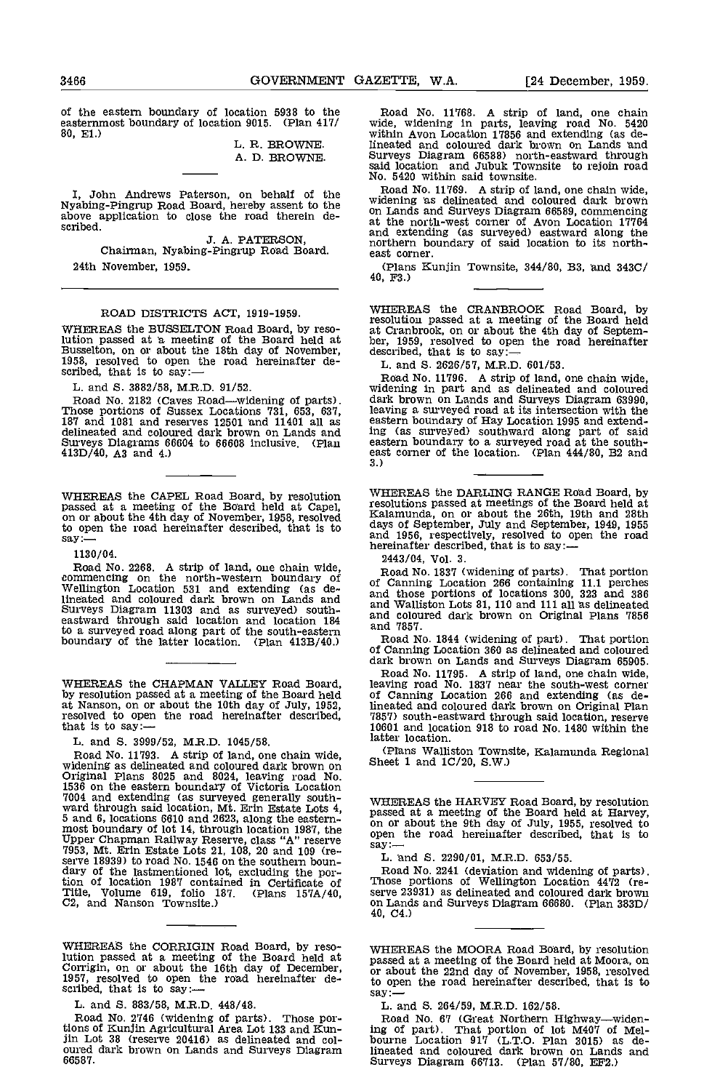of the eastern boundary of location 5938 to the easternmost boundary of location 9015. (Plan 417/<br>80, E1.) L. R. BROWNE.

A. D. BROWNE.

scribed.

J. A. PATERSON, Chairman, Nyabing-Pingrup Road Board. 24th November, 1959.

#### ROAD DISTRICTS ACT, 1919-1959.

WHEREAS the BUSSELTON Road Board, by reso-<br>lution passed at a meeting of the Board held at being<br>Busselton, on or about the 18th day of November, des<br>1958, resolved to open the road hereinafter de-<br>scribed, that is to say:

L. and S. 3882/58, M.R.D. 91/52.

Road No. 2182 (Caves Road—widening of parts). Those portions of Sussex Locations 731, 653, 637, 187 and 1081 and reserves 12501 and 11401 all as delineated and coloured dark brown on Lands and Surveys DIagrams 66604 to 66608 inclusive. (Plan 413D/40, AS and 4.)

WHEREAS the CAPEL Road Board, by resolution passed at a meeting of the Board held at Capel, on or about the 4th day of November, 1958, resolved to open the road hereinafter described, that is to days of<br>say:— and 1s

#### 1130/04.

Road No. 2268. A strip of land, one chain wide,<br>
commencing on the north-western boundary of Road<br>
Wellington Location 531 and extending (as de-<br>
lineated and coloured dark brown on Lands and and W Surveys Diagram 11303 and as surveyed) south- eastward through said location and location 184 to a surveyed road along part of the south-eastern and 7<br>boundary of the latter location. (Plan 413B/40.) Road

WHEREAS the CHAPMAN VALLEY Road Board, by resolution passed at a meeting of the Board held

L. and S. 3999/52, M.R.D. 1045/58.

Froad No. 11793. A strip of land, one chain wide,<br>widening as delineated and coloured dark brown on<br>Original Plans 8025 and 8024, leaving road No.<br>1536 on the eastern boundary of Victoria Location<br>1793. A strip of land, o tion of location 1987 contained in Certificate of Th Title, Volume 619, folio 187. (Plans 157A/40, 02, and Nanson Townslte.)

WHEREAS the CORRIGIN Road Board, by reso-

L. and S. 883/58, M.R.D. 448/48.

Road No. 2746 (widening of parts). Those portions of Icunjin Agricultural Area Lot 133 and Kun- fln Lot 38 (reserve 20416) as delineated and col- oured dark brown on Lands and Surveys Diagram 66587.

Road No. 11768. A strip of land, one chain wide, widening in parts, leaving road No. 5420 within Avon Location 11856 and extending (as delineated and coloured dark brown on Lands and Surveys Diagram 66588) north-eastward through said location and Jubuk Townsite to rejoin road No. 5420 within said townsite.

I, John Andrews Paterson, on behalf of the Road No. 11769. A strip of land, one chain wide,<br>Nyabing-Pingrup Road Board, hereby assent to the above application to close the road therein de-<br>at the north-west corner of Avon Road No. 11769. A strip of land, one chain wide, widening as delineated and coloured dark brown on Lands and Surveys Diagram 66589, commencing at the north-west corner of Avon Location 17764 and extending (as surveyed) eastward along the northern boundary of said location to its north- east corner.

(Plans Kunjin Townsite,  $344/80$ , B3, and  $343C/$  40, F3.)

WHEREAS the CRANBROOK Road Board, by resolution passed at a meeting of the Board held at Cranbrook, on or about the 4th day of Septem-<br>ber, 1959, resolved to open the road hereinafter<br>described, that is to say:—

L. and 5. 2626/57, M.R.D. 601/53.

Road No. 11796. A strip of land, one chain wide, widening in part and as delineated and coloured dark brown on Lands and Surveys Diagram 63990, leaving a surveyed road at its intersection with the eastern boundary of Hay Location 1995 and extend-ing (as surveyed) southward along part of said eastern boundary to a surveyed road at the south-<br>east corner of the location. (Plan  $444/80$ , B2 and 3.)

WHEREAS the DARLING RANGE Road Board, by resolutions passed at meetings of the Board held at Kalamunda, on or about the 26th, 19th and 28th days of September, July and September, 1949, 1955<br>and 1956, respectively, resolved to open the road<br>hereinafter described, that is to say:—

2443/04, Vol. 3.

Road No. 1837 (widening of parts). That portion of Canning Location 266 containIng 11.1 perches and those portions of locations 300, 323 and 386 and Walliston Lots 81. 110 and 111 all as delineated and coloured dark brown on Original Plans 7856 and 7857.

Road No. 1844 (widening of part). That portion of Canning Location 360 as delineated and coloured dark brown on Lands and Surveys Diagram 65905.

at Nanson, on or about the 10th day of July, 1952,<br>resolved to open the road hereinafter described,<br>resolved to open the road hereinafter described,<br> $\frac{7857}{2001}$  south-eastward through said location, reserve<br>that is to Road No. 11795. A strip of land, one chain wide, leaving road No. 1837 near the south-west corner of Canning Location 266 and extending (as delineated and coloured dark brown on Original Plan 7857) south-eastward through said location, reserve latter location.

(Plans Walliston Townslte, Kalamunda Regional Sheet 1 and IC/20, S.W.)

WHEREAS the HARVEY Road Board, by resolution<br>passed at a meeting of the Board held at Harvey,<br>on or about the 9th day of July, 1955, resolved to<br>open the road hereinafter described, that is to

Road No. 2241 (deviation and widening of parts). Those portions of Wellington Location 4472 (re- serve 23931) as delineated and coloured dark brown on Lands and Surveys Diagram 66680. (Plan 383D/ 40, 04.)

WHEREAS the CORRIGIN Road Board, by reso-<br>lution passed at a meeting of the Board held at Moora, on<br>Corrigin, on or about the 16th day of December, in or about the 22nd day of November, 1958, resolved<br>1957, resolved to op passed at a meeting of the Board held at Moora, on or about the 22nd day of November, 1958, resolved to open the road hereinafter described, that is to say: -

L. and 5. 284/59, M.R.D. 162/58.

Road No. 67 (Great Northern Highway—widen-<br>ing of part). That portion of lot M407 of Mel-<br>bourne Location 917 (L.T.O. Plan 3015) as delineated and coloured dark brown on Lands and Surveys Diagram 66713. (Plan 57/80, EF2.)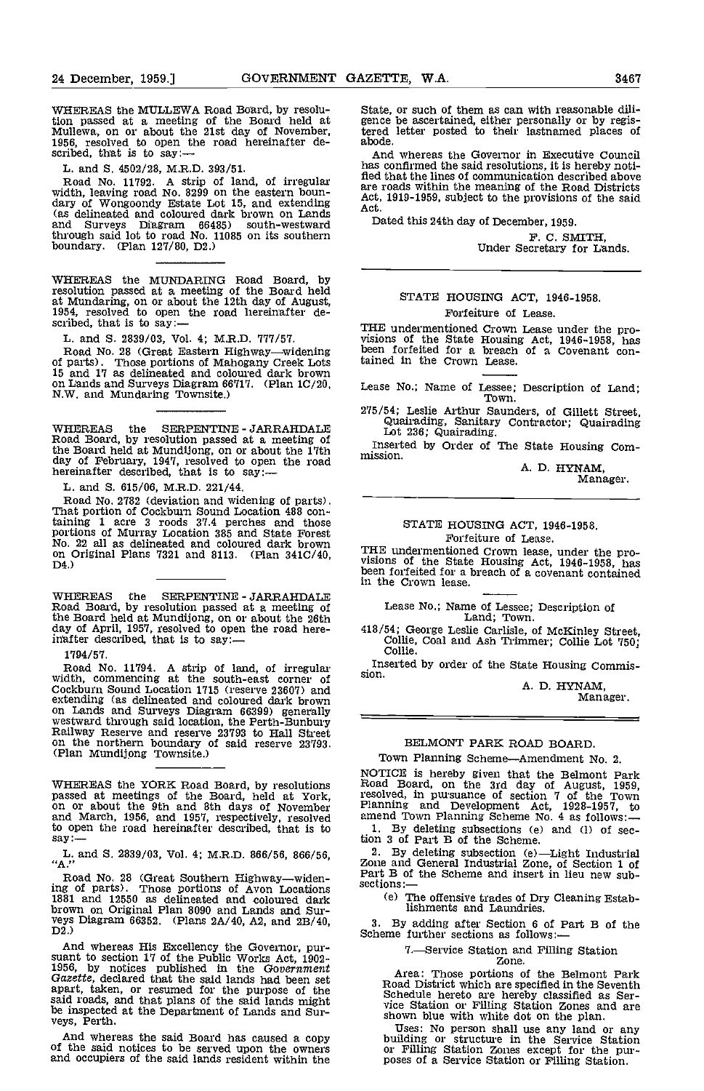WHEREAS the MULLEWA Road Board, by resolu-<br>tion passed at a meeting of the Board held at gence<br>Mullewa, on or about the 21st day of November, tered<br>1956, resolved to open the road hereinafter de-<br>scribed, that is to say:—<br>

L. and S. 4502/28, M.R.D. 393/51.

Road No. 11792. A strip of land, of irregular width, leaving road No. 8299 on the eastern boun-<br>dary of Wongoondy Estate Lot 15, and extending Act. (as delineated and coloured dark brown on Lands and Surveys Diagram 66485) south-westward through said lot to road No. 11085 on Its southern boundary. (Plan 127/80, D2.)

WHEREAS the MUNDARING Road Board, by resolution passed at a meeting of the Board held at Mundaring, on or about the 12th day of August, 1954, resolved to open the road hereinafter de-<br>scribed, that is to say:—

L. and S. 2839/03, Vol. 4; M.R.D. 777/57.

Road No. 28 (Great Eastern Highway—widening<br>of parts). Those portions of Mahogany Creek Lots of parts). Those portions of Mahogany Creek Lots 15 and 17 as delineated and coloured dark brown on Lands and Surveys Diagram 66717. (Plan 1C/20, N.W. and Mundaring Townsite.)

Road Board, by resolution passed at a meeting of the Board held at Mundijong, on or about the 17th the Board held at Mundijong, on or about the 17th mission.<br>day of February, 1947, resolved to open the road hereinafter described, that is to say:—

L. and 5. 615/06, M.R.D. 221/44.

Road No. 2782 (deviation and widening of parts). That portion of Cockburn Sound Location 488 containing 1 acre 3 roods 37.4 perches and those<br>portions of Murray Location 385 and State Forest<br>No. 22 all as delineated and coloured dark brown on Original Plans 7321 and 8113. (Plan 3410/40, D4.)

WHEREAS the SERPENTINE - JARRAHDALE Road Board, by resolution passed at a meeting of the Board held at Mundijong, on or about the 26th day of April, 1957, resolved to open the road here-<br>inafter described, that is to say:-

1794/57.

Road No. 11794. A strip of land, of irregular Ins<br>width, commencing at the south-east corner of sion.<br>Cockburn Sound Location 1715 (reserve 23607) and Cockpurin Sound Location 1715 (reserve 23607) and<br>extending (as delineated and coloured dark brown<br>on Lands and Surveys Diagram 66399) generally<br>westward through said location, the Perth-Bunbury<br>Railway Reserve and reserve

WHEREAS the YORK Road Board, by resolutions Road passed at meetings of the Board, held at York, resolved on or about the 9th and 8th days of November Plann and March, 1956, and 1957, respectively, resolved amend to open the road hereinafter described, that is to  $1.$  E say:— $\qquad \qquad$  tion 3

L. and S. 2839/03, Vol. 4; M.R.D. 866/56, 866/56, "A."

Road No. 28 (Great Southern Highway—widen-<br>ing of parts). Those portions of Avon Locations section<br>1881 and 12550 as delineated and coloured dark (e) brown on Original Plan 8090 and Lands and Sur-<br>veys Diagram 66352. (Plans 2A/40, A2, and 2B/40,<br>D2.)

And whereas His Excellency the Governor, pur-<br>suant to section 17 of the Public Works Act, 1902-<br>1956, by notices published in the Government Gazette, declared that the said lands had been set apart, taken, or resumed for the purpose of the said roads, and that plans of the said lands might be inspected at the Department of Lands and Sur- veys, Perth.

And whereas the said Board has caused a copy of the said notices to be served upon the owners and occupiers of the said lands resident within the

State, or such of them as can with reasonable dili- gence be ascertained, either personally or by registered letter posted to their lastnamed places of

And whereas the Governor in Executive Council has confirmed the said resolutions, it is hereby notified that the lines of communication described above<br>are roads within the meaning of the Road Districts are roads 1919-1959, subject to the provisions of the said

Dated this 24th day of December, 1959.

F. C. SMITH, Under Secretary for Lands.

# STATE HOUSING ACT, 1946-1958. Forfeiture of Lease.

THE undermentioned Crown Lease under the pro-<br>visions of the State Housing Act, 1946-1958, has<br>been forfeited for a breach of a Covenant con-<br>tained in the Crown Lease.

Lease No.; Name of Lessee; Description of Land; Town.

WHEREAS the SERPENTINE JARRAHDALE Guairading, Sanitary Contractor; Quairading<br>Lot 236; Quairading 275/54; Leslie Arthur Saunders, of Gillett Street,

Inserted by Order of The State Housing Com-

A. D. HYNAM, Manager.

### STATE HOUSING ACT, 1946-1958. Forfeiture of Lease.

THE undermentioned Crown lease, under the pro-<br>visions of the State Housing Act, 1946-1958, has<br>been forfeited for a breach of a covenant contained<br>in the Crown lease.

Lease No.; Name of Lessee; Description of Land, Town.

418/54; George Leslie Carlisle, of McKinley Street, Collie, Coal and Ash Trimmer; Collie Lot 750; Collie.

Inserted by order of the State Housing Commis- sion.

A. D. HYNAM, Manager.

# BELMONT PARK ROAD BOARD.

Town Planning Scheme-Amendment No. 2.

NOTICE is hereby given that the Belmont Park<br>Road Board, on the 3rd day of August, 1959,<br>resolved, in pursuance of section 7 of the Town<br>Planning and Development Act, 1928-1957, to<br>amend Town Planning Scheme No. 4 as follo

By deleting subsection (e)Light Industrial Zone and General Industrial Zone, of Section 1 of Part B of the Scheme and insert in lieu new subsections:

(e) The offensive trades of Dry Cleaning Establishments and Laundries.

3. By adding after Section 6 of Part B of the Scheme further sections as follows: $\frac{1}{100}$ 

# 7.Service Station and Filling Station Zone.

Area: Those portions of the Belmont Park<br>Road District which are specified in the Seventh<br>Schedule hereto are hereby classified as Ser-<br>vice Station or Filling Station Zones and are shown blue with white dot on the plan.

Uses: No person shall use any land or any building or structure in the Service Station or Filling Station Zones except for the pur- poses of a Service Station or Filling Station.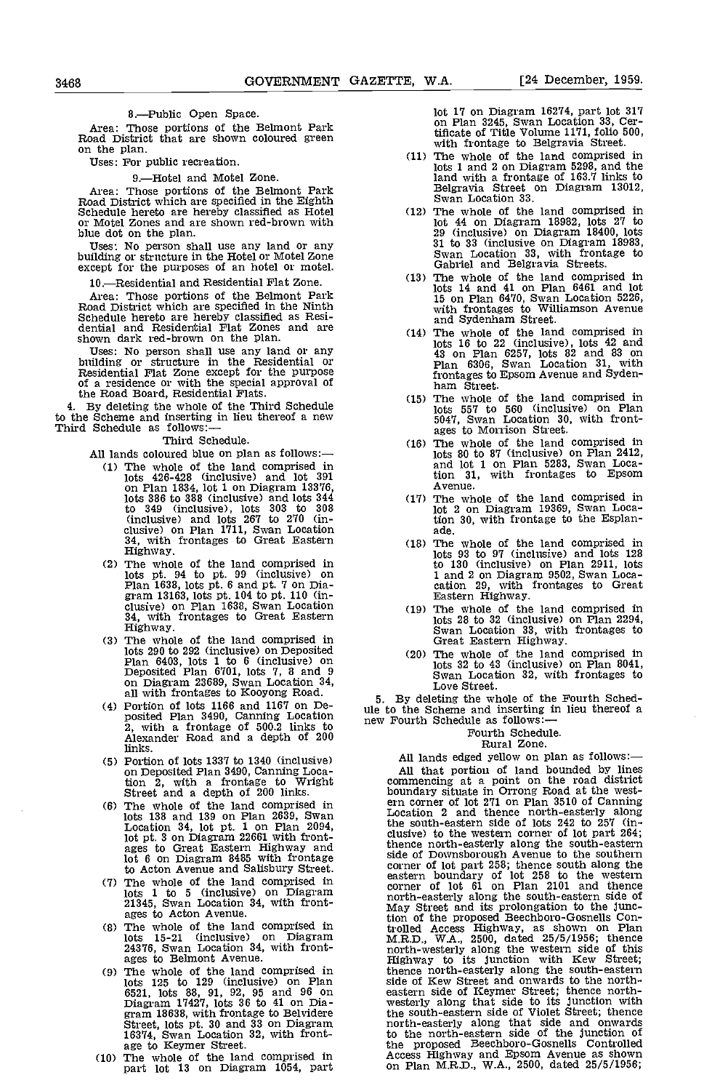# 8.-Public Open Space.

Area: Those portions of the Belmont Park Road District that are shown coloured green on the plan.

Uses: For public recreation.

#### 9.-Hotel and Motel Zone.

Area: Those portions of the Belmont Park<br>Road District which are specified in the Eighth<br>Schedule hereto are hereby classified as Hotel<br>or Motel Zones and are shown red-brown with<br>blue dot on the plan. blue dot on the plan.<br>Uses: No person shall use any land or any

building or structure in the Hotel or Motel Zone except for the purposes of an hotel or motel.

10.-Residential and Residential Flat Zone.

Area: Those portions of the Belmont Park Road District which are specified in the Ninth Schedule hereto are hereby classified as Resi- dential and Residential Flat Zones and are shown dark red-brown on the plan.

Uses: No person shall use any land or any building or structure in the Residential or Residential Flat Zone except for the purpose of a residence or with the special approval of the Road Board, Residential Flats.

4. By deleting the whole of the Third Schedule to the Scheme and inserting in lieu thereof a new<br>Third Schedule as follows:—

Third Schedule.

- All lands coloured blue on plan as follows:-
	- The whole of the land comprised in lots 426-428 (inclusive) and lot 391 on Plan 1834, lot 1 on Diagram 13376, lots 386 to 388 (inclusive) and lots 344 to 349 (inclusive), lots 303 to 308 (inclusive) and lots 267 to 270 (in- clusive) on Plan 1711, Swan Location 34, with frontages to Great Eastern Highway.
	- (2) The whole of the land comprised in lots pt. 94 to pt. 99 (inclusive) on Plan 1638, lots pt. 6 and pt. 7 on Diagram 13163, lots pt. 104 to pt. 110 (inclusive) on Plan 1638, Swan Location 34, with frontages to Great Eas
	- lots 290 to 292 (inclusive) on Deposited Plan 6403, lots 1 to 6 (inclusive) on Deposited Plan 6701, lots 7, 8 and 9 on Diagram 23689, Swan Location 34,<br>all with frontages to Kooyong Road.
	- Portion of lots 1166 and 1167 on Deposited Plan 3490, Canning Location use to 2, with a frontage of 500.2 links to hew Fe Alexander Road and a depth of 200 links.
	- Portion of lots 1337 to 1340 (inclusive) on Deposited Plan 3490, Canning Location 2, with a frontage to Wright comprised in Street and a depth of 200 links. bo<br>Street and a depth of 200 links. The whole of the land comprised in error
	- lots 138 and 139 on Plan 2639, Swan<br>
	Location 34, lot pt. 1 on Plan 2094,<br>
	lot pt. 3 on Diagram 22661 with front-<br>
	ages to Great Eastern Highway and<br>
	lot 6 on Diagram 8485 with frontage sid to Acton Avenue and Salisbury Street. Com<br>The whole of the land comprised in each
	- 1 to 5 (inclusive) on Diagram<br>105 1 to 5 (inclusive) on Diagram<br>21345, Swan Location 34, with front-
	- ages to Acton Avenue.<br>The whole of the land comprised in the track lots 15-21 (inclusive) on Diagram 24376, Swan Location 34, with front-
	- ages to Belmont Avenue. The whole of the land comprised in the the state of the land comprised in the the state of the land comprised in the state of the land comprised in the state of the land comprised in the state of th lots 125 to 129 (inclusive) on Plan<br>
	6521, lots 88, 91, 92, 95 and 96 on eastern<br>
	Diagram 18638, with frontage to Belvidere the south<br>
	gram 18638, with frontage to Belvidere the south-eastern<br>
	16374, Swan Location 32, with
- $(10)$  The whole of the land comprised in part lot 13 on Diagram 1054, part

lot 17 on Diagram 16274, part lot 317 on Plan 3245, Swan Location 33, Certificate of Title Volume 1171, folio 500, with frontage to Belgravia Street. The whole of the land comprised in

- lots I and 2 on Diagram 5298, and the land with a frontage of 163.7 links to Belgravia Street on Diagram 13012, Swan Location 33.
- The whole of the land comprised in lot 44 on Diagram 18982, lots 27 to 31 to 33 (inclusive on Diagram 18983, Swan Location 33, with frontage to Gabriel and Belgravia Streets.
- lots 14 and 41 on Plan 6461 and lot 15 on Plan 6470, Swan Location 5226, with frontages to Williamson Avenue and Sydenham Street. The whole of the land comprised in
- lots 16 to 22 (inclusive), lots 42 and 43 on Plan 6257, lots 82 and 83 on Plan 6306, Swan Location 31, with frontages to Epsom Avenue and Syden- ham Street.
- The whole of the land comprised in lots 557 to 560 (inclusive) on Plan 5047, Swan Location 30, with front-<br>ages to Morrison Street.<br>The whole of the land comprised in
- lots 80 to 87 (inclusive) on Plan 2412, and lot I on Plan 5283, Swan Location 31, with frontages to Epsom Avenue.
- The whole of the land comprised in lot 2 on Diagram 19369, Swan Loca-tion 30, with frontage to the Esplan- ade.
- The whole of the land comprised in lots 93 to 97 (inclusive) and lots 128 1 and 2 on Diagram 9502, Swan Loca-<br>cation 29, with frontages to Great<br>Eastern Highway.
- (19) The whole of the land comprised in lots 28 to 32 (inclusive) on Plan 2294, Swan Location 33, with frontages to Great Eastern Highway.
- (20) The whole of the land comprised in lots  $32$  to  $43$  (inclusive) on Plan 8041,<br>Swan Location  $32$ , with frontages to<br>Love Street.<br>By deleting the whole of the Fourth Sched-

5. By deleting the whole of the Fourth Sched- ule to the Scheme and inserting in lieu thereof a new Fourth Schedule as follows:-

### Fourth Schedule.

Rural Zone.<br>All lands edged yellow on plan as follows:-All lands edged yellow on plan as follows:—<br>All that portion of land bounded by lines<br>commencing at a point on the road district<br>boundary situate in Orrong Road at the west-<br>ern corner of lot 271 on Plan 3510 of Canning<br>Lo the south-eastern side of lots 242 to 257 (in- clusive) to the western corner of lot part 264; thence north-easterly along the south-eastern side of Downsborough Avenue to the southern corner of lot part 258; thence south along the eastern boundary of lot 258 to the western corner of lot 61 on Plan 2101 and thence north-easterly along the south-eastern side of May Street and its prolongation to the junc-tion of the proposed Beechboro-Gosnells Controlled Access Highway, as shown on Plan M.R,D., WA., 2500, dated 25/5/1956; thence north-westerly along the western side of this Highway to its junction with ICew Street; thence north-easterly along the south-eastern side of Kew Street and onwards to the northeastern side of Keymer Street; thence north- westerly along that side to its junction with the south-eastern side of Violet Street; thence north-easterly along that side and onwards to the north-eastern side of the junction of the proposed Beechboro-Gosnells Controlled Access Highway and Epsom Avenue as shown Access Highway and Epsom Avenue as shown<br>on Plan M.R.D., W.A., 2500, dated 25/5/1956;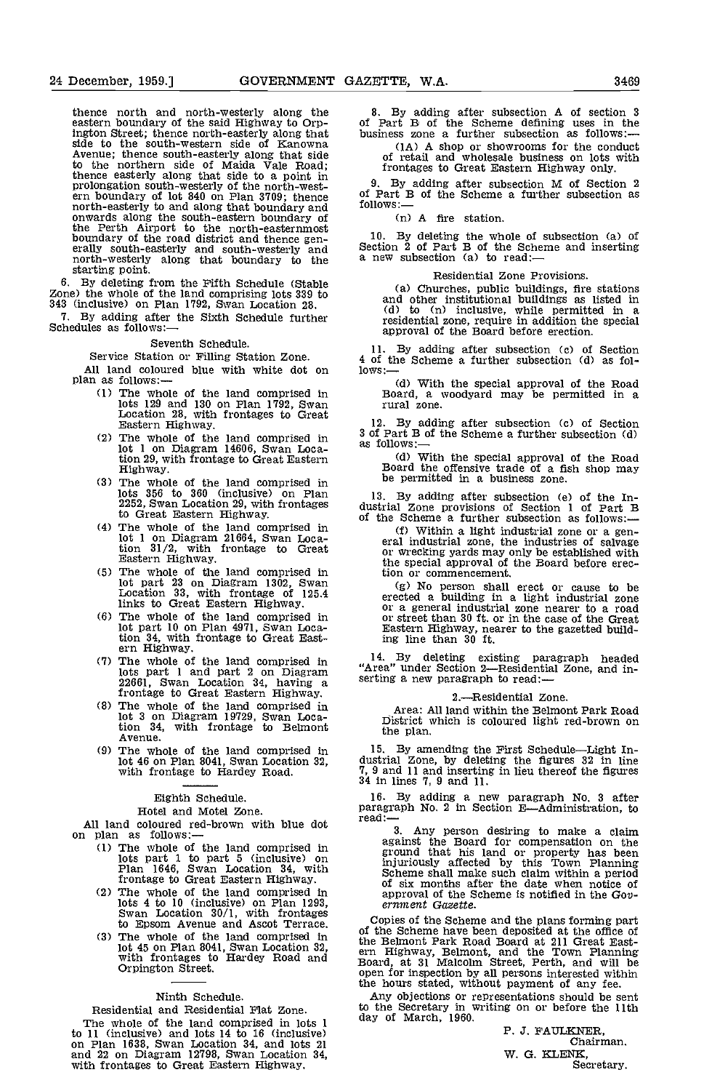thence north and north-westerly along the eastern boundary of the said Highway to Orpington Street; thence north-easterly along that busin<br>side to the south-western side of Kanowna Avenue; thence south-easterly along that side<br>to the northern side of Maida Vale Road; thence easterly along that side to a point in  $\frac{1}{2}$ prolongation south-westerly of the north-west-<br>ern boundary of lot 840 on Plan 3709; thence of Pa<br>north-easterly to and along that boundary and follow<br>onwards along the south-eastern boundary of the Perth Airport to the north-easternmost<br>boundary of the road district and thence gen-<br>erally south-easterly and south-westerly and<br>north-westerly along that boundary to the starting point.

6. By deleting from the Fifth Schedule (Stable Zone) the whole of the land comprising lots 339 to 343 (inclusive) on Plan 1792, Swan Location 28.

7. By adding after the Sixth Schedule further Schedules as follows:—

Seventh Schedule.

Service Station or Filling Station Zone.

All land coloured blue with white dot on  $\overline{10}$  lows:  $\overline{10}$  plan as follows:  $\overline{10}$  The whole of the land comprised in Bo

- lots 129 and 130 on Plan 1792, Swan Location 28, with frontages to Great Eastern Highway.
- The whole of the land comprised in  $\frac{3}{8}$  of P lot 1 on Diagram 14606, Swan Location 29, with frontage to Great Eastern Highway.
- The whole of the land comprised in lots 356 to 360 (inclusive) on Plan 2252, Swan Location 29, with frontages to Great Eastern Highway.
- The whole of the land comprised in<br>
lot 1 on Diagram 21664, Swan Loca-<br>
tion 31/2, with frontage to Great or<br>
Eastern Highway.<br>
The whole of the land comprised in the tio
- (5) The whole of the land comprised in lot part 23 on Diagram 1302, Swan Location 33, with frontage of 125.4 links to Great Eastern Highway.
- links to Great Eastern Highway.<br>
The whole of the land comprised in or a genee to the land comprised in the Highway.<br>
The whole of the land comprised in language in language in lots part 1 and part 2 on Diagram serving a p
- 1012 barrier 1 and part 2 on Diagram<br>22661, Swan Location 34, having a frontage to Great Eastern Highway.
- The whole of the land comprised in lot 3 on Diagram 19729, Swan Loca-tion 34, with frontage to Belmont Avenue.
- The whole of the land comprised in 15. lot 46 on Plan 8041, Swan Location 32, with frontage to Hardey Road.

# Eighth Schedule.

Hotel and Motel Zone.<br>All land coloured red-brown with blue dot

- All land coloured red-brown with blue dot  $\frac{real:-}{max}$ <br>
(1) The whole of the land comprised in age lots part 1 to part 5 (inclusive) on Plan 1646, Swan Location 34, with  $\frac{Sc}{max}$  frontage to Great Eastern Highway.
	- (2) The whole of the land comprised in lots 4 to 10 (inclusive) on Plan 1293, Swan Location 30/1, with frontages
	- to Epsom Avenue and Ascot Terrace. Copy<br>The whole of the land comprised in the Re lot 45 on Plan 8041, Swan Location 32,<br>with frontages to Hardey Road and Board,<br>Orpington Street.

#### Ninth Schedule.

Residential and Residential Flat Zone. The whole of the land comprised in lots 1 aay 0. to 11 (inclusive) and lots 14 to 16 (inclusive) on Plan 1638, Swan Looation 34, and lots 21 and 22 on Diagram 12798, Swan Location 34, with frontages to Great Eastern Highway.

8. By adding after subsection A of section 3 of Part B of the Scheme defining uses in the business zone a further subsection as follows:— (1A) A shop or showrooms for the conduct

of retail and wholesale business on lots with frontages to Great Eastern Highway only.

9. By adding after subsection M of Section 2 of Part B of the Scheme a further subsection as follows:-

(n) A fire station.

By deleting the whole of subsection (a) of Section 2 of Part B of the Scheme and inserting a new subsection (a) to read:

#### Residential Zone Provisions.

(a) Churches, public buildings, fire stations and other institutional buildings as listed in (d) to (n) inclusive, while permitted in a residential zone, require in addition the special approval of the Board before erection.

11. By adding after subsection (c) of Section 4 of the Scheme a further subsection (d) as fol-lows:—

(d) With the special approval of the Road Board, a woodyard may be permitted in a rural zone.

By adding after subsection (c) of Section 3 of Part B of the Scheme a further subsection (d) as follows:

(d) With the special approval of the Road Board the offensive trade of a fish shop may be permitted in a business zone.

By adding after subsection (e) of the In- dustrial Zone provisions of Section 1 of Part B of the Scheme a further subsection as follows:

(f) Within a light industrial zone or a gen-<br>eral industrial zone, the industries of salvage<br>or wrecking yards may only be established with the special approval of the Board before erection or commencement.

No person shall erect or cause to be erected a building in a light industrial zone or a general industrial zone nearer to a road or street than 30 ft. or in the case of the Great Eastern Highway, nearer to the gazetted build- ing line than 30 ft.

14, By deleting existing paragraph headed "Area" under Section 2—Residential Zone, and inserting a new paragraph to read:—

#### 2.Residential Zone.

Area: All land within the Belmont Park Road District which is coloured light red-brown on the plan.

15. By amending the First Schedule—Light In-<br>dustrial Zone, by deleting the figures 32 in line<br>7, 9 and 11 and inserting in lieu thereof the figures<br>34 in lines 7, 9 and 11.

16. By adding a new paragraph No. 3 after paragraph No. 2 in Section E-Administration, to read:-

3. Any person desiring to make a claim against the Board for compensation on the ground that his land or property has been injuriously affected by this Town Planning Scheme shall make such claim within a period of six months after the date when notice of approval of the Scheme is notified in the Gov- ernment Gazette.

Copies of the Scheme and the plans forming part<br>of the Scheme have been deposited at the office of<br>the Belmont Park Road Board at 211 Great East-<br>ern Highway, Belmont, and the Town Planning<br>Board, at 31 Malcolm Street, Per the hours stated, without payment of any fee.

Any objections or representations should be sent to the Secretary in writing on or before the 11th day of March, 1960.

P. J. FAULKNER Chairman. W. G. KLENK,<br>Secretary.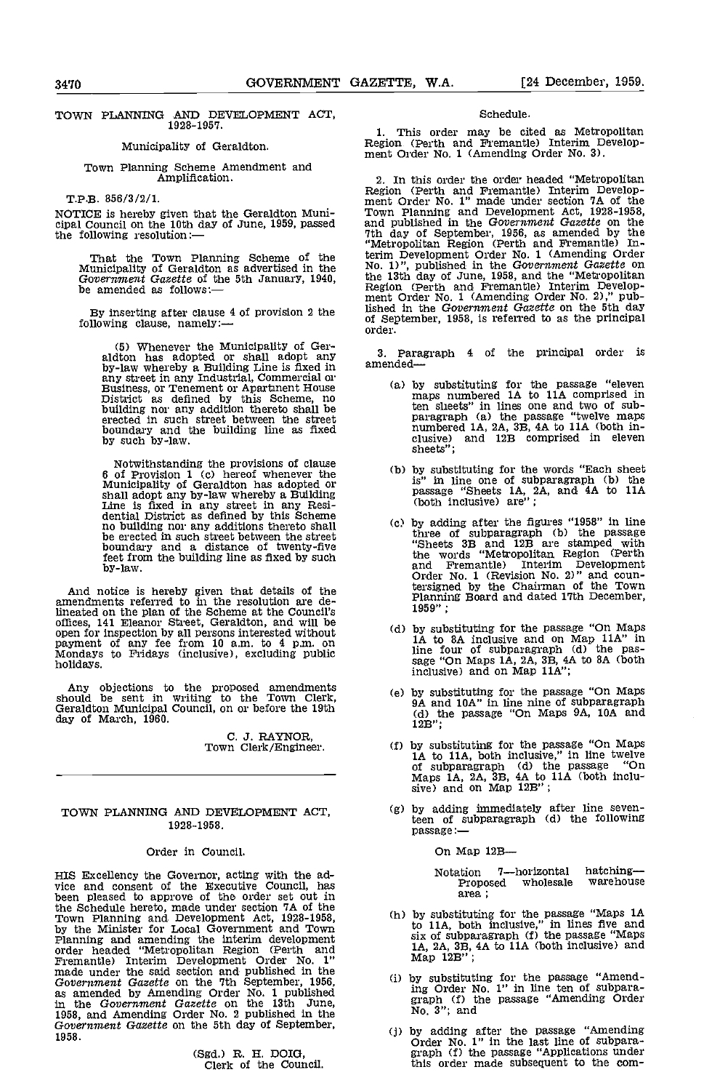#### TOWN PLANNING AND DEVELOPMENT ACT, 1928-1957.

# Municipality of Geraldton.

# Town Planning Scheme Amendment and Amplification.

T.P.B. 858/3/2/1.

NOTICE is hereby given that the Geraldton Muni- cipal Council on the 10th day of June, 1959, passed the following resolution:

That the Town Planning Scheme of the Municipality of Geraldton as advertised in the Government Gazette of the 5th January, 1940, be amended as follows:—

By inserting after clause 4 of provision 2 the following clause, namely:

(5) Whenever the Municipality of Ger- aldton has adopted or shall adopt any by-law whereby a Building Line is fixed in any street in any Industrial, Commercial or<br>Business, or Tenement or Apartment House (a)<br>District as defined by this Scheme, no building nor any addition thereto shall be erected in such street between the street boundary and the building line as fixed by such by-law.

Notwithstanding the provisions of clause<br>6 of Provision 1 (c) hereof whenever the<br>Municipality of Geraldton has adopted or<br>5 shall adopt any by-law whereby a Building<br>Line is fixed in any street in any Resi-<br>dential Distri boundary and a distance of twenty-five feet from the building line as fixed by such by-law.

And notice is hereby given that details of the amendments referred to in the resolution are deopen for inspection by all persons interested without<br>payment of any fee from 10 a.m. to 4 p.m. on<br>Mondays to Fridays (inclusive), excluding public<br>holidays.

Any objections to the proposed amendments should be sent in writing to the Town Clerk, Geraldton Municipal Council, on or before the 19th day of March, 1960.

C. J. RAYNOR,<br>Town Clerk/Engineer.

#### TOWN PLANNING AND DEVELOPMENT ACT, 19 28-1958.

#### Order in Council.

HIS Excellency the Governor, acting with the ad- vice and consent of the Executive Council, has been pleased to approve of the order set out in the Schedule hereto, made under section 7A of the<br>Town Planning and Development Act, 1928-1958, (h<br>by the Minister for Local Government and Town<br>Planning and amending the interim development<br>order headed "Metropolitan Regi made under the said section and published in the Government Gazette on the 7th September, 1956,<br>as amended by Amending Order No. 1 published In the Government Gazette on the 13th June, 1958, and Amending Order No. 2 published in the Government Gazette on the 5th day of September, 1958.

(Sgd.) R. H. DOIG, Clerk of the Council.

#### Schedule.

This order may be cited as Metropolitan Region (Perth and Fremantle) Interim Develop- ment Order No. 1 (AmendIng Order No. 3).

In this order the order headed "Metropolitan Region (Perth and Fremantle) Interim Develop- ment Order No. 1" made under section IA of the Town Planning and Development Act, 1928-1958, and published in the Government Gazette on the 7th day of September, 1956, as amended by the "Metropolitan Region (Perth and Fremantle) Interim Development Order No. 1 (Amending Order No. 1)", published in the Government Gazette on the 13th day of June, 1958, and the "Metropolitan Region (Perth and Fremantle) Interim Develop- ment Order No. 1 (Amending Order No. 2)," published in the Government Gazette on the 5th day of September, 1958, Is referred to as the principal order.

Paragraph 4 of the principal order is amended

- by substituting for the passage "eleven maps numbered 1A to 1 IA comprised in ten sheets" in lines one and two of subparagraph (a) the passage "twelve maps numbered  $1A$ ,  $2A$ ,  $3B$ ,  $4A$  to  $11A$  (both inclusive) and  $12B$  comprised in eleven sheets";
- by substituting for the words "Each sheet<br>is" in line one of subparagraph (b) the<br>passage "Sheets 1A, 2A, and 4A to 11A (both Inclusive) are";
- Cc) by adding after the figures "1958" in line three of subparagraph (b) the passage "Sheets 33 and 123 are stamped with the words "Metropolitan Region (Perth and Fremantle) Interim Development Order No. 1 (Revision No. 2)" and countersigned by the Chairman of the Town Planning Board and dated 17th December, 1959"
- (d) by substituting for the passage "On Maps 1A to 8A inclusive and on Map 11A" in line four of subparagraph (d) the pas-<br>sage "On Maps 1A, 2A, 3B, 4A to 8A (both  $inclusive$ ) and on Map  $11A$ ";
- by substituting for the passage "On Maps 9A and iDA" in line nine of subparagraph (d) the passage "On Maps 9A, iDA and 123";
- by substituting for the passage "On Maps 1A to 11A, both inclusive," in line twelve of subparagraph (d) the passage "On Maps 1A, 2A, 3B, 4A to  $11A$  (both inclusive) and on Map  $12B$ ";
- by adding immediately after line seventeen of subparagraph (d) the following passage:

On Map 12B-

Notation 7-horizontal hatching-<br>Proposed wholesale warehouse Proposed wholesale area;

- by substituting for the passage "Maps 1A<br>to 11A, both inclusive," in lines five and IA,  $2A$ ,  $3B$ ,  $4A$  to  $11A$  (both inclusive) and Map  $12B$ ";
- by substituting for the passage "Amending Order No. 1" in line ten of subpara- graph (f) the passage "Amending Order No. 3"; and
- by adding after the passage "Amending Order No. 1" In the last line of subpara- graph Cf) the passage "ApplIcations under this order made subsequent to the com-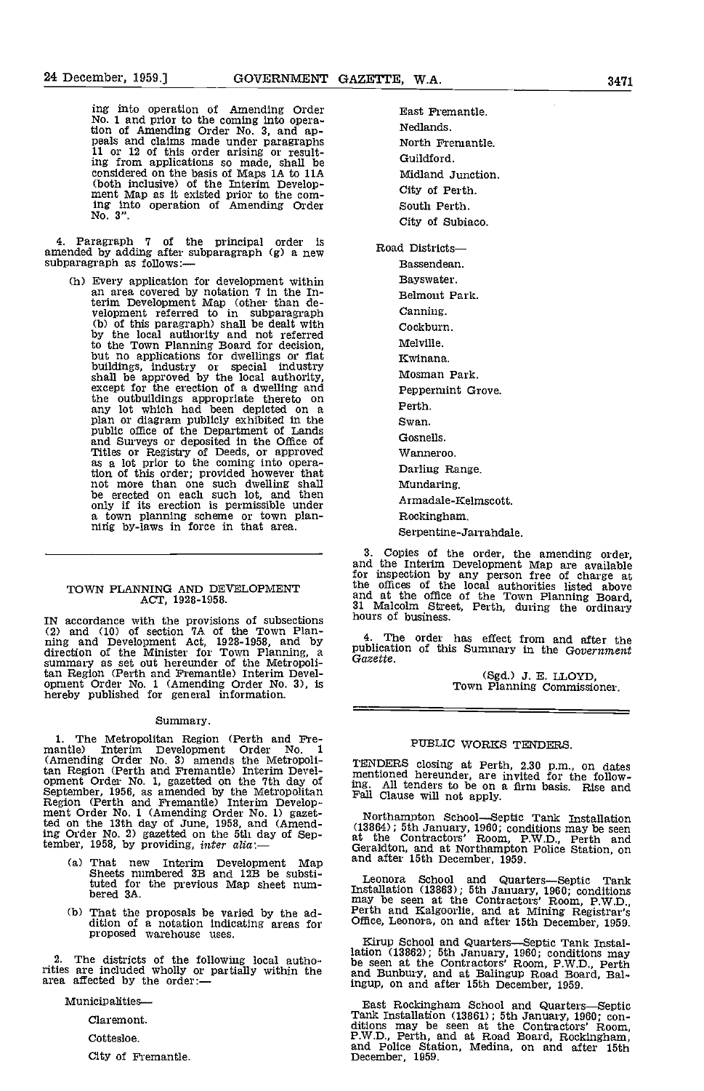ing into operation of Amending Order No. 1 and prior to the coming into operation of Amending Order No. 3, and ap- peals and claims made under paragraphs 11 or 12 of this order arising or resulting from applications so made shall be considered on the basis of Maps 1A to 11A Mi<br>(both inclusive) of the Interim Develop-<br>ment Map as it existed prior to the com-<br>Cit ing into operation of Amending Order No. 3".

4. Paragraph 7 of the principal order is amended by adding after subparagraph (g) a new Road L subparagraph as follows:-

(h) Every application for development within an area covered by notation 7 In the Interini Development Map (other than de- velopment referred to in subparagraph (b) of this paragraph) shall be dealt with by the local authority and not referred to the Town Planning Board for decision, but no applications for dwellings or fiat buildings, Industry or special industry shall be approved by the local authority, except for the erection of a dwelling and the outbuildings appropriate thereto on<br>any lot which had been depicted on a<br>plan or diagram publicly exhibited in the<br>public office of the Department of Lands<br>and Surveys or deposited in the Office of<br>Titles or Registry o as a lot prior to the coming into operation of this order; provided however that not more than one such dwelling shall be erected on each such lot, and then a town planning scheme or town planning by-laws in force in that area.

#### TOWN PLANNING AND DEVELOPMENT **EDER** ACT, 1928-1958.

IN accordance with the provisions of subsections hours (2) and (10) of section  $7A$  of the Town Planning and Development Act, 1928-1958, and by 4.<br>direction of the Minister for Town Planning, a public<br>summary as set out hereunder of the Metropoli- Gazet tan Region (Perth and Fremantle) Interim Devel- opment Order No. 1 (Amending Order No. 3), is hereby published for general information.

#### Summary.

1. The Metropolitan Region (Perth and Fre-<br>mantle) Interim Development Order No. 1<br>(Amending Order No. 3) amends the Metropoli-<br>tan Region (Perth and Fremantle) Interim Develtan Region (Perth and Fremantie) Interim Devel-<br>opment Order No. 1, gazetted on the 7th day of<br>September, 1956, as amended by the Metropolitan<br>Region (Perth and Fremantie) Interim Develop-<br>ment Order No. 1 (Amending Order ted on the 13th day of June, 1958, and (Amending Order No. 2) gazetted on the 5th day of September, 1958, by providing, *inter alia*:—

- That new Interim Development Map Sheets numbered 3B and 12B be substituted for the previous Map sheet num-<br>bered 3A. ms
- That the proposals be varied by the ad- dition of a notation Indicating areas for proposed warehouse uses.

2. The districts of the following local authorities are included wholly or partially within the and included by the order:—<br>area affected by the order:—

Munioipalities

Claremont.

Cottesloe.

City of Fremantle.

East Fremantle. Nedlands. North Fremantle. Guildford. Midland Junction. City of Perth. South Perth. City of Subiaco.

Road Districts-Bassendean. Bayswater. Belmont Park. Canning. Cockburn. Melville. Kwinana. Mosman Park. Peppermint Grove. Perth. Swan. Gosnells. Wanneroo. Darling Range. Mundaring. Armadale-Icelmscott. Rockingham. Serpentine-Jarrandale.

Copies of the order, the amending order, and the Interim Development Map are available for inspection by any person free of charge at the offices of the local authorities listed above and at the office of the Town Planning Board, 31 Malcolm Street, Perth, during the ordinary hours of business.

4. The order has effect from and after the publication of this Summary in the Government Gazette.

(Sgd.) 3. E. LLOYD, Town Planning Commissioner.

# PUBLIC WORKS TENDERS.

TENDERS closing at Perth, 2.30 p.m., on dates mentioned hereunder, are invited for the follow- ing. All tenders to be on a firm basis. Rise and Fail Clause will not apply.

Northampton School—Septic Tank Installation (13864); 5th January, 1960; conditions may be seen at the Contractors' Room, P.W.D., Perth and Geraldton, and at Northampton Police Station, on and after 15th December, 1959.

Leonora School and Quarters-Septic Tank Installation (13863); 5th January, 1960; conditions may be seen at the Contractors' Room, P.W.D., Perth and Kalgoorlie, and at Mining Registrar's Office, Leonora, on and after 15th December, 1959.

Kirup School and Quarters-Septic Tank Installation (13862); 5th January, 1960; conditions may be seen at the Contractors' Room, P.W.D., Perth and Bunbury, and at Balingup Road Board, Bal-ingup, on and after 15th December, 1959.

East Rockingham School and Quarters—Septic Tank Installation (13861); 5th January, 1960; conditions may be seen at the Contractors' Room, P.W.D., Perth, and at Road Board, Rockingham, and Police Station, Medina, on and aft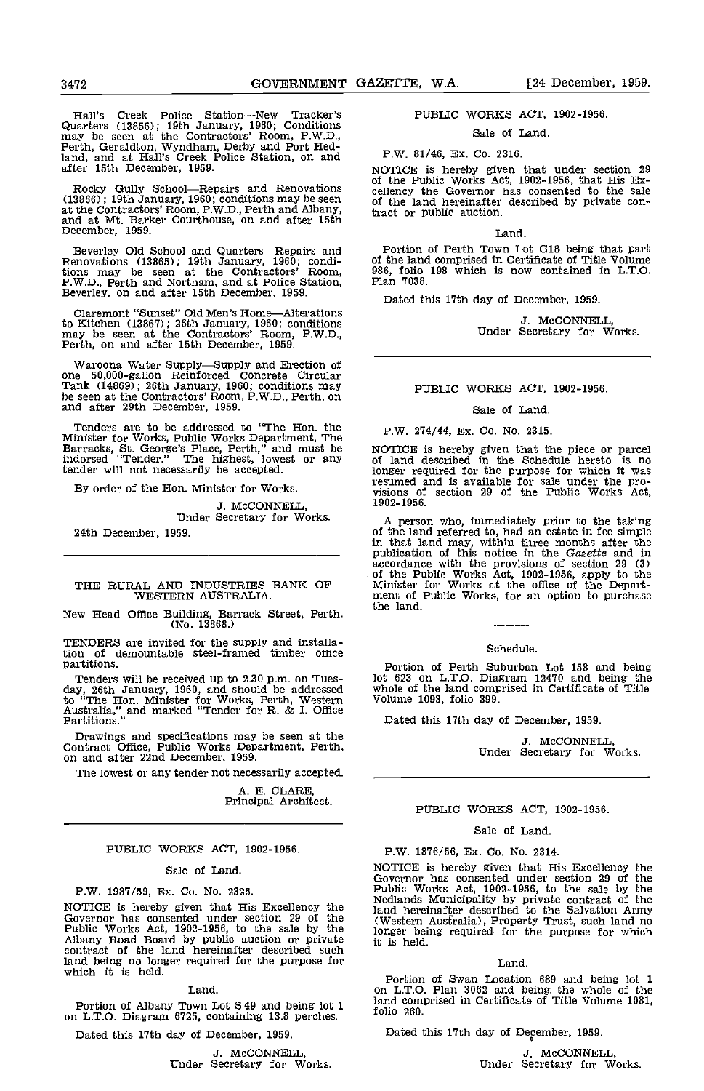Hall's Creek Police Station-New Tracker's Quarters (13856); 19th January, 1960; Conditions may be seen at the Contractors' Room, P.W.D., Perth, Geraldton, Wyndhaxn, Derby and Port Redland, and at Hall's Creek Police Station, on and P.W. after 15th December, 1959.

 $Rocky$  Gully School-Repairs and Renovations  $\overline{u}$  celle (13866); 19th January, 1960; conditions may be seen at the Contractcrs' Room, P.W.D., Perth and Albany, and at Mt. Barker Courthouse, on and after 15th December, 1959.

Beverley Old School and Quarters—Repairs and<br>Renovations (13865); 19th January, 1960; condi-<br>tions may be seen at the Contractors' Room,<br>P.W.D., Perth and Northam, and at Police Station,<br>Beverley, on and after 15th Decembe

Claremont "Sunset" Old Men's Home—Alterations<br>to Kitchen (13867); 26th January, 1960; conditions<br>may be seen at the Contractors' Room, P.W.D.,<br>Perth, on and after 15th December, 1959.

Waroona Water Supply—Supply and Erection of one 50,000-gallon Reinforced Concrete Circular Tank (14869); 26th January, 1960; conditions may be seen at the Contractors' Room, P.W.D., Perth, on and after 29th December, 1959.

Tenders are to be addressed to "The Hon. the P.V Minister for Works, Public Works Department, The Five Barracks, St. George's Place, Perth," and must be NOTI indorsed "Tender." The highest, lowest or any tender will not necessarily be accepted,

By order of the Hon. Minister for Works.

J. McCONNELL, Under Secretary for Works.

24th December, 1959.

#### THE RURAL AND INDUSTRIES BANK OF WESTERN AUSTRALIA.

New Head Office Building, Barrack Street, Perth. the land.<br>(No. 13868.)

TENDERS are invited for the supply and installa-tion of demountable steel-framed timber office partitions.

Tenders will be received up to 2.30 p.m. on Tues- day, 26th January, 1960, and should be addressed to "The Hon. Minister for Works, Perth, Western Volum-<br>Australia," and marked "Tender for R. & I. Office Partitions." Date

Drawings and specifications may be seen at the Contract Office, Public Works Department, Perth, on and after 22nd December, 1959.

The lowest or any tender not necessarily accepted.

A. E. CLARE,<br>Principal Architect.

#### PUBLIC WORKS ACT, 1902-1956.

#### Sale of Land

P.W. 1987/59, Ex. Co. No. 2325.

NOTICE is hereby given that His Excellency the Tand<br>Governor has consented under section 29 of the (Wes Public Works Act, 1902-1956, to the sale by the Albany Road Board by public auction or private it is hereinafter described such contract of the land hereinafter described such land being no longer required for the purpose for which it is held.

Land

Portion of Albany Town Lot S 49 and being lot 1  $\frac{1200}{600}$ on L.T.O. Diagram 6725, containing 13.8 perches.

Dated this 17th day of December, 1959.

J. McCONNELL, Under Secretary for Works.

# PUBLIC WORKS ACT, 1902-1956.

Sale of Land.

#### P.W. 81/46, Ex. Co. 2316.

NOTICE is hereby given that under section 29 of the Public Works Act, 1902-1956, that His Ex- cellency the Governor has consented to the sale of the land hereinafter described by private contract or public auction.

### Land.

Portion of Perth Town Lot G18 being that part of the land comprised in Certificate of Title Volume 986, folio 198 which is now contained in L.T.O. Plan 7038.

Dated this 17th day of December, 1959.

J. McCONNELL, Under Secretary for Works.

#### PUBLIC WORKS ACT, 1902-1956.

#### Sale of Land.

P.W. 214/44, Ex. Co. No. 2315.

NOTICE is hereby given that the piece or parcel<br>of land described in the Schedule hereto is no<br>longer required for the purpose for which it was<br>resumed and is available for sale under the pro-<br>visions of section 29 of the 1902-19 56.

A person who, immediately prior to the taking of the land referred to, had an estate in fee simple in that land may, within three months after the publication of this notice in the Gazette and in accordance with the provisions of section 29 (3) of the Public Works Act, 1902-1956, apply to the Minister for Works at the office of the Depart-<br>ment of Public Works, for an option to purchase the land.

#### Schedule.

Portion of Perth Suburban Lot 158 and being lot 623 on L.T.O. Diagram 12470 and being the whole of the land comprised in Certificate of Title volume 1093, folio 399.

Dated this 17th day of December, 1959.

J. McCONNELL, Under Secretary for Works.

# PUBLIC WORKS ACT, 1902-1956.

#### Sale of Land.

#### P.W. 1876/56, Ex. Co. No. 2314.

NOTICE is hereby given that His Excellency the Governor has consented under section 29 of the Public Works Act, 1902-1956, to the sale by the Nedlands Municipality by private contract of the land hereinafter described to the Salvation Army (Western Australia), Property Trust, such land no longer being required for the purpose for which it is held.

#### Land

Portion of Swan Location 689 and being lot 1 on L.T.O. Plan 3062 and being the whole of the land comprised in Certificate of Title Volume 1081, folio 260.

Dated this 17th day of December, 1959.

J. McCONNELL, Under Secretary for Works.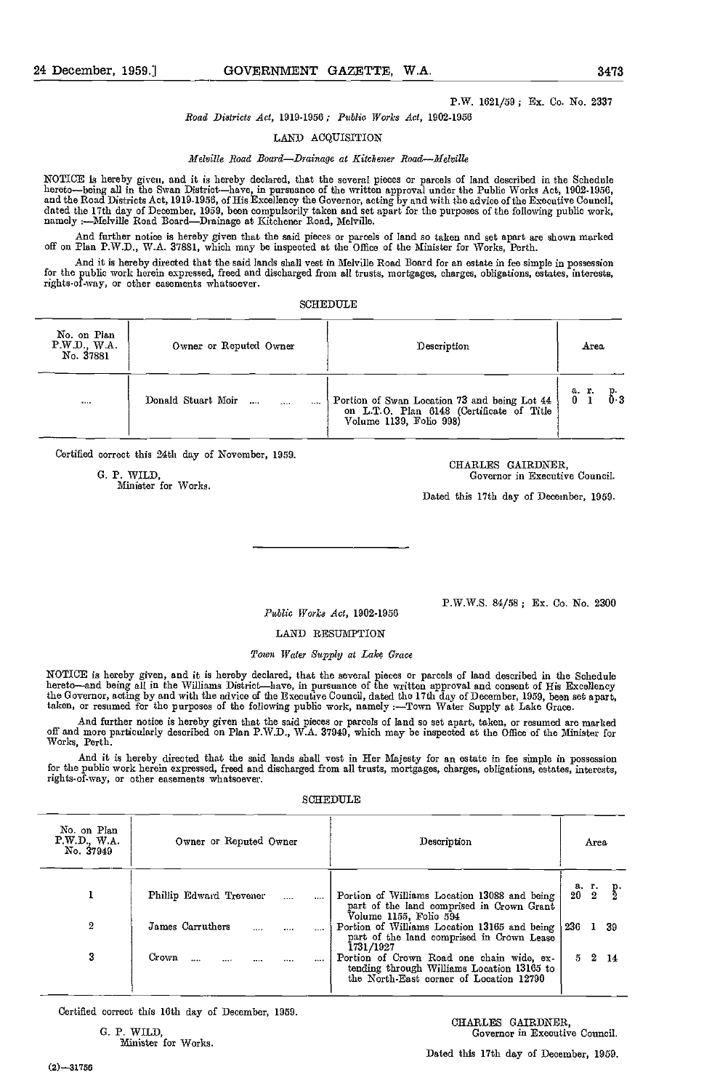## P.W. 1621/59; Ex. Co. No. 2337

Road Districts Act, 1919-1956; Public Works Act, 1902-1956

#### LAND ACQUISITION

Melville Road Board-Drainage at Kitchener Road-Melville

NOTICE is hereby given, and it is hereby declared, that the several pieces or parcels of land described in the Schedule<br>hereto—being all in the Swan District—have, in pursuance of the written approval under the Public Work dated the 17th day of December, 1959, been compulsorily taken and set apart for the purposes of the following public work, namely :Nelville Road BoardDrainage at Kitchener Road, Melville.

And further notice is hereby given that the said pieces or parcels of land so taken and set apart are shown marked off on Plan P.W.D., W.A. 37881, which may be inspected at the Office of the Minister for Works, Perth.

And it is hereby directed that the said lands shall vest in Melville Road Board for an estate in fee simple in possession for the public work herein expressed, freed nnd discharged from all trusts, mortgages, charges, obligations, estates, interests, rights-of-way, or other easements whatsoever.

SCHEDULE

| No. on Plan<br>P.W.D., W.A.<br>No. 37881 | Owner or Reputed Owner | Description                                  | Area           |
|------------------------------------------|------------------------|----------------------------------------------|----------------|
|                                          | Donald Stuart Moir     | Portion of Swan Location 73 and being Lot 44 | a r.           |
|                                          |                        | on L.T.O. Plan 6148 (Certificate of Title    | $\delta$ 3     |
|                                          | $\cdots$               | Volume 1139, Folio 998)                      | 0 <sub>1</sub> |

Certified correct this 24th day of November, 1959.

G. P. WILD,<br>
CHARLES GAIRDNER,<br>
Minister for Works.<br>
CHARLES GAIRDNER,<br>
Governor in Executive Council.

Dated this 17th day of December, 1959.

Public Works Act, 1902.1956

P.W.W.S. 84/58; Er. Co. No. 2300

#### LAND RESUMPTION

#### Town Water Supply at Lakç Grace

NOTICE is hereby given, and it is hereby declared, that the several pieces or parcels of land described in the Schedule<br>hereto—and being all in the Williams District—have, in pursuance of the written approval and consent o the Governor, acting by and with the advice of the Executive Council, dated the 17th day of December, 1959, been set apart,<br>taken, or resumed for the purposes of the following public work, namely :---Town Water Supply at L

And further notice is hereby given that the said pieces or parcels of land so set apart, taken, or resumed are marked off and more particularly described on Plan P.W.D., W.A. 37949, which may be inspected at the Office of the Minister for<br>Works, Perth.

And it is hereby directed that the said lands shall vest in Her Majesty for an estate in fee simple in possession for the public work herein expressed, freed and discharged from all trusts, mortgages, charges, obligations, estates, interests,<br>rights-of-way, or other easements whatsoever.

#### SCHEDULE

| No. on Plan<br>P.W.D., W.A.<br>No. 37949 | Owner or Reputed Owner              | Description                                                                                                        | Area                                 |
|------------------------------------------|-------------------------------------|--------------------------------------------------------------------------------------------------------------------|--------------------------------------|
|                                          | Phillip Edward Trevener<br>$\cdots$ | Portion of Williams Location 13088 and being<br>part of the land comprised in Crown Grant<br>Volume 1155, Foho 594 | а. г.<br>20 2<br>$\frac{p}{2}$<br>20 |
| 2                                        | James Carruthers                    | Portion of Williams Location 13165 and being                                                                       | 236                                  |
|                                          |                                     | part of the land comprised in Crown Lease                                                                          | -39                                  |
|                                          | 1.111                               | 1731/1927                                                                                                          | $\mathbf{1}$                         |
| 3                                        | Crown                               | Portion of Crown Road one chain wide, ex-                                                                          | 2.                                   |
|                                          |                                     | tending through Williams Location 13165 to                                                                         | 5                                    |
|                                          |                                     | the North-East corner of Location 12790                                                                            | 14                                   |

Certified correct this 16th day of December, 1959.

Minister for Works.

Dated this 17th day of December, 1959.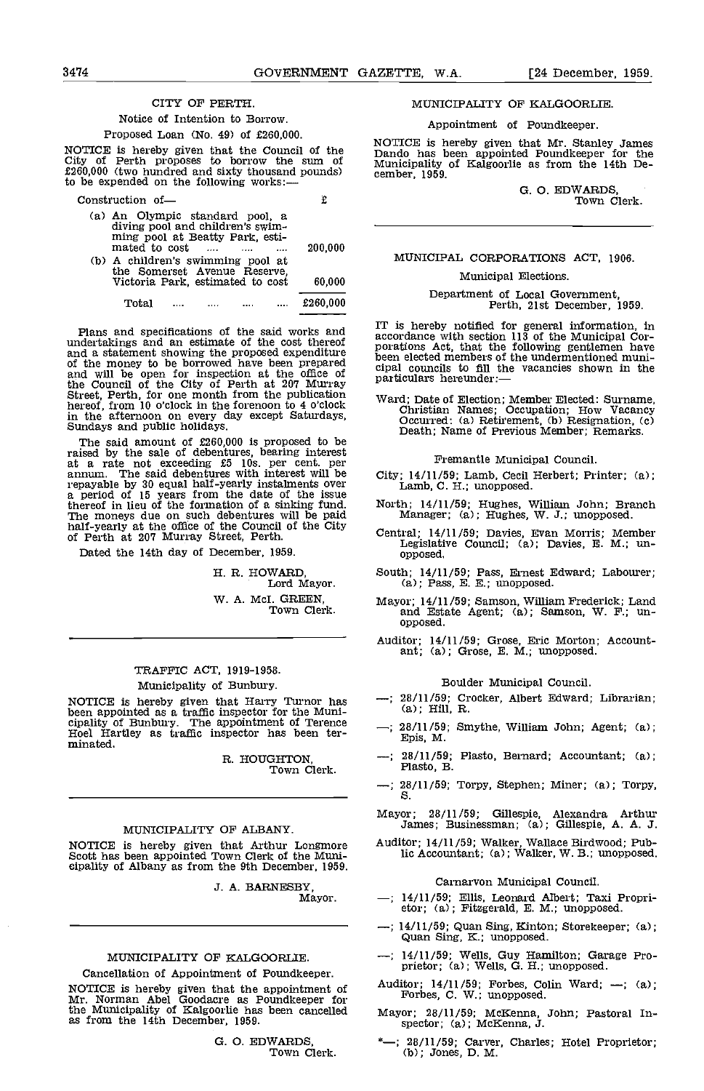### CITY OF PERTH.

#### Notice of Intention to Borrow.

#### Proposed Loan (No. 49) of £260,000.

NOTICE is hereby given that the Council of the City of Perth proposes to borrow the sum of £260,000 (two hundred and sixty thousand pounds) to be expended on the following works:

| Construction of-                                                                                                                                            |          |  |
|-------------------------------------------------------------------------------------------------------------------------------------------------------------|----------|--|
| (a) An Olympic standard pool, a<br>diving pool and children's swim-<br>ming pool at Beatty Park, esti-<br>mated to cost<br>$\sim$ $\sim$ $\sim$<br>$\cdots$ | 200.000  |  |
| (b) A children's swimming pool at<br>the Somerset Avenue Reserve.<br>Victoria Park, estimated to cost                                                       | 60,000   |  |
| Tote I                                                                                                                                                      | £260.000 |  |

Plans and specifications of the said works and  $\frac{11}{3}$  is undertakings and an estimate of the cost thereof<br>and a statement showing the proposed expenditure<br>of the money to be borrowed have been prepared been and<br>and will be open for inspection at the office of<br>partic the Council of the City of Perth at 207 Murray Barticular Street, Perth, for one month from the publication  $W_{\text{Brd}}$ . hereof, from 10 o'clock in the forenoon to 4 o'clock ward<br>in the afternoon on every day except Saturdays, C<br>Sundays and public holidays.

The said amount of £260,000 is proposed to be raised by the sale of debentures, bearing interest<br>at a rate not exceeding £5 lOs. per cent. per<br>annum. The said debentures with interest will be City; repayable by 30 equal half-yearly instalments over  $\overline{a}$ ,  $\overline{b}$ thereof in lieu of the formation of a sinking fund. The moneys due on such debentures will be paid half-yearly at the office of the Council of the City of Perth at 207 Murray Street, Perth.

Dated the 14th day of December, 1959.

H. R. HOWARD, Lord Mayor. W. A. McI. GREEN,<br>Town Clerk.

# TRAFFIC ACT, 1919-1958. Municipality of Bunbury.

NOTICE is hereby given that Harry Turnor has  $-$ ; 28/11/59; Cr<br>been appointed as a traffic inspector for the Muni-<br>cipality of Bunbury. The appointment of Terence<br>Hoel Hartley as traffic inspector has been ter-<br>minated.<br>m

R. HOUGHTON, Town Clerk.

#### MUNICIPALITY OF ALBANY.

NOTICE is hereby given that Arthur Longmore Scott has been appointed Town Clerk of the Mimi- eipality of Albany as from the 9th December, 1959.

J. A. BARNESBY Mayor.

# MUNICIPALITY OF KALGOORLIE.

#### Cancellation of Appointment of Poundkeeper.

NOTICE is hereby given that the appointment of <sup>Au</sup> Mr. Norman Abel Goodacre as Poundkeeper for the Municipality of Kalgoorlie has been cancelled as from the 14th December, 1959.

G. O. EDWARDS,<br>Town Clerk.

MUNICIPALITY OF KALGOORLIE.

Appointment of Poundkeeper.

NOTICE is hereby given that Mr. Stanley James Dando has been appointed Poundkeeper for the Municipality of Kalgoorlie as from the 14th De- cember, 1959.

G. O. EDWARDS,<br>Town Clerk.

# MUNICIPAL CORPORATIONS ACT, 1906.

# Municipal Elections.

# Department of Local Government, Perth, 21st December, 1959.

IT is hereby notified for general information, In accordance with section 113 of the Municipal Cor- porations Act, that the following gentlemen have been elected members of the undermentioned municipal councils to fill the vacancies shown in the particulars hereunder:

Ward; Date of Election; Member Elected: Surname, Christian Names; Occupation; How Vacancy Occurred: (a) Retirement, (b) Resignation, (c) Death; Name of Previous Member; Remarks.

#### Fremantle Municipal Council.

- City; 14/11/59; Lamb, Cecil Herbert; Printer; (a); Lamb, C. H.; unopposed.
- North; 14/11/59; Hughes, William John; Branch Manager; (a); Hughes, W. J.; unopposed.
- Central; 14/11/59; Davies, Evan Morris; Member Legislative Council; (a); Davies, E. M.; tin- opposed.
- South; 14/11/59; Pass, Ernest Edward; Labourer; (a); Pass, E. E.; unopposed.
- Mayor; 14/11/59; Samson, William Frederick; Land and Estate Agent; (a); Samson, W. F.; un- opposed.
- Auditor; 14/11/59; Grose, Eric Morton; Account- ant; (a); Grose, E. M.; unopposed.

#### Boulder Municipal Council.

- -; 28/11/59; Crocker, Albert Edward; Librarian;
- $-$ ; 28/11/59; Smythe, William John; Agent; (a);
- 28/11/59; Plasto, Bernard; Accountant; (a); Plasto, B. -:
- $-$ ; 28/11/59; Torpy, Stephen; Miner; (a); Torpy, S.
- Mayor; 28/11/59; Gillespie, Alexandra Arthur James; Businessman; (a); Gillespie, A. A. J.
- Auditor; 14/11/59; Walker, Wallace Birdwood; Public Accountant; (a); Walker, W. B.; unopposed.

Carnarvon Municipal Council.

- 14/11/59; Ellis, Leonard Albert; Taxi Propri- etor; (a); Fitzgerald, E. M.; unopposed.
- 14/11/59; Quan Sing, Kinton; Storekeeper; (a); Quan Sing, K.; unopposed.
- 14/11/59; Wells, Guy Hamilton; Garage Pro- prietor; (a); Wells, G. H.; unopposed.
- Auditor; 14/11/59; Forbes, Colin Ward; --; (a); Forbes, C. W.; unopposed.
- Mayor; 28/11/59; McKenna, John; Pastoral In- spector; (a); McKenna, J.
- -; 28/11/59; Carver, Charles; Hotel Proprietor; (b); Jones, D. M.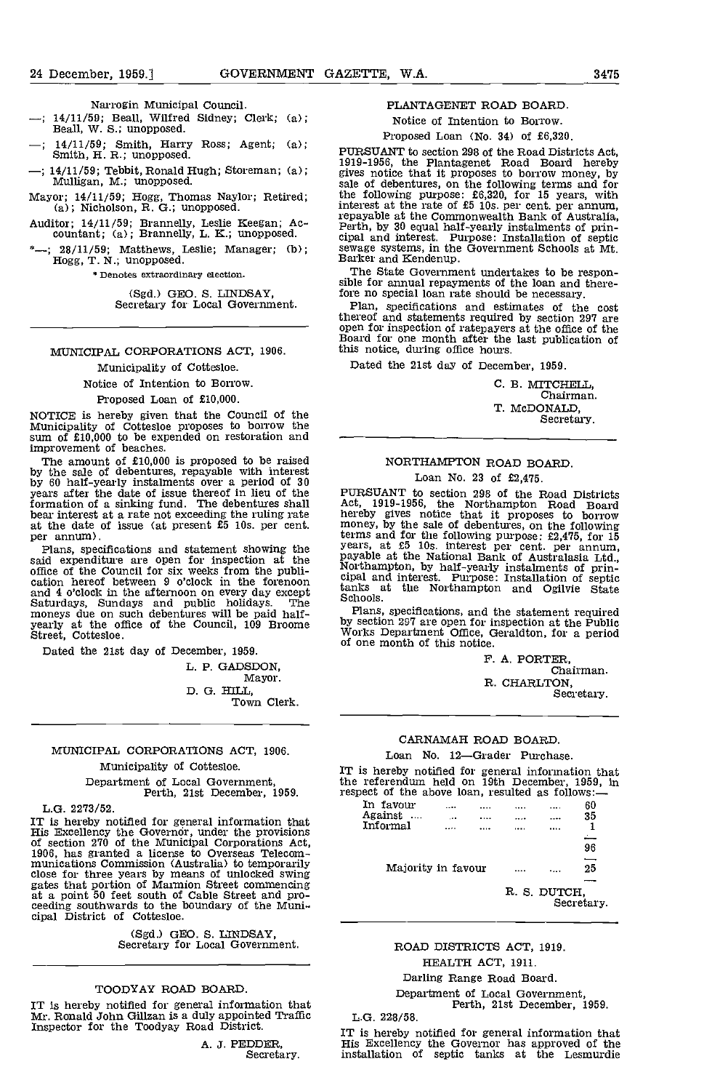### 24 December, 1959.1 GOVERNMENT GAZETTE, W.A. 3475

Narrogin Municipal Council.

- $-$ ; 14/11/59; Beall, Wilfred Sidney; Clerk; (a); Beall, W. S.; unopposed.
- 14/11/59; Smith, Harry Ross; Agent; (a);<br>Smith, H. R.; unopposed. PURSUANT to section 298 of the Road Districts Act,
- 14/11/50; Tebbit, Ronald Hugh; Storeman; (a); Mulligan, M.; unopposed.
- Mayor; 14/11/50; Hogg, Thomas Naylor; Retired; (a); Nicholson, R. G.; unopposed.
- Auditor; 14/11/50; Brannelly, Leslie Keegan; Ac- countant; (a); Brannelly, L. K.; unopposed.
- $28/11/59$ ; Matthews, Leslie; Manager; (b); sewage systems, in the Hogg, T. N.; unopposed. Barker and Kendenup.

\* Denotes extraordinary election.

(Sgd.) GEO. S. LINDSAY,<br>Secretary for Local Government.

# MUNICIPAL CORPORATIONS ACT, 1906.

Municipality of Cottesloe.

Notice of Intention to Borrow.

#### Proposed Loan of £10,000.

NOTICE is hereby given that the Council of the Municipality of Cottesloe proposes to borrow the sum of £10,000 to be expended on restoration and — improvement of beaches.

The amount of £10,000 is proposed to be raised<br>by the sale of debentures, repayable with interest<br>by 60 half-yearly instalments over a period of 30<br>years after the date of issue thereof in lieu of the formation of a sinking fund. The debentures shall bear interest at a rate not exceeding the ruling rate at the date of issue (at present £5 10s. per cent. mon per annum).<br>Plans, specifications and statement showing the yea

Plans, specifications and statement showing the said expenditure are open for inspection at the office of the Council for six weeks from the publication hereof between 9 o'clock in the forenoon and 4 o'clock in the afternoon on every day except tank<br>Saturdays, Sundays and public holidays. The Sch moneys due on such debentures will be paid half-<br>
yearly at the office of the Council, 109 Broome by se<br>
Street, Cottesloe. Street, Cottesloe.

Dated the 21st day of December, 1959.

L. P. GADSDON, Mayor. D. G. HILL,<br>Town Clerk.

# MUNICIPAL CORPORATIONS ACT, 1906. Municipality of Cottesloe.

Department of Local Govermnent, Perth, 21st December, 1950.

L.G. 2273/52.

IT is hereby notified for general information that<br>
His Excellency the Governor, under the provisions<br>
of section 270 of the Municipal Corporations Act,<br>
1906, has granted a license to Overseas Telecom-<br>
munications Commi close for three years by means of unlocked swing<br>gates that portion of Marmion Street commencing<br>at a point 50 feet south of Cable Street and pro-<br>ceeding southwards to the boundary of the Muni-<br>cipal District of Cottesloe

(Sgd.) GEO. S. LUWSAY, Secretary for Local Government.

#### TOODYAY ROAD BOARD.

IT is hereby notified for general information that Mr. Ronald John Gillzan is a duly appointed Traffic Inspector for the Toodyay Road District.

A. J. PEDDER,<br>Secretary.

#### PLANTAGENET ROAD BOARD.

Notice of Intention to Borrow.

## Proposed Loan (No. 34) of £6,320.

PURSUANT to section 298 of the Road Districts Act, 1019-1956, the Plantagenet Road Board hereby gives notice that it proposes to borrow money, by sale of debentures, on the following terms and for the following purpose: £6,320, for 15 years, with interest at the rate of £5 10s. per cent. per annum, repayable at the Commonwealth Bank of Australia, Perth, by 30 equal half-yearly instalments of principal and interest. Purpose: Installation of septic sewage systems, in the Government Schools at Mt.

The State Government undertakes to be respon- sible for annual repayments of the loan and there-fore no special loan rate should be necessary.

Plan, specifications and estimates of the cost thereof and statements required by section 297 are open for inspection of ratepayers at the office of the Board for one month after the last publication of Board for one month after the last publication of<br>this notice, during office hours.

Dated the 21st day of December, 1959.

| С. В. МІТСНЕІЛ.,<br>Chairman. |
|-------------------------------|
| T. MCDONALD.<br>Secretary.    |

# NORTHAMPTON ROAD BOARD. Loan No. 23 of £2,475.

PURSUANT to section 298 of the Road Districts Act, 1919-1956, the Northampton Road Board hereby gives notice that it proposes to borrow money, by the sale of debentures, on the following terms and for the following purpose:  $22,475,$  for 15<br>years, at  $25$  10s. interest per cent. per annum,<br>payable at the National Bank of Australasia Ltd.,<br>Northampton, by half-yearly instalments of prin-<br>cipal and interest

Plans, specifications, and the statement required by section 297 are open for inspection at the Public Works Department Office, Geraldton, for a period of one month of this notice.

> F. A. PORTER, Chairman. R. CHARLTON, Secretary.

# CARNAMAH ROAD BOARD.

### Loan No. 12-Grader Purchase.

IT is hereby notified for general information that the referendum held on 19th December, 1959, in respect of the above loan, resulted as follows:

| In favour          |   |              |   |            |  |
|--------------------|---|--------------|---|------------|--|
|                    |   | <br>.        | . | 60         |  |
| Against            | . |              |   | 35         |  |
| Informal           |   | <br>         |   |            |  |
|                    |   |              |   |            |  |
|                    |   |              |   | 96         |  |
|                    |   |              |   | -          |  |
| Majority in favour |   |              |   | 25         |  |
|                    |   |              |   |            |  |
|                    |   | R. S. DUTCH. |   | Secretary. |  |
|                    |   |              |   |            |  |

# ROAD DISTRICTS ACT, 1919.

# HEALTH ACT, 1911.

Darling Range Road Board.

Department of Local Government, Perth, 21st December, 1959.

L.G. 228/58.

IT is hereby notified for general information that His Excellency the Governor has approved of the installation of septic tanks at the Lesmurdie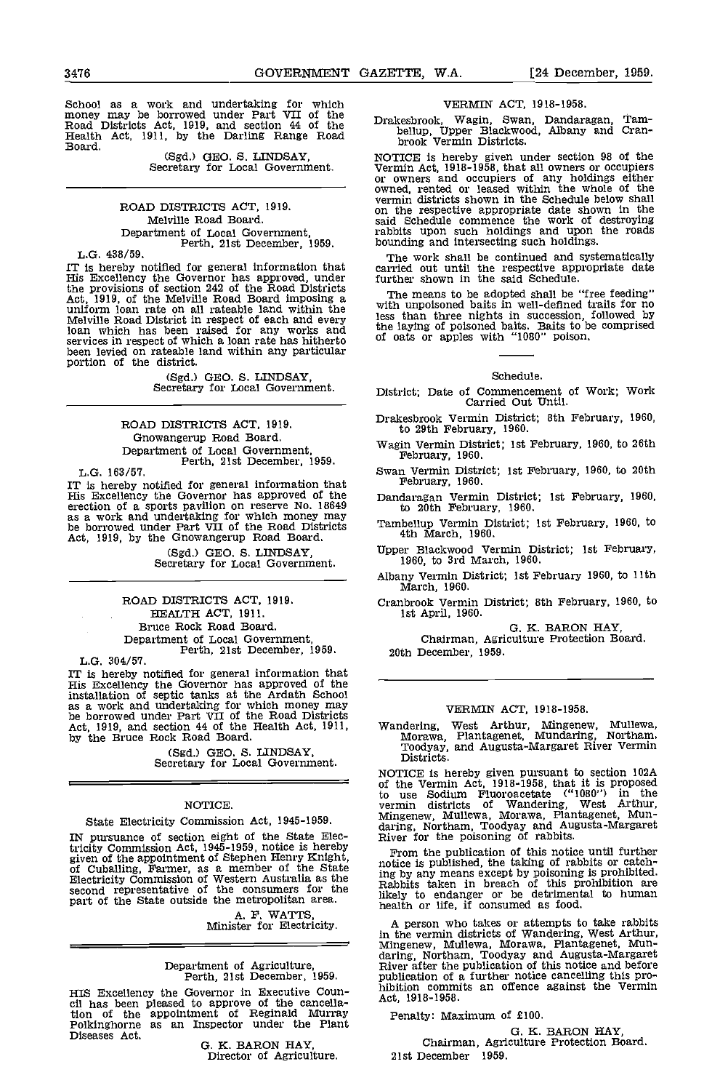School as a work and undertaking for which money may be borrowed under Part VII of the Road Districts Act, 1919, and section 44 of the Health Act, 1911, by the Darling Range Road Board.<br>
Health Act, 1911, by the Darling Ra

(Sgd.) GEO. S. LINDSAY, Secretary for Local Government.

ROAD DISTRICTS ACT, 1919. Melville Road Board. Department of Local Government, Perth, 21st December, 1959.

L.G. 438/59.

IT is hereby notified for general information that can His Excellency the Governor has approved, under fu the provisions of section 242 of the Road Districts Act, 1919, of the Melville Road Board imposing a The uniform loan rate on all rateable land within the ultra Melville Road District in respect of each and every less the lay<br>loan which has been raised for any works and the lay services in respect of which a loan rate has hitherto <sup>of oa</sup> been levied on rateable land within any particular portion of the district.

(Sgd.) GEO. S. LINDSAY, Secretary for Local Government.

ROAD DISTRICTS ACT, 1919. Gnowangerup Road Board. Department of Local Government, Perth, 21st December, 1959.

L.G. 163/57.<br>IT is hereby notified for general information that IT is hereby notified for general information that  $1\atop \text{His Excellency}$  the Governor has approved of the  $1\atop \text{Danc}$ erection of a sports pavilion on reserve No. 18649 as a work and undertaking for which money may<br>be borrowed under Part VII of the Road Districts Tamber Act, 1919, by the Onowangerup Road Board.

(Sgd.) GEO. S. LINDSAY, Secretary for Local Government.

ROAD DISTRICTS ACT, 1919. HEALTH ACT, 1911. Bruce Rock Road Board. Department of Local Government, Perth, 21st December, 1959.

L.G. 304/57.

IT is hereby notified for general information that His Excellency the Governor has approved of the installation of septic tanks at the Ardath School as a work and undertaking for which money may be borrowed under Part VII of the Road Districts Act, 1919, and section 44 of the Health Act, 1911, by the Bruce Rock Road Board.

(Sgd.) GEO. S. LINDSAY, Secretary for Local Government.

# NOTICE.

State Electricity Commission Act, 1945-1959.

IN pursuance of section eight of the State Electricity Commission Act, 1945-1959, notice is hereby given of the appointment of Stephen Henry Knight, tricity Commission Act, 1945-1959, notice is hereby<br>given of the appointment of Stephen Henry Knight, revision<br>of Cuballing, Farmer, as a member of the State in the<br>Electricity Commission of Western Australia as the in pob second representative of the consumers for the Rabb.<br>part of the State outside the metropolitan area. Bikely

A. P. WATTS, Minister for Electricity.

# Department of Agriculture, Perth, 21st December, 1959.

HIS Excellency the Governor in Executive Coun- cil has been pleased to approve of the cancellation of the appointment of Reginald Murray Penator Polkinghorne as an Inspector under the Plant Diseases Act.

0. K. BARON HAY, Director of Agriculture.

#### VERMIN ACT, 1918-1958.

Drakesbrook, Wagin, Swan, Dandaragan, Tam-<br>bellup, Upper Blackwood, Albany and Cran-

or owners and occupiers of any holdings either<br>owned, rented or leased within the whole of the<br>vermin districts shown in the Schedule below shall on the respective appropriate date shown in the said Schedule commence the work of destroying rabbits upon such holdings and upon the roads bounding and intersecting such holdings.

The work shall be continued and systematically carried out until the respective appropriate date further shown in the said Schedule.

The means to be adopted shall be "free feeding" with unpolsoned baits in well-defined trans for no less than three nights in succession, followed by the laying of poisoned baits. Baits to be comprised of oats or apples with "1080" poison.

#### Schedule.

District; Date of Commencement of Work; Work Carried Out Until.

- Drakesbrook Vermin District; 8th February, 1960, to 29th February, 1960.
- Wagin Vermin District; 1st February, 1960, to 26th February, 1960.
- Swan Vermin District; 1st February, 1960, to 20th February, 1960.
- Dandaragan Vermin District; 1st February, 1960, to 20th February, 1960.
- Tambellup Vermin District; 1st February, 1960, to 4th March, 1960.
- Upper Blackwood Vermin District; 1st February, 1960, to 3rd March, 1960.

Albany Vermin District; 1st February 1960, to 11th March, 1960.

Cranbrook Vermin District; 8th February, 1960, to 1st April, 1960.

0. K. BARON HAY, Chairman, Agriculture Protection Board. 20th December, 1959.

# VERMIN ACT, 1918-1958.

Wandering, West Arthur, Mingenew, Mullewa, Morawa, Plantagenet, Mundaring, Northam, Toodyay, and Augusta-Margaret River Vermin Districts.

NOTICE is hereby given pursuant to section 102A of the Vermin Act, 1918-1958, that it is proposed to use Sodium Fluoroacetate ("1080") in the vermin districts of Wandering, West Arthur, Mingenew, Mullewa, Morawa, Plantagenet, Mun- daring, Northam, Toodyay and Augusta-Margaret River for the poisoning of rabbits.

From the publication of this notice until further notice is published, the taking of rabbits or catching by any means except by poisoning is prohibited. Rabbits taken in breach of this prohibition are likely to endanger or be detrimental to human health or life, if consumed as food.

A person who takes or attempts to take rabbits in the vermin districts of Wandering, West Arthur,<br>Mingenew, Mullewa, Morawa, Plantagenet, Mun-<br>daring, Northam, Toodyay and Augusta-Margaret<br>River after the publication of this notice and before<br>publication of a further n

Penalty: Maximum of £100.

0. K. BARON HAY, Chairman, Agriculture Protection Board. 21st December 1959.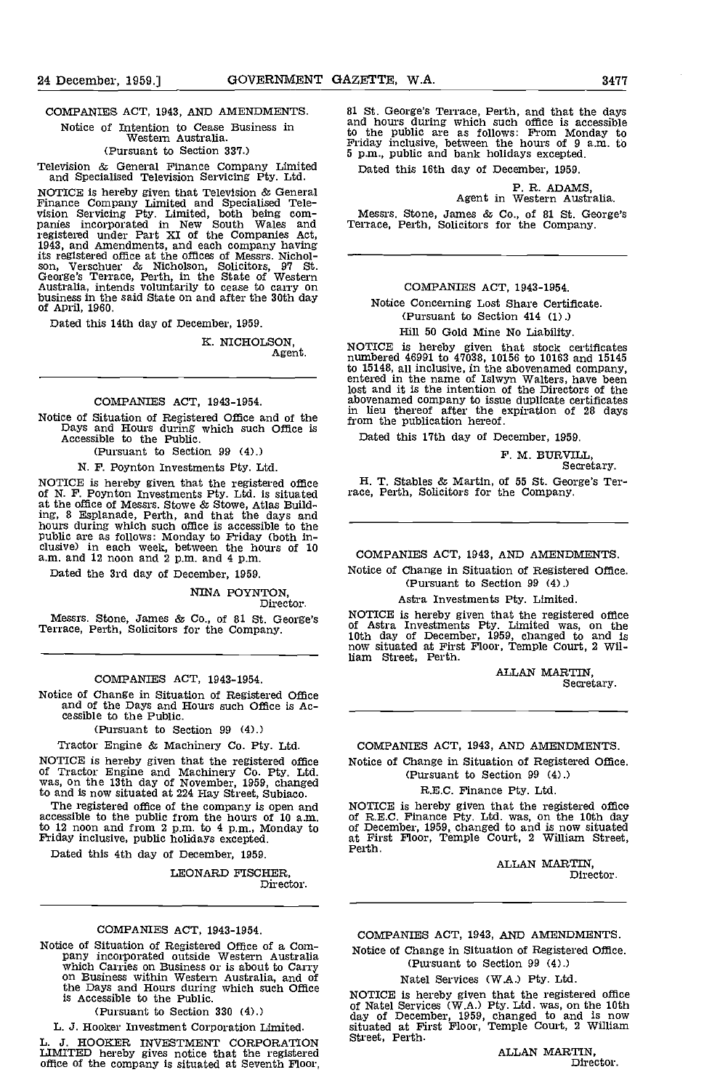COMPANIES ACT, 1943, AND AMENDMENTS.

Notice of Intention to Cease Business in

Western Australia. (Pursuant to Section 337.)

Television & General Finance Company Limited and Specialised Television Servicing Pty. Ltd.

NOTICE is hereby given that Television & General<br>Finance Company Limited and Specialised Tele-<br>vision Servicing Pty. Limited, both being com- panies incorporated in New South Wales and Terrace registered under Part XI of the Companies Act,<br>1943, and Amendments, and each company having its registered office at the offices of Messrs. Nichol- son, Verschuer & Nicholson, Solicitors, <sup>97</sup> St. George's Terrace, Perth, in the State of Western Australia, intends voluntarily to cease to carry on business in the said State on and after the 30th day of April, 1960.

Dated this 14th day of December, 1959.

K. NICHOLSON. Agent.

#### COMPANIES ACT, 1943-1954.

Notice of Situation of Registered Office and of the Days and Hours during which such Office Is Accessible to the Public.

(Pursuant to Section 99 (4).)

N. F. Poynton Investments Pty. Ltd.

NOTICE is hereby given that the registered office of N. F. Poynton Investments Pty. Ltd. is situated at the office of Messrs. Stowe & Stowe, Atlas Building, 8 Esplanade, Perth, and that the days and hours during which such office is accessible to the public are as follows: Monday to Friday (both in-<br>clusive) in each week, between the hours of 10 clusive) in each week, between the hours of 10<br>a.m. and 12 noon and 2 p.m. and 4 p.m.

Dated the 3rd day of December, 1959.

NINA POYNTON, Director.

Messrs. Stone, James & Co., of 81 St. George's Terrace, Perth, Solicitors for the Company.

#### COMPANIES ACT, 1943-1954.

Notice of Change in Situation of Registered Office and of the Days and Hours such Office is Accessible to the Public.

(Pursuant to Section 99 (4).)

Tractor Engine & Machinery Co. Pty. Ltd.

NOTICE is hereby given that the registered office of Tractor Engine and Machinery Co. Pty. Ltd. was, on the 13th day of November, 1959, changed to and is now situated at 224 Hay Street, Subiaco.

The registered office of the company is open and accessible to the public from the hours of 10 a.m. of R.E<br>to 12 noon and from 2 p.m. to 4 p.m., Monday to of Dec<br>Friday inclusive, public holidays excepted. at Fir

Dated this 4th day of December, 1959.

LEONARD FISCHER, Director.

### COMPANIES ACT, 1943-1954.

Notice of Situation of Registered Office of a Com-<br>
pany incorporated outside Western Australia<br>
which Carries on Business or is about to Carry<br>
on Business within Western Australia, and of the Days and Hours during which such Office  $_{\text{MOT}}$ is Accessible to the Public.

(Pursuant to Section 330 (4).)

L, J. Hooker Investment Corporation Limited.

L. J. HOOKER INVESTMENT CORPORATION LIMITED hereby gives notice that the registered office of the company is situated at Seventh Floor.

81 St. George's Terrace, Perth, and that the days and hours during which such office is accessible to the public are as follows: From Monday to Friday inclusive, between the hours of 9 am, to 5 p.m., public and bank holidays excepted.

Dated this 16th day of December, 1959.

# P. R. ADAMS, Agent in Western Australia.

Messrs. Stone, James & Co., of 81 St. George's Terrace, Perth, Solicitors for the Company.

### COMPANIES ACT, 1943-1954.

Notice Concerning Lost Share Certificate. (Pursuant to Section 414 (1).)

#### Hill 50 Gold Mine No Liability.

NOTICE is hereby given that stock certificates numbered 46991 to 47038, 10156 to 10163 and 15145 to 15148, all inclusive, in the abovenamed company, entered in the name of Islwyn Walters, have been lost and it is the intention of the Directors of the abovenamed company to issue duplicate certificates in lieu thereof after the expiration of 28 days from the publication hereof.

Dated this 17th day of December, 1959.

F. M. BURVILL,<br>Secretary.

H. T. Stables & Martin, of 55 St. George's Ter- race, Perth, Solicitors for the Company.

COMPANIES ACT, 1943, AND AMENDMENTS

Notice of Change in Situation of Registered Office. (Pursuant to Section 99 (4).)

#### Astra Investments Pty. Limited.

NOTICE is hereby given that the registered office of Astra Investments Pty. Limited was, on the 10th day of December. 1959, changed to and Is now situated at First Floor, Temple Court, 2 William Street, Perth.

> ALLAN MARTIN. Secretary.

COMPANIES ACT, 1943, AND AMENDMENTS.

Notice of Change in Situation of Registered Office. (Pursuant to Section 99 (4).)

# R.E.C. Finance Pty. Ltd.

NOTICE is hereby given that the registered office<br>of R.E.C. Finance Pty. Ltd. was, on the 10th day of December, 1959, changed to and is now situated at First Floor, Temple Court, 2 William Street, Perth.

> ALLAN MARTIN, Director.

COMPANIES ACT, 1943, AND AMENDMENTS. Notice of Change in Situation of Registered Office.

> (Pursuant to Section 99 (4).) Natel Services (W.A.) Pty. Ltd.

NOTICE is hereby given that the registered office<br>of Natel Services (W.A.) Pty. Ltd. was, on the 10th<br>day of December, 1959, changed to and Is now situated at First Floor, Temple Court, 2 WillIam Street, Perth.

ALLAN MARTIN, Director.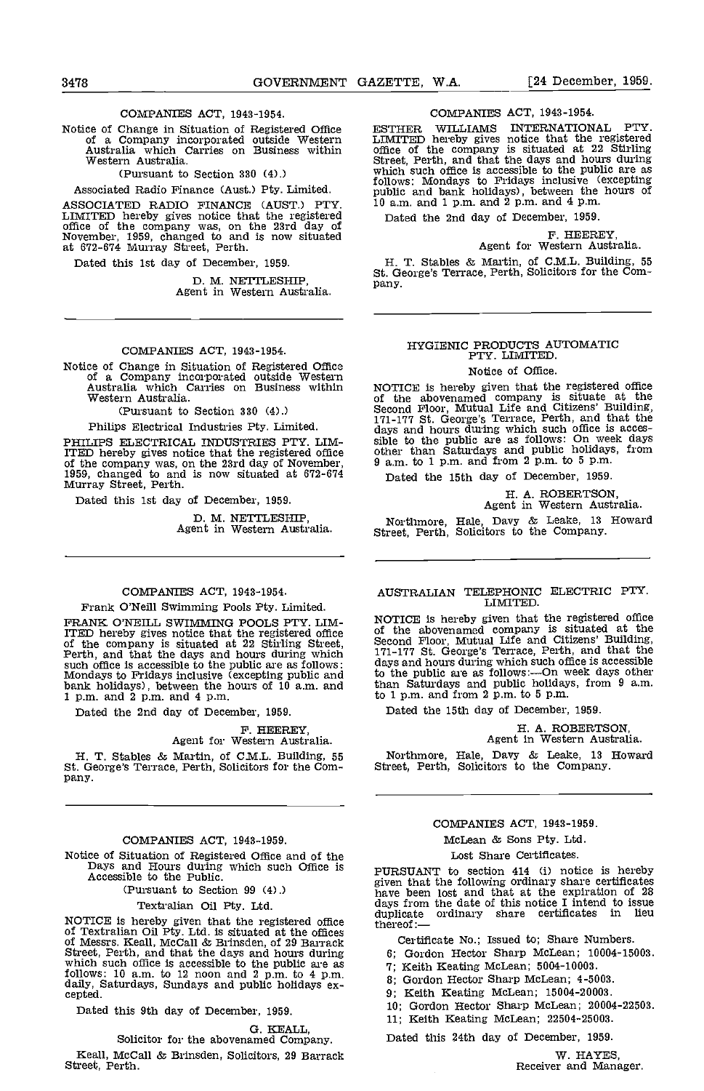# COMPANIES ACT, 1943-1954.

Western Australia.

(Pursuant to Section 330 (4).)

Associated Radio Finance (Aust.) Pty. Limited.

ASSOCIATED RADIO FINANCE (AUST.) PTY. <sup>10</sup> a.m<br>LIMITED hereby gives notice that the registered of the company was, on the 23rd day of<br>November, 1959, changed to and is now situated at 672-674 Murray Street, Perth.

Dated this 1st day of December, 1959.

D. M. NETTLESHIP,<br>Agent in Western Australia.

### COMPANIES ACT, 1943-1954.

Notice of Change in Situation of Registered Office of a Company incorporated outside Western Australia which Carries on Business within Western Australia.

(Pursuant to Section 330 (4).)

Philips Electrical Industries Pty. Limited.

PHILIPS ELECTRICAL INDUStRIES PTY. LIM-ITED hereby gives notice that the registered office office of the company was, on the 23rd day of November, 1959, changed to and is now situated at 672-674 Murray Street, Perth.

Dated this 1st day of December, 1959.

D. M. NETTLESHIP, Agent in Western Australia

#### COMPANIES ACT, 1943-1954.

Frank O'Neill Swimming Pools Pty. Limited.

FRANK O'NEILL SWIMMING POOLS PTY. LIM-<br>ITED hereby gives notice that the registered office of the<br>of the company is situated at 22 Stirling Street, Second<br>Perth, and that the days and hours during which  $\frac{171-17}{11}$ such office is accessible to the public are as follows: days a Mondays to Fridays inclusive (excepting public and bank holidays), between the hours of 10 a.m. and bank holidays), between the hours of 10 a.m. and  $1$  p.m. and  $2$  p.m. and  $4$  p.m.

Dated the 2nd day of December, 1959.

# F. HEEREY,<br>Agent for Western Australia.

H. T. Stables & Martin, of C.M.L. Building, 55 St. George's Terrace, Perth, Solicitors for the Company,

#### COMPANIES ACT, 1943-1959.

Notice of Situation of Registered Office and of the Days and Hours during which such Office is Accessible to the Public.

(Pursuant to Section 99 (4).)

# Textralian Oil Pty. Ltd.

NOTICE is hereby given that the registered office duplicate ordinary<br>of Textralian Oil Pty. Ltd. is situated at the offices<br>of Messrs. Keall, McCall & Brinsden, of 29 Barrack Certificate No.; Street, Perth, and that the days and hours during<br>which such office is accessible to the public are as<br>follows: 10 a.m. to 12 noon and 2 p.m. to 4 p.m.<br>daily, Saturdays, Sundays and public holidays ex-<br>cepted.

Dated this 9th day of December, 1959.

G. KEALL, Solicitor for the abovenamed Company. Keall, McCall & Brinsden, Solicitors, 29 Barrack Street, Perth.

# COMPANIES ACT, 1943-1954.

Notice of Change in Situation of Registered Office **CESTHER WILLIAMS INTERNATIONAL PTY**.<br>
of a Company incorporated outside Western **LIMITED** hereby gives notice that the registered<br>
Australia which Carries on Business wit WILLIAMS INTERNATIONAL PTY LIMITED hereby gives notice that the registered office of the company is situated at 22 Stirling follows: Mondays to Fridays inclusive (excepting public and bank holidays), between the hours of 10 a.m. and 1 p.m. and 2 p.m. and 4pm.

Dated the 2nd day of December, 1959.

# F. HEEREY,<br>Agent for Western Australia.

H. T. Stables & Martin, of C.M.L. Building, 55 St. George's Terrace, Perth, Solicitors for the Company.

# HYGIENIC PRODUCTS AUTOMATIC PTY. LIMITED.

Notice of Office.

NOTICE is hereby given that the registered office<br>of the abovenamed company is situate at the Second Floor, Mutual Life and Citizens' Building,<br>171-177 St. George's Terrace, Perth, and that the<br>days and hours during which such office is acces-<br>sible to the public are as follows: On week days<br>other than Saturdays an  $9$  a.m. to 1 p.m. and from 2 p.m. to 5 p.m.

Dated the 15th day of December, 1959.

H. A. ROBERTSON, Agent in Western Australia.

Northmore, Hale, Davy & Leake, 13 Howard Street, Perth, Solicitors to the Company.

#### AUSTRALIAN TELEPHONIC ELECTRIC PT?. LIMITED.

NOTICE is hereby given that the registered office<br>of the abovenamed company is situated at the<br>Second Floor, Mutual Life and Citizens' Building,<br>171-177 St. George's Terrace, Perth, and that the<br>days and hours during which to the public are as follows:—On week days other than Saturdays and public holidays, from 9 a.m. to 1 p.m. and from 2 p.m. to 5 p.m.

Dated the 15th day of December, 1959.

H. A. ROBERTSON, Agent in Western Australia.

Northmore, Hale, Davy & Leake, 13 Howard Street, Perth, Solicitors to the Company.

### COMPANIES ACT, 1943-1959.

# McLean & Sons Pty. Ltd. Lost Share Certificates.

PURSUANT to section 414 (i) notice is hereby given that the following ordinary share certificates have been lost and that at the expiration of 28 days from the date of this notice I intend to issue duplicate ordinary share certificates in lieu

Certificate No.; Issued to; Share Numbers.

- Gordon Hector Sharp McLean; 10004-15003.
- 7; Keith Keating McLean; 5004-10003.
- 3; Gordon Hector Sharp McLean; 4-5003.
- Keith Keating McLean; 15004-20003.
- Gordon Hector Sharp McLean; 20004-22503.
- 11; Keith Keating McLean; 22504-25003.

Dated this 24th day of December, 1959.

W. HAYES,<br>Receiver and Manager.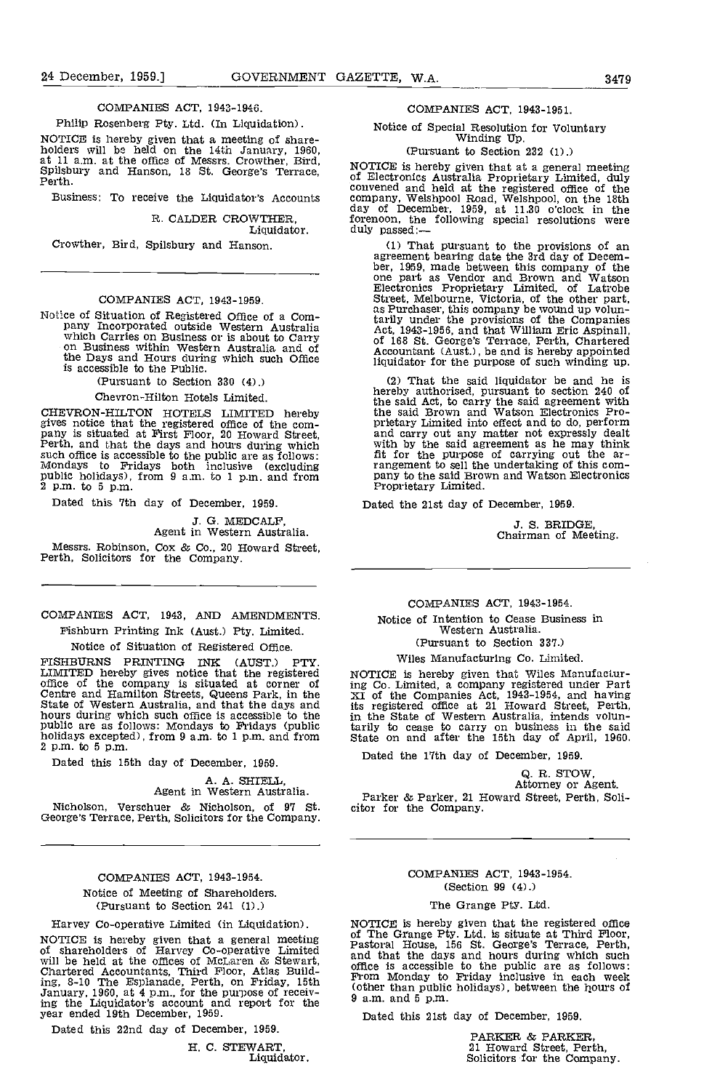#### COMPANIES ACT, 1943-1946.

#### Philip Rosenberg Pty. Ltd. (In Liquidation).

NOTICE is hereby given that a meeting of share- holders will be held on the 14th January, 1960, at 11 am. at the office of Messrs. Crowther, Bird, Spilsbury and Hanson, 18 St. George's Terrace, Perth.

Business: To receive the Liquidator's Accounts

R. CALDER CROWTHER,

Liquidator.

Crowther, Bird, Spilsbury and Hanson.

# COMPANIES ACT, 1043-1959.

Notice of Situation of Registered Office of a Company Incorporated outside Western Australia and A<br>which Carries on Business or is about to Carry<br>on Business within Western Australia and of<br>the Days and Hours during which is accessible to the Public.

(Pursuant to Section 330 (4).)

#### Chevron-Hilton Hotels Limited.

CHEVRON-HILTON HOTELS LIMITED hereby the gives notice that the registered office of the com-<br>pany is situated at First Floor, 20 Howard Street, an<br>Perth, and that the days and hours during which wi such office is accessible to the public are as follows: fit for the mondays to Fridays both inclusive (excluding public holidays), from 9 a.m. to 1 p.m. and from pany to t  $2$  p.m. to  $5$  p.m.

Dated this 7th day of December, 1959.

3. 0. MEDCALF, Agent in Western Australia.

Messrs. Robinson, Cox & Co., 20 Howard Street, Perth, Solicitors for the Company.

# COMPANIES ACT, 1943, MID AMENDMENTS. Fishburn Printing Ink (Aust.) Pty. Limited.

Notice of Situation of Registered Office.

FISHBURNS PRINTING INK (AUST.) PTY. LIMITED hereby gives notice that the registered MOTIC office of the company is situated at corner of ing Contre and Hamilton Streets, Queens Park, in the State of Western Australia, and that the days and its reg State of Western Australia, and that the days and hours during which such office is accessible to the public are as follows: Mondays to Fridays (public holidays excepted), from 9 a.m. to 1 p.m. and from 2 p.m. to 5 p.m.

Dated this 15th day of December, 1959.

A. A. SHIELL,<br>Agent in Western Australia.

Nicholson, Verschuer & Nicholson, of <sup>97</sup> St. George's Terrace, Perth, Solicitors for the Company.

# COMPANIES ACT, 1943-1954. Notice of Meeting of Shareholders. (Pursuant to Section 241 (1).)

Harvey Co-operative Limited (in Liquidation).

NOTICE is hereby given that a general meeting of  $\frac{0}{10}$  pastor of shareholders of Harvey Co-operative Limited<br>will be held at the offices of McLaren & Stewart, and the<br>Chartered Accountants, Third Floor, Atlas Building, 8-10 The Esplanade, Perth, on Friday, 15th (other January, 1960, at 4 p.m., for the purpose of receiv-<br>ing the Liquidator's account and report for the 9 a.m<br>year ended 19th December, 1959. year ended 19th December, 1959.<br>Dated this 22nd day of December, 1959.

H. C. STEWART, Liquidator.

#### COMPANIES ACT, 1943-1951.

# Notice of Special Resolution for Voluntary Winding Up.

#### (Pursuant to Section 232 (1).)

NOTICE is hereby given that at a general meeting<br>of Electronics Australia Proprietary Limited, duly convened and held at the registered office of the company, Welshpool Road, Welshpool, on the 18th day of December, 1959, at 11.30 o'clock in the forenoon, the following special resolutions were<br>duly passed:—

That pursuant to the provisions of an agreement bearing date the 3rd day of Decem-<br>ber, 1959, made between this company of the<br>one part as Vendor and Brown and Watson<br>Electronics Proprietary Limited, of Latrobe<br>Street, Melbourne, Victoria, of the other part,<br>a tarlly under the provisions of the Companies<br>Act, 1943-1956, and that William Eric Aspinall,<br>of 168 St. George's Terrace, Perth, Chartered<br>Accountant (Aust.), be and is hereby appointed<br>liquidator for the purpose of such w

That the said liquidator be and he is hereby authorised, pursuant to section 240 of the said Act, to carry the said agreement with the said Brown and Watson Electronics Proprietary Limited into effect and to do, perform with by the said agreement as he may think fit for the purpose of carrying out the arrangement to sell the undertaking of this company to the said Brown and Watson Electronics Proprietary Limited.

Dated the 21st day of December, 1959.

J. S. BRIDGE, Chairman of Meeting.

#### COMPANIES ACT, 1943-1954.

# Notice of Intention to Cease Business in Western Australia. (Pursuant to Section 337.)

# Wiles Manufacturing Co. Limited.

NOTICE is hereby given that Wiles Manufacturing Co. Limited, a company registered under Part XI of the Companies Act, 1943-1954, and having its registered office at 21 Howard Street, Perth, in the State of Western Australia, intends volunin the State of Western Australia, intends voluntarily to cease to carry on business in the said State on and after the 15th day of April, 1960.

Dated the 17th day of December, 1959.

Q. H,. STOW, Attorney or Agent.

Parker & Parker, 21 Howard Street, Perth, Soli-

### COMPANIES ACT, 1943-1954. (Section 99 (4).)

### The Grange Pty. Ltd.

NOTICE is hereby given that the registered office<br>of The Grange Pty. Ltd. is situate at Third Floor,<br>Pastoral House, 156 St. George's Terrace, Perth,<br>and that the days and hours during which such office is accessible to the public are as follows:<br>From Monday to Friday inclusive in each week (other than public holidays), between the hours of 9 a.m. and 5 p.m.

Dated this 21st day of December, 1959.

PARKER & PARKER, 21 Howard Street, Perth, Solicitors for the Company,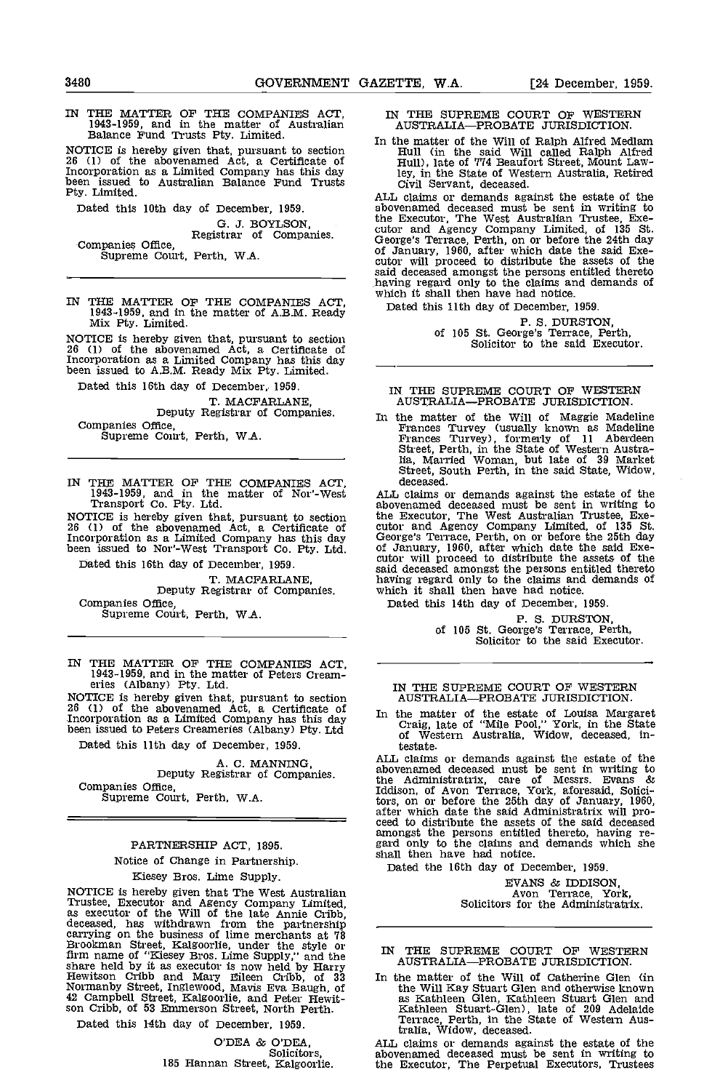IN THE MATflR OF THE COMPANIES ACT, 1943-1959, and in the matter of Australian Balance Fund Trusts Pty. Limited.

NOTICE is hereby given that, pursuant to section The 26 (1) of the abovenamed Act, a Certificate of H Incorporation as a Limited Company has this day<br>been issued to Australian Balance Fund Trusts Circle Fund Trusts

Dated this 10th day of December, 1959.

G. J. BOYLSON,<br>Companies Office,<br>Supreme Court, Perth, W.A.

IN THE MATTER OF THE COMPANIES ACT, 1943-1959, and in the matter of A.B.M. Ready Mix Pty. Limited.

NOTICE is hereby given that, pursuant to section 26 (1) of the abovenamed Act, a Certificate of Incorporation as a Limited Company has this day been issued to A.B.M. Ready Mix Pty. Limited.

Dated this 16th day of December, 1959.

T. MACFARLANE,<br>Deputy Registrar of Companies.<br>Companies Office,

Supreme Court, Perth, W.A.

IN THE MATTER OF THE COMPANIES ACT, 1943-1959, and in the matter of Nor'-West Transport Co. Pty. Ltd.

NOTICE is hereby given that, pursuant to section the E<br>26 (1) of the abovenamed Act, a Certificate of cutor Incorporation as a Limited Company has this day been issued to Nor'-West Transport Co. Pty. Ltd.

Dated this 16th day of December, 1959. T. MACFARLANE, Deputy Registrar of Companies.

Companies Office, Supreme Court, Perth, W.A.

IN THE MATTER OF THE COMPANIES ACT, 1943-1959, and in the matter of Peters Cream- eries (Albany) Pty. Ltd.

NOTICE is hereby given that, pursuant to section  $26$  (1) of the abovenamed Act, a Certificate of  $\frac{1}{10}$  the Incorporation as a Limited Company has this day been issued to Peters Creameries (Albany) Pty, Ltd

Dated this 11th day of December, 1959.

A. C. MANNING,<br>Deputy Registrar of Companies.<br>Companies Office. Supreme Court, Perth, W.A.

### PARTNERSHIP ACT, 1895.

Notice of Change in Partnership.

Kiesey Bros. Lime Supply.

NOTICE is hereby given that The West Australian Trustee, Executor and Agency Company Limited, as executor of the Will of the late Annie Cribb, deceased, has withdrawn from the partnership carrying on the business of lime m carrying on the business of lime merchants at 78 Brookman Street, Kalgoorlie, under the style or  $_{\text{TN}}$ firm name of "Kiesey Bros. Lime Supply," and the<br>
share held by it as executor is now held by Harry<br>
Hewitson Cribb and Mary Eileen Cribb, of 33 In the<br>
Normanby Street, Inglewood, Mavis Eva Baugh, of<br>
42 Campbell Street,

Dated this 14th day of December, 1959.

O'DEA & O'DEA, 185 Hannan Street, Kalgoorlie. IN THE SUPREME COURT OF WESTERN AUSTRALIA-PROBATE JURISDICTION.

In the matter of the Will of Ralph Aif red Medlam Hull (in the said Will called Ralph Alfred Hull), late of 774 Beaufort Street, Mount Lawley, in the State of Western Australia, Retired Civil Servant, deceased. ALL claims or demands against the estate of the

abovenamed deceased must be sent in writing to the Executor, The West Australian Trustee, Executor and Agency Company Limited, of 135 St.<br>George's Terrace, Perth, on or before the 24th day<br>of January, 1960, after which date the said Executor will proceed to distribute of said deceased amongst the persons entitled the said deceased amongst the persons entitled thereto having regard only to the claims and demands of which it shall then have had notice.

Dated this 11th day of December, 1959.

P. S. DURSTON,<br>of 105 St. George's Terrace, Perth,<br>Solicitor to the said Executor.

#### IN THE SUPREME COURT OP WESTERN AUSTRALIA-PROBATE JURISDICTION.

In the matter of the Will of Maggie Madeline<br>Frances Turvey (usually known as Madeline<br>Frances Turvey), formerly of 11 Aberdeen<br>Street, Perth, in the State of Western Austra-<br>lia, Married Woman, but late of 39 Market<br>Stree

ALL claims or demands against the estate of the abovenamed deceased must be sent in writing to the Executor, The West Australian Trustee, Exe-<br>cutor and Agency Company Limited, of 135 St.<br>George's Terrace, Perth, on or before the 25th day<br>of January, 1960, after which date the said Exe-<br>cutor will proceed to distrib said deceased amongst the persons entitled thereto having regard only to the claims and demands of which it shall then have had notice.

Dated this 14th day of December, 1959.

P. S. DURSTON,<br>of 105 St. George's Terrace, Perth,<br>Solicitor to the said Executor.

#### IN THE SUPREME COURT OF WESTERN AUSTRALIA-PROBATE JURISDICTION.

In the matter of the estate of Louisa Margaret Craig, late of "Mile Pool," York, in the State of Western Australia, Widow, deceased, intestate.

ALL claims or demands against the estate of the abovenamed deceased must be sent in writing to the Administratrix, care of Messrs. Evans & Iddison, of Avon Terrace, York, aforesaid, Solici-tors, on or before the 25th day of January, 1960, after which date the said Administratrix will pro- ceed to distribute the assets of the said deceased amongst the persons entitled thereto, having re- gard only to the claims and demands which she shall then have had notice.

Dated the 16th day of December, 1959.

EVANS & IDDISON, Avon Terrace, York, Solicitors for the Administratrix.

# IN THE SUPREME COURT OF WESTERN<br>AUSTRALIA—PROBATE JURISDICTION.

In the matter of the Will of Catherine Glen (in the Will Kay Stuart Glen and otherwise known as Kathleen Glen, Kathleen Stuart Glen and Kathleen Stuart-Glen), late of 209 AdelaIde Terrace, Perth, in the State of Western Aus-tralia, Widow, deceased.

ALL claims or demands against the estate of the abovenamed deceased must be sent in writing to the Executor, The Perpetual Executors, Trustees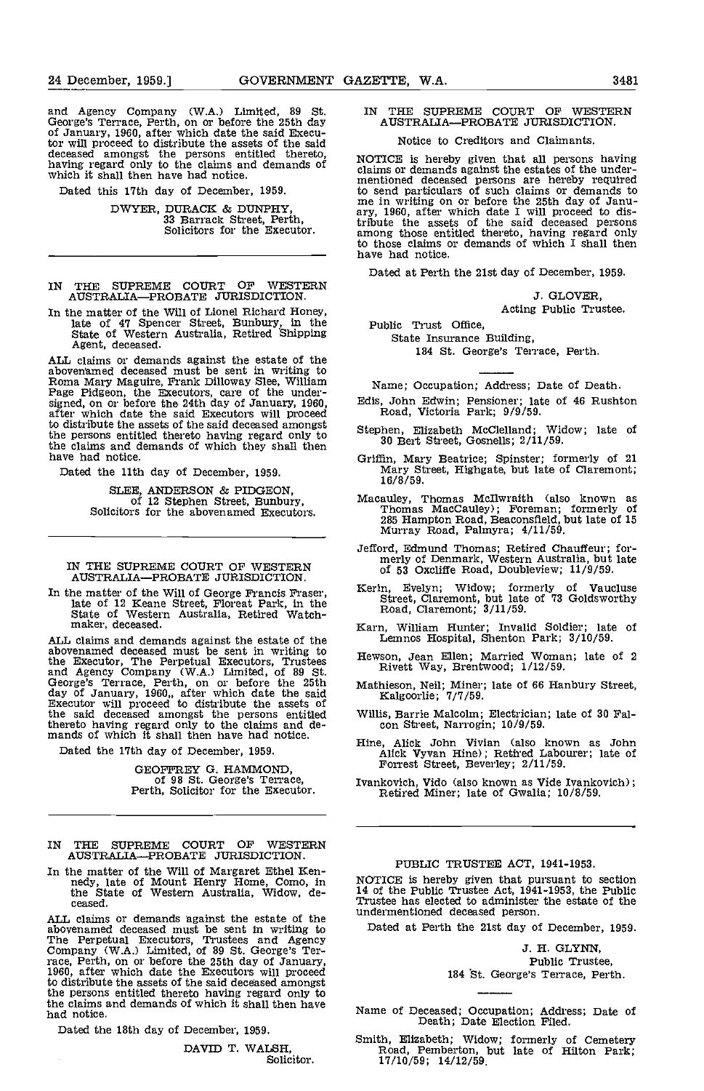and Agency Company (WA.) Limited, 89 St. George's Terrace, Perth, on or before the 25th day of January, 1960, after which date the said Executor<br>tor will proceed to distribute the assets of the said<br>deceased amongst the persons entitled thereto,<br>having regard only to the claims and demands of claims<br>which it shal

Dated this 17th day of December, 1959.

DWYER, DURACK & DUNPHY, 33 Barrack Street, Perth, Solicitors for the Executor.

IN THE SUPREME COURT OF WESTERN<br>AUSTRALIA—PROBATE JURISDICTION.

In the matter of the Will of Lionel Richard Honey, late of 47 Spencer Street, Bunbury, In the State of Western Australia, Retired Shipping Agent, deceased.

ALL claims or demands against the estate of the abovenmed deceased must be sent in writing to Roma Mary Maguire, Frank Dhlloway Slee, William Page Pidgeon, the Executors, care of the under-<br>signed, on or before the 24th day of January, 1960,<br>after which date the said Executors will proceed to distribute the assets of the said deceased amongst the persons entitled thereto having regard only to<br>the claims and demands of which they shall then<br>have had notice.<br>The Cariffin, Mary Beatrice; Spinster; formerly of 21<br>Rave had notice.<br>The Cariffin, Mary Beatrice; Spinst have had notice,

Dated the 11th day of December, 1959.

SLEE, ANDERSON & PIDGEON, of 12 Stephen Street, Bunbury, Solicitors for the abovenamed Executors.

IN THE SUPREME COURT OF WESTERN of AUSTRALIA-PROBATE JURISDICTION.

In the matter of the Will of George Francis Fraser, late of 12 Keane Street, Floreat Park, in the State of Western Australia, Retired Watch- maker, deceased.

ALL claims and demands against the estate of the  $\frac{L \epsilon}{H \text{e} w \text{s} \alpha}$ the Executor, The Perpetual Executors, Trustees Hewson<br>and Agency Company (W.A.) Limited, of 89 St. Riverse's Terrace, Perth, on or before the 25th Mathie day of January, 1960,, after which date the said Executor will proceed to distribute the assets of the said deceased amongst the persons entitled Willis, thereto having regard only to the claims and de-<br>mands of which it shall then have had notice.

Dated the 17th day of December, 1959.

GEOFFREY G. HAMMOND, of 98 St. George's Terrace, Perth, Solicitor for the Executor.

- IN THE SUPREME COURT OF WESTERN AUSTRALIA-PROBATE JURISDICTION.
- In the matter of the Will of Margaret Ethel Ken-<br>nedy, late of Mount Henry Home, Como, in the State of Western Australia, Widow, de-<br>ceased. Tr

ALL claims or demands against the estate of the abovenamed deceased must be sent in writing to Date<br>The Perpetual Executors, Trustees and Agency<br>Company (W.A.) Limited, of 89 St. George's Ter-<br>race, Perth, on or before the 25th day of January,<br>1960, after which date the to distribute the assets of the said deceased amongst the persons entitled thereto having regard only to the claims and demands of which it shall then have had notice.

Dated the 18th day of December, 1959.

DAVID T. WALSH, Solicitor.

# IN THE SUPREME COURT OF WESTERN AUSTRALIA-PROBATE JURISDICTION.

#### Notice to Creditors and Claimants.

NOTICE is hereby given that all persons having claims or demands against the estates of the under- mentioned deceased persons are hereby required to send particulars of such claims or demands to me in writing on or before the 25th day of Janu- ary, 1960, after which date I will proceed to distribute the assets of the said deceased persons among those entitled thereto, having regard only to those claims or demands of which I shall then have had notice.

Dated at Perth the 21st day of December, 1959.

J. GLOVER, Acting Public Trustee.

Public Trust Office,

State Insurance Building, 184 St. George's Terrace, Perth.

Name; Occupation; Address; Date of Death.

- Edis, John Edwin; Pensioner; late of 46 Rushton Road, Victoria Park; 9/9/59.
- Stephen, Elizabeth McClelland; Widow; late of 30 Bert Street, Gosnells; 2/11/59.
- Mary Street, Highgate, but late of Claremont; 16/8/59.
- Macauley, Thomas Mcllwraith (also known as Thomas MacCauley); Foreman; formerly of 285 Hampton Road, Beaconsfield, but late of 15 Murray Road, Palmyra; 4/11/59.
- Jefford, Edmund Thomas; Retired Chauffeur; for- merly of Denmark, Western Australia, but late of 53 Oxcliffe Road, Doubleview; 11/9/59.
- Kerin, Evelyn; Widow; formerly of Vaucluse Street, Claremont, but late of 73 Goldsworthy Road, Claremont; 3/11/59.
- Karn, William Hunter; Invalid Soldier; late of Lemnos Hospital, Shenton Park; 3/10/59.
- Hewson, Jean Ellen; Married Woman; late of 2 Rivett Way, Brentwood; 1/12/59.
- Mathieson, Neil; Miner; late of 66 Hanbury Street, Kalgoorlie; 7/7/59.
- Willis, Barrie Malcolm; Electrician; late of 30 Fal- con Street, Narrogin; 10/9/59.
- Hine, Alick John Vivian (also known as John Alick Vyvan Hine); Retired Labourer; late of Forrest Street, Beverley; 2/11/59.
- Ivankovich, Vido (also known as Vide Ivankovich); Retired Miner; late of Gwalia; 10/8/59.

# PUBLIC TRUSTEE ACT, 1941-1953.

NOTICE is hereby given that pursuant to section 14 of the Public Trustee Act, 1941-1953, the Public Trustee has elected to administer the estate of the undermentloned deceased person.

Dated at Perth the 21st day of December, 1959.

J. H. GLYNN, Public Trustee, 184 St. George's Terrace, Perth.

Name of Deceased; Occupation; Address; Date of Death; Date Election Filed.

Smith, Elizabeth; Widow; formerly of Cemetery Road, Pemberton, but late of Hilton Park; 17/10/59; 14/12/59.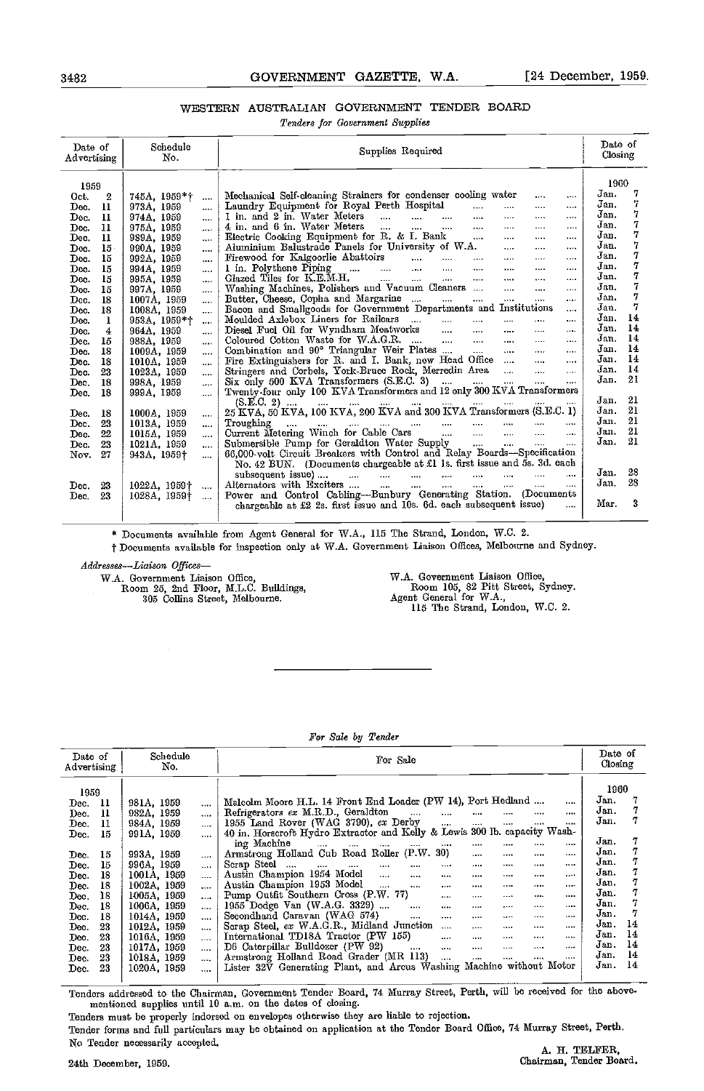# 3482 GOVERNMENT GAZETTE, W.A. [24 December, 1959.

# WESTERN AUSTRALIAN GOVERNMENT TENDER BOARD

Tenders for Government Supplies

| Date of<br>Advertising | Schedule<br>No.          | Supplies Required                                                                                                                                                                                                                                          | Date of<br>Closing |
|------------------------|--------------------------|------------------------------------------------------------------------------------------------------------------------------------------------------------------------------------------------------------------------------------------------------------|--------------------|
| 1959                   |                          |                                                                                                                                                                                                                                                            | 1960               |
| 2<br>Oct.              | 745A, 1959*†<br>         | Mechanical Self-cleaning Strainers for condenser cooling water<br>$\cdots$<br>$\cdots$                                                                                                                                                                     | 7<br>Jan.          |
| 11<br>Dec.             | 973A, 1959<br>$\cdots$   | Laundry Equipment for Royal Perth Hospital<br><b>Service</b><br><br>1444                                                                                                                                                                                   | 7<br>Jan.          |
| 11<br>Dec.             | 974A, 1959<br>$\cdots$   | 1 in. and 2 in. Water Meters<br><br>                                                                                                                                                                                                                       | 7<br>Jan.          |
| 11<br>Dec.             | 975A, 1959<br>$\ddotsc$  | 4 in. and 6 in. Water Meters<br>$\cdots$<br>                                                                                                                                                                                                               | 7<br>Jan.          |
| 11<br>Dec.             | 989A, 1959<br>$\cdots$   | Electric Cooking Equipment for R. & I. Bank<br><br>                                                                                                                                                                                                        | 7<br>Jan.          |
| 15<br>Dec.             | 990A, 1959<br>$\cdots$   | Aluminium Balustrade Panels for University of W.A.<br><br>                                                                                                                                                                                                 | 7<br>Jan.          |
| 15<br>Dec.             | 992A, 1959<br>$\cdots$   | $\cdots$ $\cdots$<br>Firewood for Kalgoorlie Abattoirs<br><br>                                                                                                                                                                                             | 7<br>Jan.          |
| 15<br>Dec.             | 994A, 1959<br>$\cdots$   | 1 in. Polythene Piping<br><br>$\cdots$                                                                                                                                                                                                                     | 7<br>Jan.          |
| 15<br>Dec.             | 995A, 1959<br>$\cdots$   | Glazed Tiles for K.E.M.H. $\ldots$ $\ldots$ $\ldots$ $\ldots$ $\ldots$ $\ldots$<br>$\cdots$<br>                                                                                                                                                            | 7<br>Jan.          |
| 15<br>Dec.             | 997A, 1959<br>$\cdots$   | Washing Machines, Polishers and Vacuum Cleaners<br>$\cdots$<br>$\cdots$                                                                                                                                                                                    | 7<br>Jan.          |
| 18<br>Dec.             | 1007A, 1959<br>$\cdots$  | Butter, Cheese, Copha and Margarine<br>$\mathbf{r}$<br>$\cdots$                                                                                                                                                                                            | 7<br>Jan.          |
| 18<br>Dec.             | 1008A, 1959<br>          | Bacon and Smallgoods for Government Departments and Institutions<br>$\cdots$                                                                                                                                                                               | 7<br>Jan.          |
| 1<br>Dec.              | 953A, 1959*†<br>         | Moulded Axlebox Liners for Railcars<br>$\cdots$<br>$\cdots$                                                                                                                                                                                                | 14<br>Jan.         |
| Dec.<br>4              | 964A, 1959<br>1.111      | Diesel Fuel Oil for Wyndham Meatworks<br>                                                                                                                                                                                                                  | 14<br>Jan.         |
| 15<br>Dec.             | 988A, 1959<br>1.111      | Coloured Cotton Waste for W.A.G.R.<br>$\cdots$                                                                                                                                                                                                             | 14<br>Jan.         |
| 18<br>Dec.             | 1009A, 1959<br>$\cdots$  | Combination and 90° Triangular Weir Plates<br>                                                                                                                                                                                                             | 14<br>Jan.         |
| 18<br>Dec.             | 1010A, 1959<br>          | Fire Extinguishers for R. and I. Bank, new Head Office<br>                                                                                                                                                                                                 | 14<br>Jan.         |
| 23<br>Dec.             | 1023A, 1959<br>$\cdots$  | Stringers and Corbels, York-Bruce Rock, Merredin Area<br>$\cdots$                                                                                                                                                                                          | 14<br>Jan.         |
| 18<br>Dec.             | 998A, 1959<br>$\cdots$   |                                                                                                                                                                                                                                                            | 21<br>Jan.         |
| 18<br>Dec.             | 999A, 1959<br>           |                                                                                                                                                                                                                                                            |                    |
|                        |                          |                                                                                                                                                                                                                                                            | - 21<br>Jan.       |
| 18<br>Dec.             | 1000A, 1959<br>$\cdots$  | (S.E.C. 2)  (S. E.VA, 100 KVA, 200 KVA and 300 KVA Transformers (S.E.C. 1)                                                                                                                                                                                 | -21<br>Jan.        |
| 23<br>Dec.             | 1013A, 1959<br>$\cdots$  | المستخدم المستخدم السواري المستخدم المستخدم المستخدم المستخدم المستخدم المستخدم المستخدم المستخدم المستخدم المستخدم المستخدم المستخدم المستخدم المستخدم المستخدم المستخدم المستخدم المستخدم المستخدم المستخدم المستخدم المستخ<br>Troughing<br>$\mathbf{1}$ | -21<br>Jan.        |
| 22<br>Dec.             | 1015A, 1959<br>$\cdots$  | Current Metering Winch for Cable Cars<br>$\cdots$                                                                                                                                                                                                          | 21<br>Jan.         |
| 23<br>Dec.             | 1021A, 1959<br>$\cdots$  | Submersible Pump for Geraldton Water Supply<br>$\mathbf{1}$<br>$\cdots$                                                                                                                                                                                    | 21<br>Jan.         |
| 27<br>Nov.             | 943A, 1959†<br>.         | 66,000-volt Circuit Breakers with Control and Relay Boards-Specification                                                                                                                                                                                   |                    |
|                        |                          | No. 42 BUN. (Documents chargeable at £1 Is. first issue and 5s. 3d. each                                                                                                                                                                                   |                    |
|                        |                          | $\cdots$<br>$\cdots$                                                                                                                                                                                                                                       | 28<br>Jan.         |
| 23<br>Dec.             | 1022A, 1959†<br>$\cdots$ | Alternators with Exciters<br>$\cdots$<br>$\cdots$                                                                                                                                                                                                          | 28<br>Jan.         |
| 23<br>Dec.             | 1028A, 1959†<br>$\cdots$ | Power and Control Cabling-Bunbury Generating Station. (Documents                                                                                                                                                                                           |                    |
|                        |                          | chargeable at £2 2s. first issue and 10s. 6d. each subsequent issue)<br>$\ddotsc$                                                                                                                                                                          | 3<br>Маг.          |
|                        |                          |                                                                                                                                                                                                                                                            |                    |

\* Documents available from Agent General for W.A., 115 The Strand, London, W.C. 2.

t Documents available for inspection only at W.A. Government Liaison Offices, Melbourne and Sydney.

Addresses-Liaison Offices-

W.A. Government Liaison Office,<br>Room 105, 82 Pitt Street, Sydney.<br>Agent General for W.A.,<br>115 The Strand, London, W.C. 2.

## For Sale by Tender

| Date of<br>Advertising | Schedule<br>No.         | For Sale                                                                                        | Date of<br>Closing |
|------------------------|-------------------------|-------------------------------------------------------------------------------------------------|--------------------|
| 1959                   |                         |                                                                                                 | 1960               |
| - 11<br>Dec.           | 981A, 1959<br>$\cdots$  | Malcolm Moore H.L. 14 Front End Loader (PW 14), Port Hedland<br>$\cdots$                        | Jan.               |
| 11<br>Dec.             | 982A, 1959<br>$\cdots$  | Refrigerators ex M.R.D., Geraldton<br>$\sim$ and $\sim$<br>$\cdots$<br>$\cdots$<br><br>         | Jan.               |
| п<br>Dec.              | 984A, 1959<br>and a     | 1955 Land Rover (WAG 3790), ex Derby<br>$\cdots$<br>$\cdots$<br><br><br>                        | Jan.               |
| 15<br>Dec.             | 991A, 1959<br>$\cdots$  | 40 in. Horscroft Hydro Extractor and Kelly & Lewis 300 lb. capacity Wash-                       |                    |
|                        |                         | ing Machine<br>$\cdots$<br>$\cdots$<br><br>$\cdots$<br><br><br><br><br>                         | 7<br>Jan.          |
| 15<br>Dec.             | 993A, 1959<br>$\cdots$  | Armstrong Holland Cub Road Roller (P.W. 30)<br><br><br><br>                                     | Jan.               |
| 15<br>Dec.             | 996A, 1959<br>$\cdots$  | Scrap Steel<br>and the con-<br>$\cdots$<br>$\cdots$<br>11.11<br><br>$\cdots$<br><br>1.1.1.1<br> | Jan.               |
| 18<br>Dec.             | 1001A, 1959             | Austin Champion 1954 Model<br>$\cdots$<br>$\cdots$<br>$\cdots$<br>1.1.1<br><br><br>             | Jan.               |
| 18                     | $\cdots$<br>1002A, 1959 | Austin Champion 1953 Model<br>$\sim$<br>$\cdots$<br>1.117<br>$\cdots$<br>1.111<br><br>          | Jan.               |
| Dec.<br>18             | $\cdots$<br>1005A, 1959 | Pump Outfit Southern Cross (P.W. 77)<br><br>                                                    | Jan.               |
| Dec.                   | $\cdots$                | 1.111<br>1.11<br><br>1955 Dodge Van (W.A.G. 3329)                                               | Jan.               |
| 18<br>Dec.             | 1006A, 1959<br>$\cdots$ | $\cdots$<br>$\cdots$<br><br>1.111<br><br>$\cdots$<br>Secondhand Caravan (WAG 574)               | Jan.               |
| 18<br>Dec.             | 1014A, 1959<br>$\cdots$ | $\cdots$<br>$\cdots$<br><br><br><br>$\cdots$                                                    | Jan.<br>14         |
| 23<br>Dec.             | 1012A, 1959<br>$\cdots$ | Scrap Steel, ex W.A.G.R., Midland Junction<br>$\cdots$<br><br><br><br>                          | 14<br>Jan.         |
| 23<br>Dec.             | 1016A, 1959<br>$\cdots$ | International TD18A Tractor (PW 155)<br>$\cdots$<br><br><br>$\cdots$<br>                        |                    |
| 23<br>Dec.             | 1017A, 1959<br>$\cdots$ | D6 Caterpillar Bulldozer (PW 92)<br>$\cdots$<br>$\cdots$<br>.<br><br><br>                       | 14<br>Jan.         |
| 23<br>Dec.             | 1018A, 1959<br>$\cdots$ | Armstrong Holland Road Grader (MR 113)<br>$\cdots$<br>$\cdots$<br><br>.<br>                     | 14<br>Jan.         |
| 23<br>Dec.             | 1020A, 1959<br>$\cdots$ | Lister 32V Generating Plant, and Arcus Washing Machine without Motor                            | 14<br>Jan.         |
|                        |                         |                                                                                                 |                    |

Tenders addressed to the Chairman, Government Tender Board, 74 Murray Street, Perth, will be received for the abovementioned supplies until 10 a.m. on the dates of closing.

Tenders must- be properly indorsed on envelopes otherwise they are liable to rejection.

Tender forms and full particulars may be obtained on application at the Tender Board Office, 74 Murray Street, Perth. No Tender necessarily accepted. A H. TELFER,

W.A. Government Liaison Office, Room 25, 2nd Floor, M.L.C. Buildings,

305 Collins Street, Melbonrne.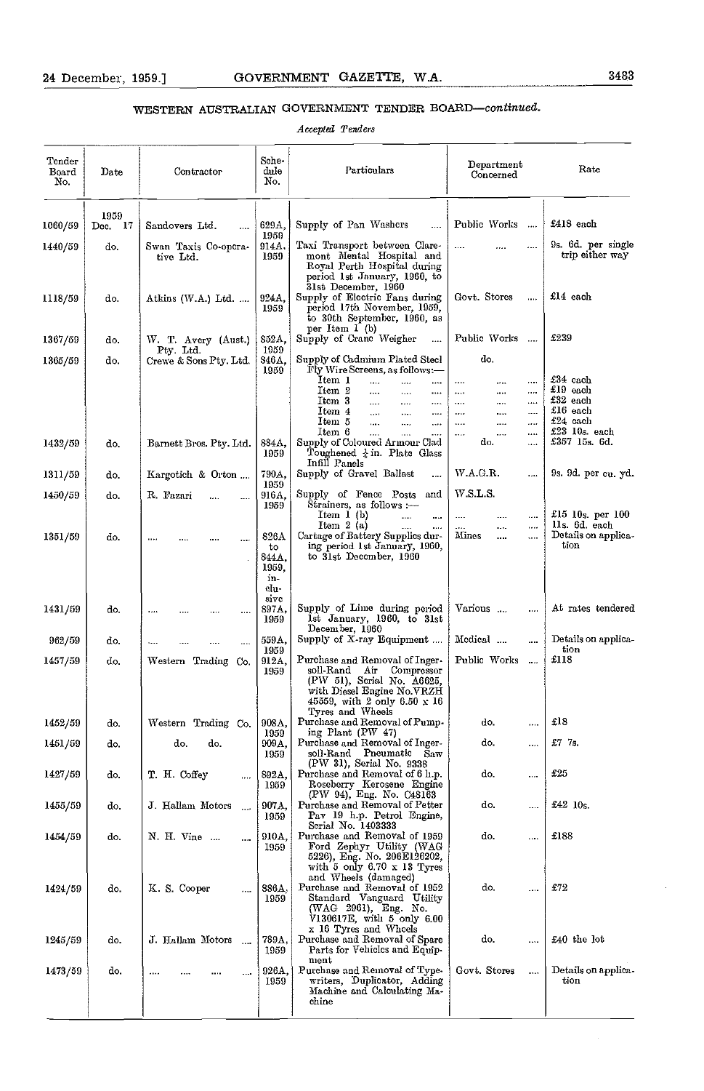# WESTERN AUSTRALIAN GOVERNMENT TENDER BOARD-continued.

Accepted Tenders

| Tonder<br>Board<br>No. | Date            | Contractor                        | Sche-<br>dule<br>No.                        | Particulars                                                                                                                                                                                                                                                             | Department<br>Concerned                                                                                                           | Rate                                                                 |
|------------------------|-----------------|-----------------------------------|---------------------------------------------|-------------------------------------------------------------------------------------------------------------------------------------------------------------------------------------------------------------------------------------------------------------------------|-----------------------------------------------------------------------------------------------------------------------------------|----------------------------------------------------------------------|
| 1060/59                | 1959<br>Dcc. 17 | Sandovers Ltd.<br>                | 629A,                                       | Supply of Pan Washers<br>$\cdots$                                                                                                                                                                                                                                       | Public Works<br>$\sim$                                                                                                            | £418 each                                                            |
| 1440/59                | do.             | Swan Taxis Co-opera-<br>tive Ltd. | 1959<br>914A.<br>1959                       | Taxi Transport between Clare-<br>mont Mental Hospital and<br>Royal Perth Hospital during<br>period 1st January, 1960, to                                                                                                                                                |                                                                                                                                   | 9s. 6d. per single<br>trip either way                                |
| 1118/59                | do.             | Atkins $(W.A.)$ Ltd.              | 924A.<br>1959                               | 31st December, 1960<br>Supply of Electric Fans during<br>period 17th November, 1959,<br>to 30th September, 1960, as                                                                                                                                                     | Govt Stores<br>$\cdots$                                                                                                           | $£14$ each                                                           |
| 1367/59                | do.             | W. T. Avery (Aust.)<br>Pty. Ltd.  | 852A,<br>1959                               | per Item 1 (b)<br>Supply of Crane Weigher<br>                                                                                                                                                                                                                           | Public Works                                                                                                                      | £239                                                                 |
| 1365/59                | do.             | Crewe & Sons Pty. Ltd.            | 346A,<br>1959                               | Supply of Cadmium Plated Steel<br>Fly Wire Screens, as follows:-<br>Item 1<br>$\cdots$<br>$\cdots$<br>$\cdots$<br>Item 2<br><br>$\cdots$<br><br>Itom 3<br>$\cdots$<br>$\cdots$<br>$\cdots$<br>Item 4<br>aaan.<br><br>$\cdots$<br>Item 5<br>in a<br>$\cdots$<br>$\cdots$ | do.<br>$\cdots$<br>.<br>$\cdots$<br>$\ldots$<br><br>$\cdots$<br>$\cdots$<br>$\sim$ and $\sim$<br><br><br>$\cdots$<br><br><br><br> | £34 cach<br>$£19$ each<br>$£32$ each<br>£16 each<br>$\pounds24$ cach |
| 1432/59                | do.             | Barnett Bros. Pty. Ltd.           | 884A,<br>1959                               | Item 6<br>$\cdots$<br>$\cdots$<br>.<br>Supply of Coloured Armour Clad<br>Toughened $\frac{1}{4}$ in. Plate Glass<br>Infill Panels                                                                                                                                       | $\cdots$<br>$\cdots$<br><br>do.<br>$\cdots$                                                                                       | $£23$ 10s. each<br>£357 15s, 6d,                                     |
| 1311/59                | do.             | Kargotich & Orton                 | 790A,<br>1959                               | Supply of Gravel Ballast<br>                                                                                                                                                                                                                                            | WAGR.<br>                                                                                                                         | 9s. 9d. per cu. yd.                                                  |
| 1450/59                | do.             | R. Fazari<br>                     | 916A,<br>1959                               | Supply of Fence Posts<br>and<br>Strainers, as follows :---<br>Item 1 (b)<br>$\sim$<br>                                                                                                                                                                                  | WSLS.<br><br><br>$\cdots$                                                                                                         | £15 10s. per 100                                                     |
| 1351/59                | do.             | $\cdots$<br>$\ldots$              | 826A<br>to<br>844A,<br>1959,<br>in-<br>clu- | Item $2(a)$<br>Cartage of Battery Supplies dur-<br>ing period 1st January, 1960,<br>to 31st December, 1960                                                                                                                                                              | $\cdots$<br>$\cdots$<br>.<br>Mines<br><br>                                                                                        | lls. 6d. each<br>Details on applica-<br>tion                         |
| 1431/59                | do.             | $\cdots$<br>                      | sivc<br>897A,<br>1959                       | Supply of Lime during period<br>1st January, 1960, to 31st<br>December, 1960                                                                                                                                                                                            | Various<br>                                                                                                                       | At rates tendered                                                    |
| 962/59                 | d٥.             | $\cdots$                          | 559A,<br>1959                               | Supply of X-ray Equipment                                                                                                                                                                                                                                               | Medical<br>                                                                                                                       | Details on applica-<br>tion                                          |
| 1457/59                | do.             | Western Trading Co.               | 912A,<br>1959                               | Purchase and Removal of Inger-<br>Compression<br>soll-Rand Air<br>(PW 51), Scrial No. A6625,<br>with Diesel Engine No.VRZH<br>45559, with 2 only 6.50 $x$ 16<br>Tyres and Wheels                                                                                        | Public Works<br>$\cdots$                                                                                                          | £118                                                                 |
| 1452/59                | do,             | Trading<br>Western<br>Co.         | 903A,<br>1959                               | Purchase and Removal of Pump-<br>ing Plant (PW 47)                                                                                                                                                                                                                      | do.<br>                                                                                                                           | f18                                                                  |
| 1451/59                | do.             | do.<br>do.                        | 909A,<br>1959                               | Purchase and Removal of Inger-<br>soll-Rand Pneumatic Saw<br>(PW 31), Serial No. 9338                                                                                                                                                                                   | do.<br>                                                                                                                           | £7 7s.                                                               |
| 1427/59                | do.             | T. H. Coffey<br>                  | 892A,<br>1959                               | Purchase and Removal of 6 li.p.<br>Roseberry Kerosene Engine<br>(PW 94), Eng. No. C48163                                                                                                                                                                                | do.<br>                                                                                                                           | ±25                                                                  |
| 1455/59                | do.             | J. Hallam Motors<br>$\ddotsc$     | 907A,<br>1959                               | Purchase and Removal of Petter<br>Pav 19 h.p. Petrol Engine,<br>Serial No. 1403333                                                                                                                                                                                      | do,<br>                                                                                                                           | $£42$ 10s.                                                           |
| 1454/59                | do.             | N.H. Vine<br>                     | 910A,<br>1959                               | Purchase and Removal of 1959<br>Ford Zephyr Utility (WAG<br>5226), Eng. No. 206E126202,<br>with $5$ only $6.70 \times 13$ Tyres                                                                                                                                         | do,<br>                                                                                                                           | £188                                                                 |
| 1424/59                | do.             | K. S. Cooper<br>                  | 386A,<br>1959                               | and Wheels (damaged)<br>Purchase and Removal of 1952<br>Standard Vanguard Utility<br>(WAG 2961), Eng. No.<br>V130617E, with 5 only 6.00<br>x 16 Tyres and Whoels                                                                                                        | do.<br>                                                                                                                           | ±72                                                                  |
| 1245/59                | do.             | J. Hallam Motors<br>$\sim$ $\sim$ | 789A,<br>1959                               | Purchase and Removal of Spare<br>Parts for Vehicles and Equip-<br>ment                                                                                                                                                                                                  | do.<br>                                                                                                                           | £40 the lot                                                          |
| 1473/59                | do.             |                                   | 926A,<br>1959                               | Purchase and Removal of Type-<br>writers, Duplicator, Adding<br>Machine and Calculating Ma-<br>$_{\text{chine}}$                                                                                                                                                        | Govt. Stores<br>$\cdots$                                                                                                          | Details on applica-<br>tion                                          |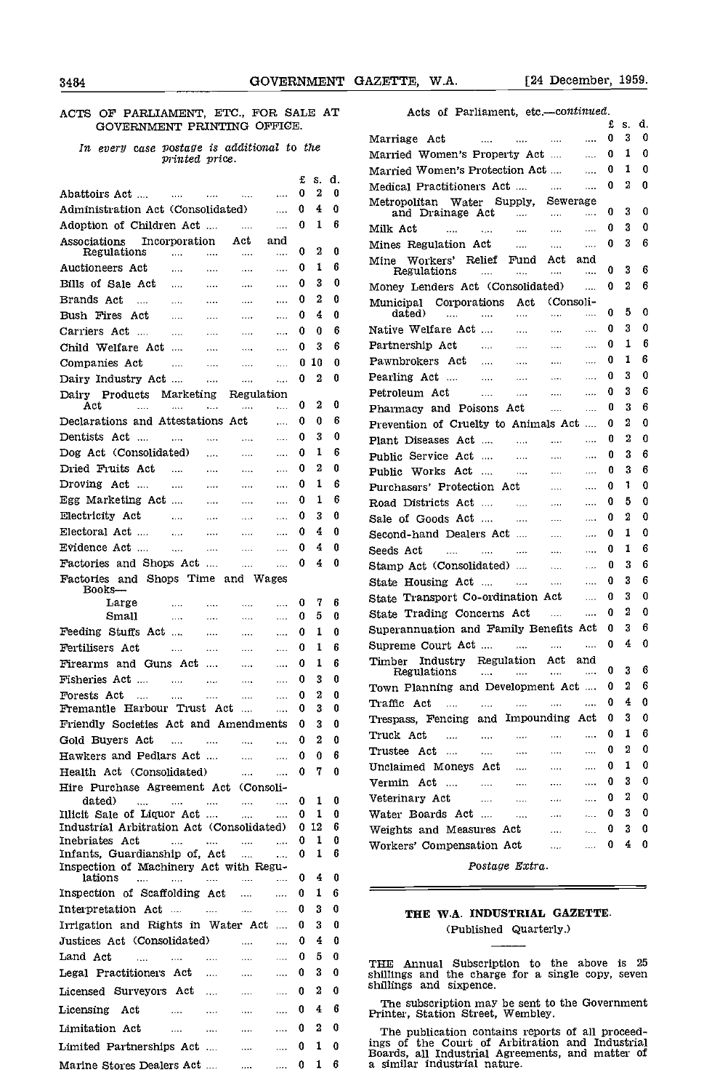# ACTS OF PARLIAMENT, ETC., FOR SALE AT GOVERNMENT PRINTING OFFICE.

# In every case postage is additional to the printed price.

|                                                             |                   |                       |              |                      | £       | s.       | d.     |                                |
|-------------------------------------------------------------|-------------------|-----------------------|--------------|----------------------|---------|----------|--------|--------------------------------|
| Abattoirs Act                                               |                   |                       |              |                      | 0       | 2        | 0      | Medical Prac                   |
|                                                             | <b>CONTRACTOR</b> |                       | $\sim 100$   | $\cdots$             |         | 4        | 0      | Metropolitan                   |
| Administration Act (Consolidated)                           |                   |                       |              | $\cdots$             | 0       |          |        | and Dra                        |
| Adoption of Children Act                                    |                   |                       | $\ldots$     | $\cdots$             | 0       | 1        | 6      | Milk Act                       |
| Associations<br>Regulations                                 | Incorporation     |                       | Act          | and                  | 0       | 2        | 0      | Mines Regul:                   |
|                                                             | $\cdots$          | $\cdots$              |              |                      | 0       | 1        | 6      | Mine Worke                     |
| Auctioneers Act                                             | $\cdots$          | $\ldots$              | $\cdots$     |                      |         |          |        | Regulati                       |
| Bills of Sale Act                                           |                   | $\ldots$              |              | $\cdots$             | 0       | 3        | 0      | Money Lend                     |
| Brands Act<br>$\sim$                                        | $\cdots$          | $\cdots$              | $\cdots$     | $\cdots$             | 0       | 2        | 0      | Municipal O                    |
| Bush Fires Act                                              |                   | $\cdots$              | $\cdots$     | $\cdots$             | 0       | 4        | 0      | dated)                         |
| Carriers Act<br>$\sim$                                      | $\cdots$          | $\ldots$ .            | $\ldots$     |                      | 0       | 0        | 6      | Native Welfa                   |
| Child Welfare Act                                           | $\cdots$          | $\cdots$              |              | $\cdots$             | 0       | 3        | 6      | Partnership,                   |
| Companies Act                                               |                   | $\ldots$              |              | $\ddotsc$            | 0       | 10       | 0      | Pawnbrokers                    |
| Dairy Industry Act                                          |                   | $\cdots$              | $\cdots$     | $\cdots$             | 0       | 2        | 0      | Pearling Act                   |
| Dairy Products                                              | Marketing         |                       | Regulation   |                      |         |          |        | Petroleum A                    |
| Act<br>$\cdots$                                             |                   |                       |              | .                    | 0       | 2        | 0      | Pharmacy ar                    |
| Declarations and Attestations Act                           |                   |                       |              | $\cdots$             | 0       | 0        | 6      | Prevention o                   |
| Dentists Act ….                                             | $\cdots$          | $\ldots$              | $\ldots$     |                      | 0       | 3        | 0      | Plant Diseas                   |
| Dog Act (Consolidated)                                      |                   | $\cdots$              | $\ldots$     | $\cdots$             | 0       | 1        | 6      | Public Servic                  |
| Dried Fruits Act                                            | $\cdots$          | $\sim$ $\sim$         | $\ldots$     | $\cdots$             | 0       | 2        | 0      | Public Work                    |
| Droving Act                                                 | $\cdots$          | $\sim$                | $\ldots$     | $\cdots$             | 0       | 1        | 6      | Purchasers'                    |
| Egg Marketing Act                                           |                   |                       |              | $\cdots$             | 0       | 1        | 6      |                                |
| Electricity Act                                             |                   | $\sim$ and $\sim$     | $\ldots$     |                      | 0       | 3        | 0      | Road Distric                   |
|                                                             | $\ldots$          | $\sim 100$            | $\ldots$     | $\cdots$             |         |          |        | Sale of Good                   |
| Electoral Act                                               | $\cdots$          | $\cdots$              |              | $\cdots$             | 0       | 4        | 0      | Second-hand                    |
| Evidence Act                                                | $\ddotsc$         | $\ldots$ .            | $\cdots$     | $\cdots$             | 0       | 4        | 0      | Seeds Act                      |
| Factories and Shops Act                                     |                   |                       | $\cdots$     | $\cdots$             | 0       | 4        | 0      | Stamp Act(                     |
| Factories and Shops Time and Wages<br>Books—                |                   |                       |              |                      |         |          |        | State Housir                   |
| Large                                                       | $\cdots$          | $\cdots$              | $\cdots$     | $\cdots$             | 0       | 7        | 6      | State Transp                   |
| Small                                                       | $\cdots$          | $\cdots$              | $\cdots$     | .                    | 0       | 5        | 0      | State Tradir                   |
| Feeding Stuffs Act                                          |                   | $\cdots$              | $\ldots$     | $\cdots$             | 0       | 1        | 0      | Superannuat:                   |
| Fertilisers Act                                             | $\cdots$          | $\cdots$              | $\cdots$     | $\cdots$             | 0       | 1        | 6      | Supreme Cou                    |
| Firearms and Guns Act                                       |                   |                       |              |                      | 0       | 1        | 6      | Indi<br>Timber                 |
|                                                             |                   |                       | $\cdots$     | $\cdots$             |         |          |        | Regulati                       |
| Fisheries Act                                               | <b>Contractor</b> | $\ldots$              | $\cdots$     | $\cdots$             | 0       | 3        | 0      | Town Planni                    |
| Forests Act<br>$\sim$<br>Fremantle Harbour Trust Act        |                   |                       |              | .                    | 0<br>0  | 2<br>3   | 0<br>0 | Traffic Act                    |
|                                                             |                   |                       |              |                      |         |          |        | Trespass, Fe                   |
| Friendly Societies Act and Amendments                       |                   |                       |              |                      | 0       | 3        | 0      | Truck Act                      |
| Gold Buyers Act                                             | $\cdots$          | and the season of the | $\cdots$     | $\cdots$             | 0       | 2        | 0      | Trustee Act                    |
| Hawkers and Pedlars Act                                     |                   |                       |              | <b>Section</b>       | 0       | $\Omega$ | 6      | Unclaimed M                    |
| Health Act (Consolidated)                                   |                   |                       | $\cdots$     | $\cdots$             | 0       | 7.       | 0      |                                |
| Hire Purchase Agreement Act (Consoli-                       |                   |                       |              |                      |         |          |        | Vermin Act                     |
| dated)<br>$\mathbf{r}_{\text{max}}$                         | $\cdots$          | $\sim 100$            | $\mathbf{r}$ | .                    | 0       | 1        | 0      | Veterinary A                   |
| Illicit Sale of Liquor Act                                  |                   |                       | .            | .                    | 0       | 1        | 0      | Water Board                    |
| Industrial Arbitration Act (Consolidated)<br>Inebriates Act | $\cdots$          |                       |              |                      | 0.<br>0 | 12<br>1  | 6<br>0 | Weights and                    |
| Infants, Guardianship of, Act                               |                   | $\cdots$              | .            | $\cdots$<br>$\cdots$ | 0       | 1        | 6      | Workers' Cor                   |
| Inspection of Machinery Act with Regu-                      |                   |                       |              |                      |         |          |        |                                |
| lations<br>$\cdots$                                         | .                 | $\cdots$              | .            | .                    | 0       | 4        | 0      |                                |
| Inspection of Scaffolding Act                               |                   |                       | .            |                      | 0       | 1        | 6      |                                |
| Interpretation Act                                          | $\cdots$          | $\cdots$              | $\cdots$     |                      | 0       | 3        | 0      | THE '                          |
| Irrigation and Rights in Water Act                          |                   |                       |              |                      | 0       | 3        | 0      |                                |
| Justices Act (Consolidated)                                 |                   |                       | s e est.     | $\cdots$             | 0       | 4        | 0      |                                |
| Land Act<br>$\ddotsc$                                       | $\cdots$          |                       |              | $\cdots$             | 0       | 5        | 0      |                                |
| Legal Practitioners Act                                     |                   | $\sim$ $\sim$ $\sim$  | $\cdots$     |                      | 0       | 3        | 0      | THE<br>Annua                   |
|                                                             |                   |                       | $\ldots$ .   | $\ldots$             |         |          |        | shillings and<br>shillings and |
| Licensed Surveyors Act                                      |                   |                       | $\ldots$     | $\cdots$             | 0       | 2        | 0      |                                |
| Licensing<br>Act                                            | $\sim$ $\sim$     | $\sim 100$            | $\ldots$ .   | $\ddotsc$            | 0       | 4        | 6      | The subscr<br>Printer, Stat    |
| Limitation Act                                              | $\cdots$          | $\cdots$              | $\cdots$     | .                    | 0       | 2        | 0      | The public                     |
| Limited Partnerships Act                                    |                   |                       |              |                      | 0       | 1        | 0      | ings of the                    |
|                                                             |                   |                       | $\cdots$     | $\cdots$             |         |          |        | Boards, all I                  |
| Marine Stores Dealers Act                                   |                   |                       |              | $\ldots$             | 0       | 1        | 6      | a similar ind                  |

| : AT   |        | Acts of Parliament, etc.-continued.                                                                                 |   |    |          |  |
|--------|--------|---------------------------------------------------------------------------------------------------------------------|---|----|----------|--|
|        |        |                                                                                                                     | £ | S. | d.       |  |
| e      |        | Marriage Act<br>$\ldots$ . The second contract of $\ldots$<br>$\cdots$                                              | 0 | 3  | 0        |  |
|        |        | Married Women's Property Act<br>$\cdots$                                                                            | 0 | 1  | 0        |  |
| s.     | d.     | Married Women's Protection Act<br>$\mathbf{r}$                                                                      | 0 | 1  | 0        |  |
| 2      | 0      | Medical Practitioners Act<br>$\cdots$                                                                               | 0 | 2  | 0        |  |
| 4      | 0      | Metropolitan Water Supply,<br>Sewerage                                                                              |   |    |          |  |
| 1      | 6      | and Drainage Act<br><b>Contractor</b><br><br>$\cdots$                                                               | 0 | 3  | 0        |  |
|        |        | Milk Act<br><b>Contact Contact</b><br>$\cdots$<br><b>Contractor</b><br>$\cdots$<br>$\ldots$                         | 0 | 3  | 0        |  |
| 2      | 0      | Mines Regulation Act<br>$\cdots$<br>$\cdots$                                                                        | 0 | 3  | 6        |  |
| 1      | 6      | Mine Workers' Relief<br>Fund<br>Act<br>and<br>Regulations<br>.                                                      | 0 | 3  | 6        |  |
| 3      | 0      | <b>Contract Contract</b><br>$\cdots$<br>$\cdots$                                                                    | 0 | 2  | 6        |  |
| 2      | 0      | Money Lenders Act (Consolidated)<br>$\ddotsc$                                                                       |   |    |          |  |
| 4      | 0      | Corporations<br>(Consoli-<br>Municipal<br>Act<br>dated)<br>$\cdots$<br>$\cdots$<br>$\cdots$<br>$\cdots$<br>$\cdots$ | 0 | 5  | 0        |  |
| 0      | 6      | Native Welfare Act<br>$\ldots$<br>$\sim 100$<br>$\cdots$                                                            | 0 | 3  | 0        |  |
| 3      | 6      | Partnership Act<br>$\sim$<br>$\ldots$<br>$\cdots$                                                                   | 0 | 1  | 6        |  |
|        |        | Pawnbrokers Act<br>$\cdots$<br>$\cdots$                                                                             | 0 | 1  | 6        |  |
| .0     | 0      | $\cdots$<br>$\sim$                                                                                                  | 0 | 3  | 0        |  |
| 2      | 0      | Pearling Act<br>المحجان<br>$\sim$ . $\sim$<br>$\cdots$<br>$\sim 1.1$ .                                              | 0 | 3  | 6        |  |
| 2      | 0      | Petroleum Act<br>$\cdots$<br>$\cdots$<br>$\cdots$<br>$\ldots$                                                       |   |    |          |  |
| 0      | 6      | Pharmacy and Poisons Act<br>$\cdots$<br>$\ddotsc$                                                                   | 0 | 3  | 6        |  |
| 3      | 0      | Prevention of Cruelty to Animals Act                                                                                | 0 | 2  | 0        |  |
| 1      | 6      | Plant Diseases Act<br>$\cdots$<br>$\cdots$<br>$\cdots$                                                              | 0 | 2  | 0        |  |
|        |        | Public Service Act<br>$\sim 100$<br>$\cdots$<br>$\ldots$                                                            | 0 | 3  | 6        |  |
| 2      | 0      | Public Works Act<br>$\sim$<br>$\sim$<br>$\cdots$                                                                    | 0 | 3  | 6        |  |
| 1      | 6      | Purchasers' Protection Act<br>$\cdots$<br>$\ldots$                                                                  | 0 | 1  | 0        |  |
| 1      | 6      | Road Districts Act<br>$\sim$ $\sim$ $\sim$<br>$\sim 100$<br>$\sim 100$                                              | 0 | 5  | 0        |  |
| 3      | 0      | Sale of Goods Act<br>$\cdots$<br>$\cdots$                                                                           | 0 | 2  | 0        |  |
| 4      | 0      | Second-hand Dealers Act<br>$\cdots$<br>$\cdots$                                                                     | 0 | 1  | 0        |  |
| 4      | 0      | Seeds Act<br>$\mathbf{1}$<br>and the state.<br>$\ldots$<br>$\cdots$                                                 | 0 | 1  | 6        |  |
| 4      | 0      | Stamp Act (Consolidated)<br>$\ldots$<br>$\cdots$                                                                    | 0 | 3  | 6        |  |
|        |        | State Housing Act<br><b>Contractor</b><br>$\cdots$<br>$\ldots$                                                      | 0 | 3  | 6        |  |
| 7      | 6      | State Transport Co-ordination Act<br>$\ddotsc$                                                                      | 0 | 3  | 0        |  |
| 5      | 0      | State Trading Concerns Act<br>$\cdots$<br>                                                                          | 0 | 2  | 0        |  |
| 1      | 0      | Superannuation and Family Benefits Act                                                                              | 0 | 3  | 6        |  |
| 1      | 6      | Supreme Court Act<br>$\cdots$<br>$\sim$ 1000 $\pm$                                                                  | 0 | 4  | 0        |  |
| 1      | 6      | Industry Regulation Act<br>and<br>Timber                                                                            |   |    |          |  |
|        | 0      | Regulations<br>$\cdots$<br><b>Contract Contract</b><br>$\cdots$<br>$\sim$ 1000 $\sim$                               | 0 | 3  | 6        |  |
| 3      |        | Town Planning and Development Act  0                                                                                |   |    | 26       |  |
| 2<br>3 | 0<br>0 | Traffic Act<br>$\cdots$<br>1.111<br>$\cdots$<br>$\cdots$<br>$\cdots$                                                | 0 | 4  | 0        |  |
|        | 0      | Trespass, Fencing and Impounding Act                                                                                | 0 | 3  | 0        |  |
| 3      |        | Truck Act<br>$\cdots$<br>$\sim$ . $\sim$<br>$\cdots$<br>$\cdots$<br>$\cdots$                                        | 0 | 1  | 6        |  |
| 2      | 0      | Trustee Act<br>$\cdots$<br>$\cdots$<br>$\cdots$<br>$\cdots$                                                         | 0 | 2  | 0        |  |
| 0      | 6      | Unclaimed Moneys Act<br>$\cdots$<br>$\cdots$                                                                        | 0 | 1  | 0        |  |
| 7      | 0      | Vermin Act<br>$\cdots$<br>$\cdots$<br>$\cdots$<br>$\cdots$                                                          | 0 | 3. | 0        |  |
|        |        | Veterinary Act<br>$\cdots$<br>$\cdots$                                                                              | 0 | 2  | $\bf{0}$ |  |
| 1<br>1 | 0<br>0 | $\cdots$<br>$\ldots$<br>Water Boards Act                                                                            | 0 | 3  | 0        |  |
| 12     | 6      | $\sim 100$<br>$\sim 100$<br>$\sim$                                                                                  | 0 | 3  | 0        |  |
| 1      | 0      | Weights and Measures Act<br>$\cdots$<br>$\cdots$                                                                    |   |    |          |  |
| 1      | 6      | Workers' Compensation Act<br>$\cdots$<br>$\cdots$                                                                   | 0 | 4  | 0        |  |
|        |        | Postage Extra.                                                                                                      |   |    |          |  |

# THE W.A. INDUSTRIAL GAZETTE. (Published Quarterly.)

THE Annual Subscription to the above is 25 shillings and the charge for a single copy, seven shillings and sixpence.

The subscription may be sent to the Government Printer, Station Street, Wembley.

The publication contains reports of all proceed-ings of the Court of Arbitration and Industrial Boards, all Industrial Agreements, and matter of a similar industrial nature.